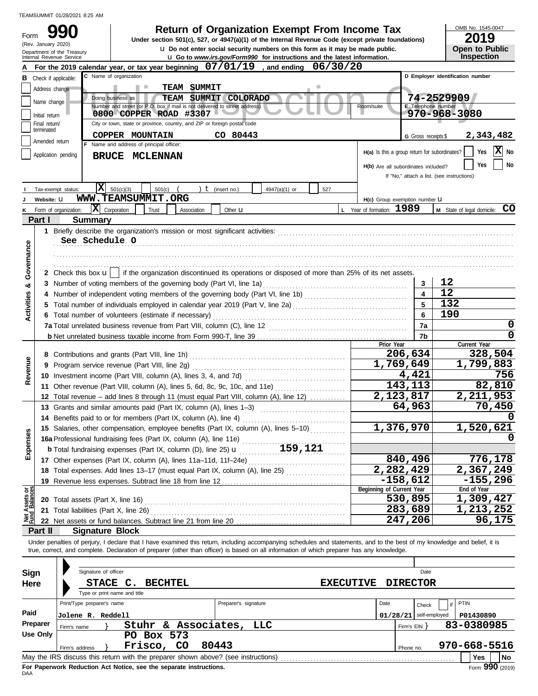|                                |                     | TEAMSUMMIT 01/28/2021 8:25 AM                                                                                                                                                                                                                                                                                                                                                                          |                                               |                          |                                                                  |
|--------------------------------|---------------------|--------------------------------------------------------------------------------------------------------------------------------------------------------------------------------------------------------------------------------------------------------------------------------------------------------------------------------------------------------------------------------------------------------|-----------------------------------------------|--------------------------|------------------------------------------------------------------|
| Form                           | (Rev. January 2020) | <b>Return of Organization Exempt From Income Tax</b><br>990<br>Under section 501(c), 527, or 4947(a)(1) of the Internal Revenue Code (except private foundations)<br><b>u</b> Do not enter social security numbers on this form as it may be made public.<br>Department of the Treasury<br><b>u</b> Go to www.irs.gov/Form990 for instructions and the latest information.<br>Internal Revenue Service |                                               |                          | OMB No. 1545-0047<br>2019<br><b>Open to Public</b><br>Inspection |
|                                |                     | For the 2019 calendar year, or tax year beginning 07/01/19<br>06/30/20<br>. and ending                                                                                                                                                                                                                                                                                                                 |                                               |                          |                                                                  |
|                                |                     | C Name of organization<br><b>B</b> Check if applicable:                                                                                                                                                                                                                                                                                                                                                |                                               |                          | D Employer identification number                                 |
|                                | Address change      | <b>TEAM SUMMIT</b><br>r.                                                                                                                                                                                                                                                                                                                                                                               |                                               |                          |                                                                  |
|                                | Name change         | Doing business as<br>TEAM SUMMIT COLORADO<br>Number and street (or P.O. box if mail is not delivered to street address)                                                                                                                                                                                                                                                                                | Room/suite                                    | E Telephone number       | 74-2529909                                                       |
|                                | Initial return      | 0800 COPPER ROAD #3307                                                                                                                                                                                                                                                                                                                                                                                 |                                               |                          | $970 - 968 - 3080$                                               |
|                                | Final return/       | City or town, state or province, country, and ZIP or foreign postal code                                                                                                                                                                                                                                                                                                                               |                                               |                          |                                                                  |
|                                | terminated          | COPPER MOUNTAIN<br>CO 80443                                                                                                                                                                                                                                                                                                                                                                            |                                               | G Gross receipts \$      | 2,343,482                                                        |
|                                | Amended return      | F Name and address of principal officer:                                                                                                                                                                                                                                                                                                                                                               |                                               |                          |                                                                  |
|                                |                     | Application pending<br><b>BRUCE MCLENNAN</b>                                                                                                                                                                                                                                                                                                                                                           | H(a) Is this a group return for subordinates? |                          | X <br>No<br>Yes                                                  |
|                                |                     |                                                                                                                                                                                                                                                                                                                                                                                                        | H(b) Are all subordinates included?           |                          | No<br>Yes                                                        |
|                                |                     |                                                                                                                                                                                                                                                                                                                                                                                                        |                                               |                          | If "No," attach a list. (see instructions)                       |
|                                |                     | IХ<br>501(c)(3)<br>) $t$ (insert no.)<br>4947(a)(1) or<br>Tax-exempt status:<br>501(c)<br>527                                                                                                                                                                                                                                                                                                          |                                               |                          |                                                                  |
|                                | Website: U          | WWW.TEAMSUMMIT.ORG                                                                                                                                                                                                                                                                                                                                                                                     | H(c) Group exemption number U                 |                          |                                                                  |
| κ                              |                     | $ \mathbf{X} $ Corporation<br>Trust<br>Association<br>Other <b>u</b><br>Form of organization:                                                                                                                                                                                                                                                                                                          | L Year of formation: 1989                     |                          | M State of legal domicile: CO                                    |
|                                | Part I              | <b>Summary</b>                                                                                                                                                                                                                                                                                                                                                                                         |                                               |                          |                                                                  |
|                                |                     |                                                                                                                                                                                                                                                                                                                                                                                                        |                                               |                          |                                                                  |
|                                |                     | See Schedule O                                                                                                                                                                                                                                                                                                                                                                                         |                                               |                          |                                                                  |
| Governance                     |                     |                                                                                                                                                                                                                                                                                                                                                                                                        |                                               |                          |                                                                  |
|                                |                     |                                                                                                                                                                                                                                                                                                                                                                                                        |                                               |                          |                                                                  |
|                                |                     |                                                                                                                                                                                                                                                                                                                                                                                                        |                                               |                          |                                                                  |
|                                |                     | 2 Check this box $\mathbf{u}$   if the organization discontinued its operations or disposed of more than 25% of its net assets.                                                                                                                                                                                                                                                                        |                                               |                          |                                                                  |
| ಯ                              |                     |                                                                                                                                                                                                                                                                                                                                                                                                        |                                               | 3                        | 12                                                               |
| Activities                     |                     |                                                                                                                                                                                                                                                                                                                                                                                                        |                                               | $\overline{\mathbf{4}}$  | 12                                                               |
|                                |                     |                                                                                                                                                                                                                                                                                                                                                                                                        |                                               | 5                        | 132                                                              |
|                                |                     | 6 Total number of volunteers (estimate if necessary)                                                                                                                                                                                                                                                                                                                                                   |                                               | 6                        | 190                                                              |
|                                |                     |                                                                                                                                                                                                                                                                                                                                                                                                        |                                               | 7a                       | 0                                                                |
|                                |                     |                                                                                                                                                                                                                                                                                                                                                                                                        |                                               | 7b                       | 0                                                                |
|                                |                     |                                                                                                                                                                                                                                                                                                                                                                                                        | Prior Year                                    |                          | Current Year                                                     |
|                                |                     |                                                                                                                                                                                                                                                                                                                                                                                                        |                                               | 206,634                  | 328,504                                                          |
|                                |                     | 9 Program service revenue (Part VIII, line 2g)                                                                                                                                                                                                                                                                                                                                                         | $\overline{1}$ , 769, 649                     |                          | 1,799,883                                                        |
| Revenue                        |                     |                                                                                                                                                                                                                                                                                                                                                                                                        |                                               | 4,421                    | 756                                                              |
|                                |                     | 11 Other revenue (Part VIII, column (A), lines 5, 6d, 8c, 9c, 10c, and 11e)                                                                                                                                                                                                                                                                                                                            |                                               | 143,113                  | 82,810                                                           |
|                                |                     | 12 Total revenue - add lines 8 through 11 (must equal Part VIII, column (A), line 12)                                                                                                                                                                                                                                                                                                                  | 2,123,817                                     |                          | 2,211,953                                                        |
|                                |                     | 13 Grants and similar amounts paid (Part IX, column (A), lines 1-3)                                                                                                                                                                                                                                                                                                                                    |                                               | 64,963                   | 70,450                                                           |
|                                |                     | 14 Benefits paid to or for members (Part IX, column (A), line 4)                                                                                                                                                                                                                                                                                                                                       |                                               |                          |                                                                  |
|                                |                     | 15 Salaries, other compensation, employee benefits (Part IX, column (A), lines 5-10)                                                                                                                                                                                                                                                                                                                   | 1,376,970                                     |                          | 1,520,621                                                        |
| Expenses                       |                     |                                                                                                                                                                                                                                                                                                                                                                                                        |                                               |                          | 0                                                                |
|                                |                     |                                                                                                                                                                                                                                                                                                                                                                                                        |                                               |                          |                                                                  |
|                                |                     |                                                                                                                                                                                                                                                                                                                                                                                                        |                                               | 840,496                  | 776,178                                                          |
|                                |                     | 18 Total expenses. Add lines 13-17 (must equal Part IX, column (A), line 25) [                                                                                                                                                                                                                                                                                                                         | 2,282,429                                     |                          | 2,367,249                                                        |
|                                |                     |                                                                                                                                                                                                                                                                                                                                                                                                        |                                               | $-158,612$               | $-155,296$                                                       |
|                                |                     |                                                                                                                                                                                                                                                                                                                                                                                                        | Beginning of Current Year                     |                          | End of Year                                                      |
| Net Assets or<br>Fund Balances |                     | 20 Total assets (Part X, line 16) <b>CONVERTED ASSETS</b> Total assets (Part X, line 16)                                                                                                                                                                                                                                                                                                               |                                               | 530,895                  | 1,309,427                                                        |
|                                |                     |                                                                                                                                                                                                                                                                                                                                                                                                        |                                               | 283,689                  | 1,213,252                                                        |
|                                |                     |                                                                                                                                                                                                                                                                                                                                                                                                        |                                               | 247,206                  | 96,175                                                           |
|                                | Part II             | <b>Signature Block</b>                                                                                                                                                                                                                                                                                                                                                                                 |                                               |                          |                                                                  |
|                                |                     | Under penalties of perjury, I declare that I have examined this return, including accompanying schedules and statements, and to the best of my knowledge and belief, it is                                                                                                                                                                                                                             |                                               |                          |                                                                  |
|                                |                     | true, correct, and complete. Declaration of preparer (other than officer) is based on all information of which preparer has any knowledge.                                                                                                                                                                                                                                                             |                                               |                          |                                                                  |
|                                |                     |                                                                                                                                                                                                                                                                                                                                                                                                        |                                               |                          |                                                                  |
| <b>Sign</b>                    |                     | Signature of officer                                                                                                                                                                                                                                                                                                                                                                                   |                                               | Date                     |                                                                  |
| Here                           |                     | STACE C.<br><b>BECHTEL</b><br><b>EXECUTIVE</b>                                                                                                                                                                                                                                                                                                                                                         |                                               | <b>DIRECTOR</b>          |                                                                  |
|                                |                     | Type or print name and title                                                                                                                                                                                                                                                                                                                                                                           |                                               |                          |                                                                  |
|                                |                     | Print/Type preparer's name<br>Preparer's signature                                                                                                                                                                                                                                                                                                                                                     | Date                                          | Check                    | PTIN                                                             |
| Paid                           |                     | Jolene R. Reddell                                                                                                                                                                                                                                                                                                                                                                                      |                                               | $01/28/21$ self-employed | P01430890                                                        |
|                                | Preparer            | Stuhr & Associates, LLC<br>Firm's name                                                                                                                                                                                                                                                                                                                                                                 |                                               | Firm's EIN }             | 83-0380985                                                       |
|                                | <b>Use Only</b>     | PO Box 573                                                                                                                                                                                                                                                                                                                                                                                             |                                               |                          |                                                                  |
|                                |                     | Frisco, CO<br>80443<br>Firm's address                                                                                                                                                                                                                                                                                                                                                                  |                                               | Phone no.                | 970-668-5516                                                     |
|                                |                     |                                                                                                                                                                                                                                                                                                                                                                                                        |                                               |                          | <b>No</b><br><b>Yes</b>                                          |

| Sign<br>Here                                                                                                                                                                         | Signature of officer<br>STACE C.<br>Type or print name and title                                                                                        | <b>BECHTEL</b> | <b>EXECUTIVE</b>     |                  | Date<br><b>DIRECTOR</b> |                                       |  |  |
|--------------------------------------------------------------------------------------------------------------------------------------------------------------------------------------|---------------------------------------------------------------------------------------------------------------------------------------------------------|----------------|----------------------|------------------|-------------------------|---------------------------------------|--|--|
| Paid                                                                                                                                                                                 | Print/Type preparer's name<br><b>Jolene R. Reddell</b>                                                                                                  |                | Preparer's signature | Date<br>01/28/21 | Check<br>self-employed  | PTIN<br>P01430890                     |  |  |
| Preparer<br>Stuhr & Associates, LLC<br>83-0380985<br>Firm's $EIN$<br>Firm's name<br>Use Only<br>PO Box 573<br>970-668-5516<br>Frisco,<br>80443<br>CO.<br>Firm's address<br>Phone no. |                                                                                                                                                         |                |                      |                  |                         |                                       |  |  |
|                                                                                                                                                                                      | May the IRS discuss this return with the preparer shown above? (see instructions)<br>For Paperwork Reduction Act Notice, see the separate instructions. |                |                      |                  |                         | l No<br><b>Yes</b><br>Form 990 (2019) |  |  |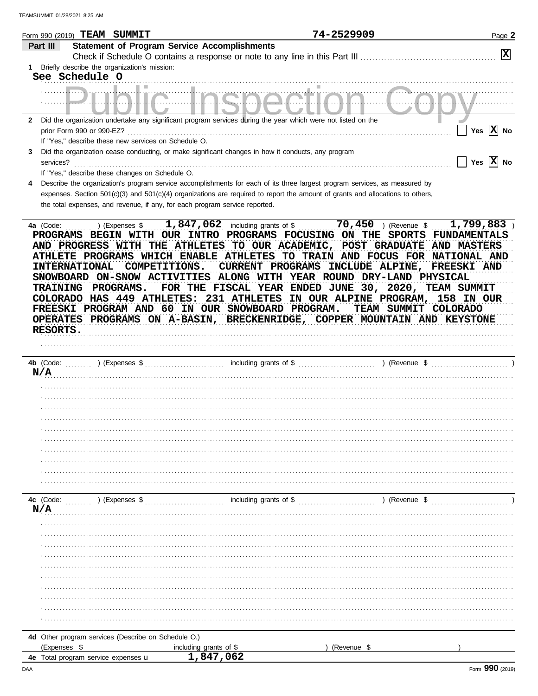|              | Form 990 (2019) TEAM SUMMIT                                                                                                                                                                                                                 |                                                                                                                                                                                                                                                                                         | 74-2529909                                                                                                                                                                                                                                                                                                      | Page 2                                                                                                                   |
|--------------|---------------------------------------------------------------------------------------------------------------------------------------------------------------------------------------------------------------------------------------------|-----------------------------------------------------------------------------------------------------------------------------------------------------------------------------------------------------------------------------------------------------------------------------------------|-----------------------------------------------------------------------------------------------------------------------------------------------------------------------------------------------------------------------------------------------------------------------------------------------------------------|--------------------------------------------------------------------------------------------------------------------------|
| Part III     |                                                                                                                                                                                                                                             | <b>Statement of Program Service Accomplishments</b>                                                                                                                                                                                                                                     |                                                                                                                                                                                                                                                                                                                 |                                                                                                                          |
|              |                                                                                                                                                                                                                                             | Check if Schedule O contains a response or note to any line in this Part III                                                                                                                                                                                                            |                                                                                                                                                                                                                                                                                                                 | $ \mathbf{x} $                                                                                                           |
| 1            | Briefly describe the organization's mission:                                                                                                                                                                                                |                                                                                                                                                                                                                                                                                         |                                                                                                                                                                                                                                                                                                                 |                                                                                                                          |
|              | See Schedule O                                                                                                                                                                                                                              |                                                                                                                                                                                                                                                                                         |                                                                                                                                                                                                                                                                                                                 |                                                                                                                          |
|              |                                                                                                                                                                                                                                             |                                                                                                                                                                                                                                                                                         |                                                                                                                                                                                                                                                                                                                 |                                                                                                                          |
|              |                                                                                                                                                                                                                                             |                                                                                                                                                                                                                                                                                         |                                                                                                                                                                                                                                                                                                                 |                                                                                                                          |
|              |                                                                                                                                                                                                                                             |                                                                                                                                                                                                                                                                                         |                                                                                                                                                                                                                                                                                                                 |                                                                                                                          |
| $\mathbf{2}$ |                                                                                                                                                                                                                                             | Did the organization undertake any significant program services during the year which were not listed on the                                                                                                                                                                            |                                                                                                                                                                                                                                                                                                                 |                                                                                                                          |
|              | prior Form 990 or 990-EZ?                                                                                                                                                                                                                   |                                                                                                                                                                                                                                                                                         |                                                                                                                                                                                                                                                                                                                 | Yes $ X $ No                                                                                                             |
|              | If "Yes," describe these new services on Schedule O.                                                                                                                                                                                        |                                                                                                                                                                                                                                                                                         |                                                                                                                                                                                                                                                                                                                 |                                                                                                                          |
| 3            |                                                                                                                                                                                                                                             | Did the organization cease conducting, or make significant changes in how it conducts, any program                                                                                                                                                                                      |                                                                                                                                                                                                                                                                                                                 | Yes $ \mathbf{X} $ No                                                                                                    |
|              | services?<br>If "Yes," describe these changes on Schedule O.                                                                                                                                                                                |                                                                                                                                                                                                                                                                                         |                                                                                                                                                                                                                                                                                                                 |                                                                                                                          |
| 4            |                                                                                                                                                                                                                                             | Describe the organization's program service accomplishments for each of its three largest program services, as measured by                                                                                                                                                              |                                                                                                                                                                                                                                                                                                                 |                                                                                                                          |
|              |                                                                                                                                                                                                                                             | expenses. Section 501(c)(3) and 501(c)(4) organizations are required to report the amount of grants and allocations to others,                                                                                                                                                          |                                                                                                                                                                                                                                                                                                                 |                                                                                                                          |
|              | the total expenses, and revenue, if any, for each program service reported.                                                                                                                                                                 |                                                                                                                                                                                                                                                                                         |                                                                                                                                                                                                                                                                                                                 |                                                                                                                          |
|              |                                                                                                                                                                                                                                             |                                                                                                                                                                                                                                                                                         |                                                                                                                                                                                                                                                                                                                 |                                                                                                                          |
| <b>AND</b>   | <b>PROGRESS</b><br>WITH<br>THE<br><b>ATHLETE PROGRAMS WHICH ENABLE</b><br><b>INTERNATIONAL</b><br>COMPETITIONS.<br>SNOWBOARD ON-SNOW ACTIVITIES<br><b>PROGRAMS.</b><br><b>TRAINING</b><br>COLORADO HAS 449<br>OPERATES PROGRAMS ON A-BASIN, | <b>PROGRAMS</b><br><b>ATHLETES</b><br><b>OUR</b><br>TO.<br><b>ATHLETES</b><br>TO<br>PROGRAMS<br>CURRENT<br><b>ALONG</b><br><b>FOR</b><br>THE<br>FISCAL YEAR ENDED JUNE<br>231<br><b>ATHLETES:</b><br><b>ATHLETES</b><br>FREESKI PROGRAM AND 60 IN OUR SNOWBOARD<br><b>BRECKENRIDGE,</b> | <b>FOCUSING</b><br>ON<br><b>ACADEMIC</b><br><b>POST</b><br><b>GRADUATE</b><br><b>TRAIN</b><br>AND FOCUS FOR<br><b>INCLUDE</b><br>ALPINE,<br>WITH YEAR ROUND DRY-LAND PHYSICAL<br>30 <sub>r</sub><br>$2020$ ,<br>IN OUR ALPINE PROGRAM,<br><b>PROGRAM.</b><br><b>TEAM SUMMIT</b><br>COPPER MOUNTAIN AND KEYSTONE | <b>FUNDAMENTALS</b><br><b>AND MASTERS</b><br>NATIONAL AND<br>FREESKI AND<br>TEAM SUMMIT<br>158 IN OUR<br><b>COLORADO</b> |
|              | RESORTS.                                                                                                                                                                                                                                    |                                                                                                                                                                                                                                                                                         |                                                                                                                                                                                                                                                                                                                 |                                                                                                                          |
|              |                                                                                                                                                                                                                                             |                                                                                                                                                                                                                                                                                         |                                                                                                                                                                                                                                                                                                                 |                                                                                                                          |
|              | 4b (Code:<br>) (Expenses \$                                                                                                                                                                                                                 | including grants of \$                                                                                                                                                                                                                                                                  | ) (Revenue \$                                                                                                                                                                                                                                                                                                   |                                                                                                                          |
| N/A          |                                                                                                                                                                                                                                             |                                                                                                                                                                                                                                                                                         |                                                                                                                                                                                                                                                                                                                 |                                                                                                                          |
|              |                                                                                                                                                                                                                                             |                                                                                                                                                                                                                                                                                         |                                                                                                                                                                                                                                                                                                                 |                                                                                                                          |
|              |                                                                                                                                                                                                                                             |                                                                                                                                                                                                                                                                                         |                                                                                                                                                                                                                                                                                                                 |                                                                                                                          |
|              |                                                                                                                                                                                                                                             |                                                                                                                                                                                                                                                                                         |                                                                                                                                                                                                                                                                                                                 |                                                                                                                          |
|              |                                                                                                                                                                                                                                             |                                                                                                                                                                                                                                                                                         |                                                                                                                                                                                                                                                                                                                 |                                                                                                                          |
|              |                                                                                                                                                                                                                                             |                                                                                                                                                                                                                                                                                         |                                                                                                                                                                                                                                                                                                                 |                                                                                                                          |
|              |                                                                                                                                                                                                                                             |                                                                                                                                                                                                                                                                                         |                                                                                                                                                                                                                                                                                                                 |                                                                                                                          |
|              |                                                                                                                                                                                                                                             |                                                                                                                                                                                                                                                                                         |                                                                                                                                                                                                                                                                                                                 |                                                                                                                          |
|              |                                                                                                                                                                                                                                             |                                                                                                                                                                                                                                                                                         |                                                                                                                                                                                                                                                                                                                 |                                                                                                                          |
|              |                                                                                                                                                                                                                                             |                                                                                                                                                                                                                                                                                         |                                                                                                                                                                                                                                                                                                                 |                                                                                                                          |
|              |                                                                                                                                                                                                                                             |                                                                                                                                                                                                                                                                                         |                                                                                                                                                                                                                                                                                                                 |                                                                                                                          |
|              | 4c (Code:<br>(Expenses \$                                                                                                                                                                                                                   | including grants of \$                                                                                                                                                                                                                                                                  | ) (Revenue \$                                                                                                                                                                                                                                                                                                   |                                                                                                                          |
| N/A          |                                                                                                                                                                                                                                             |                                                                                                                                                                                                                                                                                         |                                                                                                                                                                                                                                                                                                                 |                                                                                                                          |
|              |                                                                                                                                                                                                                                             |                                                                                                                                                                                                                                                                                         |                                                                                                                                                                                                                                                                                                                 |                                                                                                                          |
|              |                                                                                                                                                                                                                                             |                                                                                                                                                                                                                                                                                         |                                                                                                                                                                                                                                                                                                                 |                                                                                                                          |
|              |                                                                                                                                                                                                                                             |                                                                                                                                                                                                                                                                                         |                                                                                                                                                                                                                                                                                                                 |                                                                                                                          |
|              |                                                                                                                                                                                                                                             |                                                                                                                                                                                                                                                                                         |                                                                                                                                                                                                                                                                                                                 |                                                                                                                          |
|              |                                                                                                                                                                                                                                             |                                                                                                                                                                                                                                                                                         |                                                                                                                                                                                                                                                                                                                 |                                                                                                                          |
|              |                                                                                                                                                                                                                                             |                                                                                                                                                                                                                                                                                         |                                                                                                                                                                                                                                                                                                                 |                                                                                                                          |
|              |                                                                                                                                                                                                                                             |                                                                                                                                                                                                                                                                                         |                                                                                                                                                                                                                                                                                                                 |                                                                                                                          |
|              |                                                                                                                                                                                                                                             |                                                                                                                                                                                                                                                                                         |                                                                                                                                                                                                                                                                                                                 |                                                                                                                          |
|              |                                                                                                                                                                                                                                             |                                                                                                                                                                                                                                                                                         |                                                                                                                                                                                                                                                                                                                 |                                                                                                                          |
|              |                                                                                                                                                                                                                                             |                                                                                                                                                                                                                                                                                         |                                                                                                                                                                                                                                                                                                                 |                                                                                                                          |
|              |                                                                                                                                                                                                                                             |                                                                                                                                                                                                                                                                                         |                                                                                                                                                                                                                                                                                                                 |                                                                                                                          |
|              | 4d Other program services (Describe on Schedule O.)                                                                                                                                                                                         |                                                                                                                                                                                                                                                                                         |                                                                                                                                                                                                                                                                                                                 |                                                                                                                          |
|              | (Expenses \$<br>4e Total program service expenses u                                                                                                                                                                                         | including grants of \$<br>1,847,062                                                                                                                                                                                                                                                     | (Revenue \$                                                                                                                                                                                                                                                                                                     |                                                                                                                          |
|              |                                                                                                                                                                                                                                             |                                                                                                                                                                                                                                                                                         |                                                                                                                                                                                                                                                                                                                 |                                                                                                                          |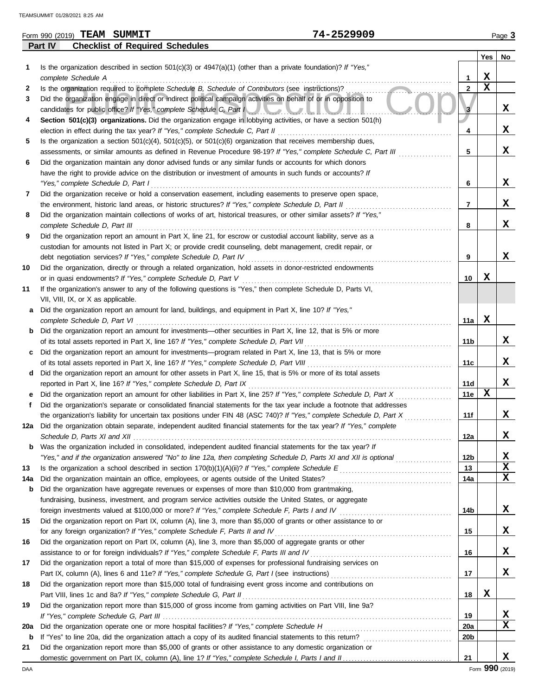|     | 74-2529909<br>Form 990 (2019) TEAM SUMMIT                                                                               |                |             | Page 3  |
|-----|-------------------------------------------------------------------------------------------------------------------------|----------------|-------------|---------|
|     | <b>Checklist of Required Schedules</b><br><b>Part IV</b>                                                                |                |             |         |
|     |                                                                                                                         |                | Yes         | $N_{0}$ |
| 1   | Is the organization described in section $501(c)(3)$ or $4947(a)(1)$ (other than a private foundation)? If "Yes,"       |                |             |         |
|     | complete Schedule A                                                                                                     | 1              | X           |         |
| 2   | Is the organization required to complete Schedule B, Schedule of Contributors (see instructions)?                       | $\mathbf{2}$   | $\mathbf x$ |         |
| 3   | Did the organization engage in direct or indirect political campaign activities on behalf of or in opposition to        |                |             |         |
|     | candidates for public office? If "Yes," complete Schedule C, Part I                                                     | 3              |             | x       |
| 4   | Section 501(c)(3) organizations. Did the organization engage in lobbying activities, or have a section 501(h)           |                |             |         |
|     |                                                                                                                         | 4              |             | X       |
| 5   | Is the organization a section $501(c)(4)$ , $501(c)(5)$ , or $501(c)(6)$ organization that receives membership dues,    |                |             |         |
|     | assessments, or similar amounts as defined in Revenue Procedure 98-19? If "Yes," complete Schedule C, Part III          | 5              |             | X       |
| 6   | Did the organization maintain any donor advised funds or any similar funds or accounts for which donors                 |                |             |         |
|     | have the right to provide advice on the distribution or investment of amounts in such funds or accounts? If             |                |             |         |
|     | "Yes," complete Schedule D, Part I                                                                                      | 6              |             | X       |
| 7   | Did the organization receive or hold a conservation easement, including easements to preserve open space,               |                |             |         |
|     | the environment, historic land areas, or historic structures? If "Yes," complete Schedule D, Part II                    | $\overline{7}$ |             | x       |
| 8   | Did the organization maintain collections of works of art, historical treasures, or other similar assets? If "Yes,"     |                |             |         |
|     | complete Schedule D, Part III                                                                                           | 8              |             | x       |
| 9   | Did the organization report an amount in Part X, line 21, for escrow or custodial account liability, serve as a         |                |             |         |
|     | custodian for amounts not listed in Part X; or provide credit counseling, debt management, credit repair, or            |                |             |         |
|     | debt negotiation services? If "Yes," complete Schedule D, Part IV                                                       | 9              |             | x       |
| 10  | Did the organization, directly or through a related organization, hold assets in donor-restricted endowments            |                |             |         |
|     |                                                                                                                         | 10             | x           |         |
| 11  | If the organization's answer to any of the following questions is "Yes," then complete Schedule D, Parts VI,            |                |             |         |
|     | VII, VIII, IX, or X as applicable.                                                                                      |                |             |         |
| a   | Did the organization report an amount for land, buildings, and equipment in Part X, line 10? If "Yes,"                  |                |             |         |
|     | complete Schedule D, Part VI                                                                                            | 11a            | х           |         |
| b   | Did the organization report an amount for investments—other securities in Part X, line 12, that is 5% or more           |                |             |         |
|     | of its total assets reported in Part X, line 16? If "Yes," complete Schedule D, Part VII                                | 11b            |             | x       |
| c   | Did the organization report an amount for investments—program related in Part X, line 13, that is 5% or more            |                |             |         |
|     |                                                                                                                         | 11c            |             | x       |
| d   | Did the organization report an amount for other assets in Part X, line 15, that is 5% or more of its total assets       |                |             |         |
|     | reported in Part X, line 16? If "Yes," complete Schedule D, Part IX                                                     | 11d            |             | x       |
|     | Did the organization report an amount for other liabilities in Part X, line 25? If "Yes," complete Schedule D, Part X   | <b>11e</b>     | X           |         |
| f   | Did the organization's separate or consolidated financial statements for the tax year include a footnote that addresses |                |             |         |
|     | the organization's liability for uncertain tax positions under FIN 48 (ASC 740)? If "Yes," complete Schedule D, Part X  | 11f            |             | X       |
|     | 12a Did the organization obtain separate, independent audited financial statements for the tax year? If "Yes," complete |                |             |         |
|     |                                                                                                                         | 12a            |             | x       |
| b   | Was the organization included in consolidated, independent audited financial statements for the tax year? If            |                |             |         |
|     | "Yes," and if the organization answered "No" to line 12a, then completing Schedule D, Parts XI and XII is optional      | 12b            |             | X       |
| 13  |                                                                                                                         | 13             |             | х       |
| 14a |                                                                                                                         | 14a            |             | x       |
| b   | Did the organization have aggregate revenues or expenses of more than \$10,000 from grantmaking,                        |                |             |         |
|     | fundraising, business, investment, and program service activities outside the United States, or aggregate               |                |             |         |
|     |                                                                                                                         | 14b            |             | X       |
| 15  | Did the organization report on Part IX, column (A), line 3, more than \$5,000 of grants or other assistance to or       |                |             |         |
|     | for any foreign organization? If "Yes," complete Schedule F, Parts II and IV                                            | 15             |             | x       |
| 16  | Did the organization report on Part IX, column (A), line 3, more than \$5,000 of aggregate grants or other              |                |             |         |
|     | assistance to or for foreign individuals? If "Yes," complete Schedule F, Parts III and IV [[[[[[[[[[[[[[[[[[[           | 16             |             | х       |
| 17  | Did the organization report a total of more than \$15,000 of expenses for professional fundraising services on          |                |             |         |
|     |                                                                                                                         | 17             |             | x       |
| 18  | Did the organization report more than \$15,000 total of fundraising event gross income and contributions on             |                |             |         |
|     | Part VIII, lines 1c and 8a? If "Yes," complete Schedule G, Part II                                                      | 18             | X           |         |
| 19  | Did the organization report more than \$15,000 of gross income from gaming activities on Part VIII, line 9a?            |                |             |         |
|     |                                                                                                                         | 19             |             | x       |
| 20a | Did the organization operate one or more hospital facilities? If "Yes," complete Schedule H                             | 20a            |             | x       |

**b** If "Yes" to line 20a, did the organization attach a copy of its audited financial statements to this return? . . . . . . . . . . . . . . . . . . . . . . . . . . . . . .

domestic government on Part IX, column (A), line 1? If "Yes," complete Schedule I, Parts I and II. **21** Did the organization report more than \$5,000 of grants or other assistance to any domestic organization or **20b**

| __ |  |  |  |  |
|----|--|--|--|--|
|    |  |  |  |  |
|    |  |  |  |  |
|    |  |  |  |  |
|    |  |  |  |  |
|    |  |  |  |  |
|    |  |  |  |  |
|    |  |  |  |  |
|    |  |  |  |  |
|    |  |  |  |  |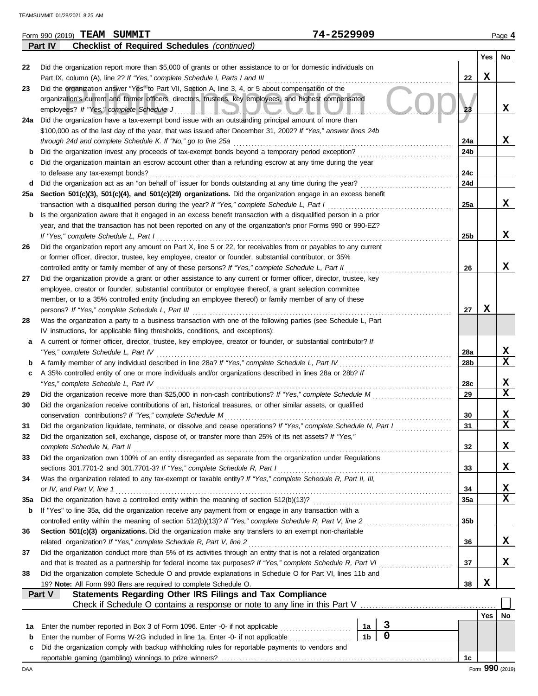|          | Form 990 (2019) TEAM SUMMIT                                                                                                                                                                                                | 74-2529909     |             |                 |                 | Page 4      |
|----------|----------------------------------------------------------------------------------------------------------------------------------------------------------------------------------------------------------------------------|----------------|-------------|-----------------|-----------------|-------------|
|          | <b>Checklist of Required Schedules (continued)</b><br>Part IV                                                                                                                                                              |                |             |                 |                 |             |
|          |                                                                                                                                                                                                                            |                |             |                 | Yes             | No          |
| 22       | Did the organization report more than \$5,000 of grants or other assistance to or for domestic individuals on                                                                                                              |                |             |                 |                 |             |
|          | Part IX, column (A), line 2? If "Yes," complete Schedule I, Parts I and III                                                                                                                                                |                |             | 22              | X               |             |
| 23       | Did the organization answer "Yes" to Part VII, Section A, line 3, 4, or 5 about compensation of the                                                                                                                        |                |             |                 |                 |             |
|          | organization's current and former officers, directors, trustees, key employees, and highest compensated                                                                                                                    |                |             |                 |                 |             |
|          | employees? If "Yes," complete Schedule J<br>$\mathbf{I}$ , $\mathbf{I}$                                                                                                                                                    |                |             | 23              |                 | X           |
|          | 24a Did the organization have a tax-exempt bond issue with an outstanding principal amount of more than                                                                                                                    |                |             |                 |                 |             |
|          | \$100,000 as of the last day of the year, that was issued after December 31, 2002? If "Yes," answer lines 24b                                                                                                              |                |             |                 |                 |             |
|          | through 24d and complete Schedule K. If "No," go to line 25a                                                                                                                                                               |                |             | 24a             |                 | x           |
| b        | Did the organization invest any proceeds of tax-exempt bonds beyond a temporary period exception?                                                                                                                          |                |             | 24b             |                 |             |
| с        | Did the organization maintain an escrow account other than a refunding escrow at any time during the year                                                                                                                  |                |             | 24c             |                 |             |
|          | to defease any tax-exempt bonds?<br>Did the organization act as an "on behalf of" issuer for bonds outstanding at any time during the year?<br>d                                                                           |                |             | 24d             |                 |             |
| 25а      | Section 501(c)(3), 501(c)(4), and 501(c)(29) organizations. Did the organization engage in an excess benefit                                                                                                               |                |             |                 |                 |             |
|          | transaction with a disqualified person during the year? If "Yes," complete Schedule L, Part I                                                                                                                              |                |             | 25a             |                 | x           |
| b        | Is the organization aware that it engaged in an excess benefit transaction with a disqualified person in a prior                                                                                                           |                |             |                 |                 |             |
|          | year, and that the transaction has not been reported on any of the organization's prior Forms 990 or 990-EZ?                                                                                                               |                |             |                 |                 |             |
|          | If "Yes," complete Schedule L, Part I                                                                                                                                                                                      |                |             | 25b             |                 | X           |
| 26       | Did the organization report any amount on Part X, line 5 or 22, for receivables from or payables to any current                                                                                                            |                |             |                 |                 |             |
|          | or former officer, director, trustee, key employee, creator or founder, substantial contributor, or 35%                                                                                                                    |                |             |                 |                 |             |
|          | controlled entity or family member of any of these persons? If "Yes," complete Schedule L, Part II                                                                                                                         |                |             | 26              |                 | X           |
| 27       | Did the organization provide a grant or other assistance to any current or former officer, director, trustee, key                                                                                                          |                |             |                 |                 |             |
|          | employee, creator or founder, substantial contributor or employee thereof, a grant selection committee                                                                                                                     |                |             |                 |                 |             |
|          | member, or to a 35% controlled entity (including an employee thereof) or family member of any of these                                                                                                                     |                |             |                 |                 |             |
|          | persons? If "Yes," complete Schedule L, Part III                                                                                                                                                                           |                |             | 27              | X               |             |
| 28       | Was the organization a party to a business transaction with one of the following parties (see Schedule L, Part                                                                                                             |                |             |                 |                 |             |
|          | IV instructions, for applicable filing thresholds, conditions, and exceptions):                                                                                                                                            |                |             |                 |                 |             |
| a        | A current or former officer, director, trustee, key employee, creator or founder, or substantial contributor? If                                                                                                           |                |             |                 |                 |             |
|          | "Yes," complete Schedule L, Part IV                                                                                                                                                                                        |                |             | 28a             |                 | X           |
| b        | A family member of any individual described in line 28a? If "Yes," complete Schedule L, Part IV                                                                                                                            |                |             | 28b             |                 | $\mathbf x$ |
| c        | A 35% controlled entity of one or more individuals and/or organizations described in lines 28a or 28b? If                                                                                                                  |                |             |                 |                 | х           |
|          | "Yes," complete Schedule L, Part IV                                                                                                                                                                                        |                |             | 28c             |                 | $\mathbf x$ |
| 29<br>30 | Did the organization receive more than \$25,000 in non-cash contributions? If "Yes," complete Schedule M<br>Did the organization receive contributions of art, historical treasures, or other similar assets, or qualified |                |             | 29              |                 |             |
|          | conservation contributions? If "Yes," complete Schedule M                                                                                                                                                                  |                |             | 30              |                 | X           |
| 31       | Did the organization liquidate, terminate, or dissolve and cease operations? If "Yes," complete Schedule N, Part I                                                                                                         |                |             | 31              |                 | X           |
| 32       | Did the organization sell, exchange, dispose of, or transfer more than 25% of its net assets? If "Yes,"                                                                                                                    |                |             |                 |                 |             |
|          | complete Schedule N, Part II                                                                                                                                                                                               |                |             | 32              |                 | X           |
| 33       | Did the organization own 100% of an entity disregarded as separate from the organization under Regulations                                                                                                                 |                |             |                 |                 |             |
|          | sections 301.7701-2 and 301.7701-3? If "Yes," complete Schedule R, Part I                                                                                                                                                  |                |             | 33              |                 | X           |
| 34       | Was the organization related to any tax-exempt or taxable entity? If "Yes," complete Schedule R, Part II, III,                                                                                                             |                |             |                 |                 |             |
|          | or IV, and Part V, line 1                                                                                                                                                                                                  |                |             | 34              |                 | X           |
| 35a      | Did the organization have a controlled entity within the meaning of section 512(b)(13)?                                                                                                                                    |                |             | 35a             |                 | X           |
| b        | If "Yes" to line 35a, did the organization receive any payment from or engage in any transaction with a                                                                                                                    |                |             |                 |                 |             |
|          | controlled entity within the meaning of section 512(b)(13)? If "Yes," complete Schedule R, Part V, line 2                                                                                                                  |                |             | 35 <sub>b</sub> |                 |             |
| 36       | Section 501(c)(3) organizations. Did the organization make any transfers to an exempt non-charitable                                                                                                                       |                |             |                 |                 |             |
|          | related organization? If "Yes," complete Schedule R, Part V, line 2                                                                                                                                                        |                |             | 36              |                 | X           |
| 37       | Did the organization conduct more than 5% of its activities through an entity that is not a related organization                                                                                                           |                |             |                 |                 |             |
|          | and that is treated as a partnership for federal income tax purposes? If "Yes," complete Schedule R, Part VI                                                                                                               |                |             | 37              |                 | X           |
| 38       | Did the organization complete Schedule O and provide explanations in Schedule O for Part VI, lines 11b and                                                                                                                 |                |             |                 |                 |             |
|          | 19? Note: All Form 990 filers are required to complete Schedule O.<br>Statements Regarding Other IRS Filings and Tax Compliance<br>Part V                                                                                  |                |             | 38              | X               |             |
|          | Check if Schedule O contains a response or note to any line in this Part V                                                                                                                                                 |                |             |                 |                 |             |
|          |                                                                                                                                                                                                                            |                |             |                 | Yes             | No          |
| 1a       | Enter the number reported in Box 3 of Form 1096. Enter -0- if not applicable                                                                                                                                               | 1a             | 3           |                 |                 |             |
| b        | Enter the number of Forms W-2G included in line 1a. Enter -0- if not applicable                                                                                                                                            | 1 <sub>b</sub> | $\mathbf 0$ |                 |                 |             |
| c        | Did the organization comply with backup withholding rules for reportable payments to vendors and                                                                                                                           |                |             |                 |                 |             |
|          |                                                                                                                                                                                                                            |                |             | 1c              |                 |             |
| DAA      |                                                                                                                                                                                                                            |                |             |                 | Form 990 (2019) |             |

| Л |  |  | 2529909 |  |  |
|---|--|--|---------|--|--|
|   |  |  |         |  |  |

| <u>IEAMOUMMII UIZOZUZI 0.Z</u> |  |
|--------------------------------|--|
|                                |  |
|                                |  |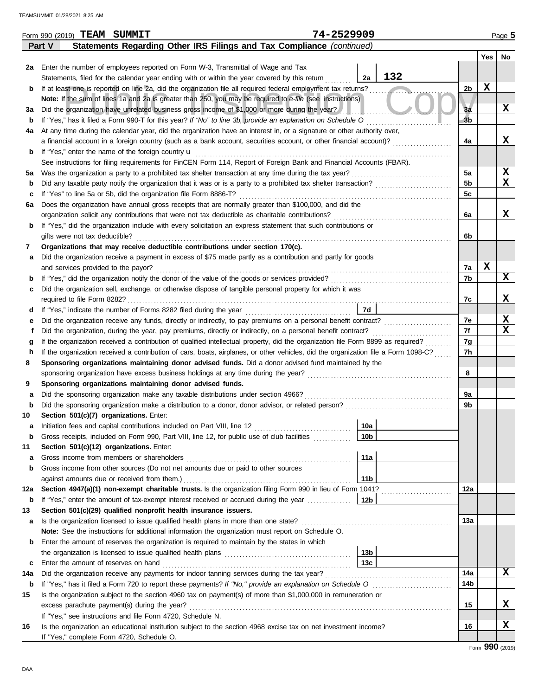|             | 74-2529909<br>Form 990 (2019) TEAM SUMMIT                                                                                          |                 |                |             | Page 5      |
|-------------|------------------------------------------------------------------------------------------------------------------------------------|-----------------|----------------|-------------|-------------|
|             | Statements Regarding Other IRS Filings and Tax Compliance (continued)<br>Part V                                                    |                 |                |             |             |
|             |                                                                                                                                    |                 |                | Yes         | No          |
| 2a          | Enter the number of employees reported on Form W-3, Transmittal of Wage and Tax                                                    |                 |                |             |             |
|             | Statements, filed for the calendar year ending with or within the year covered by this return                                      | 132<br>2a       |                |             |             |
| b           | If at least one is reported on line 2a, did the organization file all required federal employment tax returns?                     |                 | 2b             | X           |             |
|             | Note: If the sum of lines 1a and 2a is greater than 250, you may be required to e-file (see instructions)                          |                 |                |             |             |
| За          | Did the organization have unrelated business gross income of \$1,000 or more during the year?                                      |                 | 3a             |             | X           |
| b           | If "Yes," has it filed a Form 990-T for this year? If "No" to line 3b, provide an explanation on Schedule O                        |                 | 3 <sub>b</sub> |             |             |
| 4a          | At any time during the calendar year, did the organization have an interest in, or a signature or other authority over,            |                 |                |             |             |
|             | a financial account in a foreign country (such as a bank account, securities account, or other financial account)?                 |                 | 4a             |             | X           |
| b           | If "Yes," enter the name of the foreign country u                                                                                  |                 |                |             |             |
|             | See instructions for filing requirements for FinCEN Form 114, Report of Foreign Bank and Financial Accounts (FBAR).                |                 |                |             |             |
| 5а          | Was the organization a party to a prohibited tax shelter transaction at any time during the tax year?                              |                 | 5a             |             | X           |
| b           | Did any taxable party notify the organization that it was or is a party to a prohibited tax shelter transaction?                   |                 | 5 <sub>b</sub> |             | $\mathbf x$ |
| c           | If "Yes" to line 5a or 5b, did the organization file Form 8886-T?                                                                  |                 | 5c             |             |             |
| 6a          | Does the organization have annual gross receipts that are normally greater than \$100,000, and did the                             |                 |                |             |             |
|             | organization solicit any contributions that were not tax deductible as charitable contributions?                                   |                 | 6a             |             | X           |
| b           | If "Yes," did the organization include with every solicitation an express statement that such contributions or                     |                 |                |             |             |
|             | gifts were not tax deductible?                                                                                                     |                 | 6b             |             |             |
| 7           | Organizations that may receive deductible contributions under section 170(c).                                                      |                 |                |             |             |
| а           | Did the organization receive a payment in excess of \$75 made partly as a contribution and partly for goods                        |                 |                |             |             |
|             | and services provided to the payor?                                                                                                |                 | 7a             | $\mathbf x$ |             |
| $\mathbf b$ |                                                                                                                                    |                 | 7b             |             | X           |
| c           | Did the organization sell, exchange, or otherwise dispose of tangible personal property for which it was                           |                 |                |             |             |
|             |                                                                                                                                    |                 | 7c             |             | х           |
| d           |                                                                                                                                    | 7d              |                |             |             |
| е           | Did the organization receive any funds, directly or indirectly, to pay premiums on a personal benefit contract?                    |                 | 7e             |             | X           |
|             | Did the organization, during the year, pay premiums, directly or indirectly, on a personal benefit contract?                       |                 | 7f             |             | x           |
| g           | If the organization received a contribution of qualified intellectual property, did the organization file Form 8899 as required?   |                 | 7g             |             |             |
| h           | If the organization received a contribution of cars, boats, airplanes, or other vehicles, did the organization file a Form 1098-C? |                 | 7h             |             |             |
| 8           | Sponsoring organizations maintaining donor advised funds. Did a donor advised fund maintained by the                               |                 |                |             |             |
|             | sponsoring organization have excess business holdings at any time during the year?                                                 |                 | 8              |             |             |
| 9           | Sponsoring organizations maintaining donor advised funds.                                                                          |                 |                |             |             |
| а           | Did the sponsoring organization make any taxable distributions under section 4966?                                                 |                 | 9а             |             |             |
| b           | Did the sponsoring organization make a distribution to a donor, donor advisor, or related person?                                  |                 | 9b             |             |             |
| 10          | Section 501(c)(7) organizations. Enter:                                                                                            |                 |                |             |             |
|             |                                                                                                                                    | 10a             |                |             |             |
| b           | Gross receipts, included on Form 990, Part VIII, line 12, for public use of club facilities                                        | 10 <sub>b</sub> |                |             |             |
| 11          | Section 501(c)(12) organizations. Enter:                                                                                           |                 |                |             |             |
| а           | Gross income from members or shareholders                                                                                          | 11a             |                |             |             |
| b           | Gross income from other sources (Do not net amounts due or paid to other sources                                                   |                 |                |             |             |
|             | against amounts due or received from them.)                                                                                        | 11 <sub>b</sub> |                |             |             |
| 12a         | Section 4947(a)(1) non-exempt charitable trusts. Is the organization filing Form 990 in lieu of Form 1041?                         |                 | 12a            |             |             |
| b           | If "Yes," enter the amount of tax-exempt interest received or accrued during the year <i>minimizion</i> .                          | 12b             |                |             |             |
| 13          | Section 501(c)(29) qualified nonprofit health insurance issuers.                                                                   |                 |                |             |             |
| a           | Is the organization licensed to issue qualified health plans in more than one state?                                               |                 | 13а            |             |             |
|             | Note: See the instructions for additional information the organization must report on Schedule O.                                  |                 |                |             |             |
| b           | Enter the amount of reserves the organization is required to maintain by the states in which                                       |                 |                |             |             |
|             |                                                                                                                                    | 13b             |                |             |             |
| c           | Enter the amount of reserves on hand                                                                                               | 13 <sub>c</sub> |                |             |             |
| 14a         | Did the organization receive any payments for indoor tanning services during the tax year?                                         |                 | 14a            |             | x           |
| b           |                                                                                                                                    |                 | 14b            |             |             |
| 15          | Is the organization subject to the section 4960 tax on payment(s) of more than \$1,000,000 in remuneration or                      |                 |                |             |             |
|             | excess parachute payment(s) during the year?                                                                                       |                 | 15             |             | x           |
|             | If "Yes," see instructions and file Form 4720, Schedule N.                                                                         |                 |                |             |             |
| 16          | Is the organization an educational institution subject to the section 4968 excise tax on net investment income?                    |                 | 16             |             | X           |
|             | If "Yes," complete Form 4720, Schedule O.                                                                                          |                 |                |             |             |
|             |                                                                                                                                    |                 |                |             |             |

Form **990** (2019)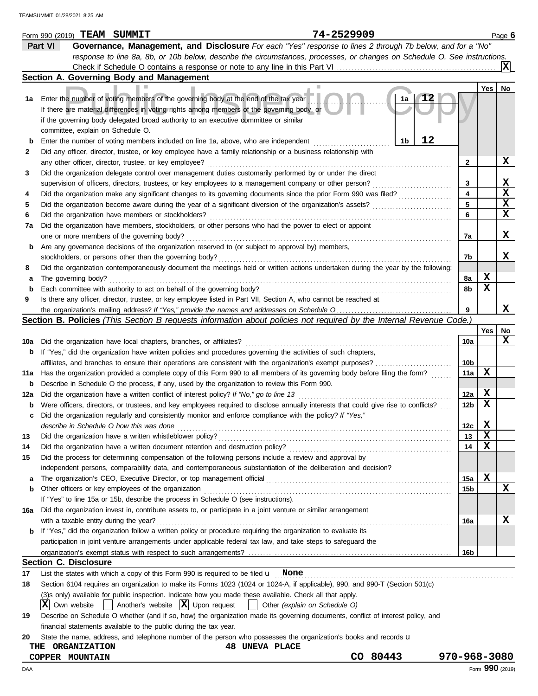|             | 74-2529909<br>Form 990 (2019) TEAM SUMMIT                                                                                                                                             |                 |     | Page 6          |
|-------------|---------------------------------------------------------------------------------------------------------------------------------------------------------------------------------------|-----------------|-----|-----------------|
|             | Governance, Management, and Disclosure For each "Yes" response to lines 2 through 7b below, and for a "No"<br>Part VI                                                                 |                 |     |                 |
|             | response to line 8a, 8b, or 10b below, describe the circumstances, processes, or changes on Schedule O. See instructions.                                                             |                 |     |                 |
|             |                                                                                                                                                                                       |                 |     | IХ              |
|             | Section A. Governing Body and Management                                                                                                                                              |                 |     |                 |
|             |                                                                                                                                                                                       |                 | Yes | No              |
| 1а          | Enter the number of voting members of the governing body at the end of the tax year<br>1a                                                                                             |                 |     |                 |
|             | If there are material differences in voting rights among members of the governing body, or                                                                                            |                 |     |                 |
|             | if the governing body delegated broad authority to an executive committee or similar                                                                                                  |                 |     |                 |
|             | committee, explain on Schedule O.                                                                                                                                                     |                 |     |                 |
| $\mathbf b$ | 12<br>1b<br>Enter the number of voting members included on line 1a, above, who are independent                                                                                        |                 |     |                 |
| 2           | Did any officer, director, trustee, or key employee have a family relationship or a business relationship with                                                                        |                 |     |                 |
|             | any other officer, director, trustee, or key employee?                                                                                                                                | 2               |     | X.              |
| 3           | Did the organization delegate control over management duties customarily performed by or under the direct                                                                             |                 |     |                 |
|             | supervision of officers, directors, trustees, or key employees to a management company or other person?                                                                               | 3               |     | x               |
| 4           | Did the organization make any significant changes to its governing documents since the prior Form 990 was filed?                                                                      | 4               |     | x               |
| 5           | Did the organization become aware during the year of a significant diversion of the organization's assets?                                                                            | 5               |     | x               |
| 6           | Did the organization have members or stockholders?                                                                                                                                    | 6               |     | x               |
| 7a          | Did the organization have members, stockholders, or other persons who had the power to elect or appoint                                                                               |                 |     |                 |
|             | one or more members of the governing body?                                                                                                                                            | 7a              |     | X.              |
| b           | Are any governance decisions of the organization reserved to (or subject to approval by) members,                                                                                     |                 |     |                 |
|             | stockholders, or persons other than the governing body?                                                                                                                               | 7b              |     | X.              |
| 8           | Did the organization contemporaneously document the meetings held or written actions undertaken during the year by the following:                                                     |                 |     |                 |
| а           | The governing body?                                                                                                                                                                   | 8а              | х   |                 |
| $\mathbf b$ | Each committee with authority to act on behalf of the governing body?                                                                                                                 | 8b              | x   |                 |
| 9           | Is there any officer, director, trustee, or key employee listed in Part VII, Section A, who cannot be reached at                                                                      |                 |     |                 |
|             |                                                                                                                                                                                       | 9               |     | x               |
|             | Section B. Policies (This Section B requests information about policies not required by the Internal Revenue Code.)                                                                   |                 |     |                 |
|             |                                                                                                                                                                                       |                 | Yes | No              |
| 10a         | Did the organization have local chapters, branches, or affiliates?                                                                                                                    | 10a             |     | x               |
| b           | If "Yes," did the organization have written policies and procedures governing the activities of such chapters,                                                                        |                 |     |                 |
|             | affiliates, and branches to ensure their operations are consistent with the organization's exempt purposes?                                                                           | 10 <sub>b</sub> |     |                 |
| 11a         | Has the organization provided a complete copy of this Form 990 to all members of its governing body before filing the form?                                                           | 11a             | х   |                 |
| b           | Describe in Schedule O the process, if any, used by the organization to review this Form 990.                                                                                         |                 |     |                 |
| 12a         | Did the organization have a written conflict of interest policy? If "No," go to line 13                                                                                               | 12a             | х   |                 |
| b           | Were officers, directors, or trustees, and key employees required to disclose annually interests that could give rise to conflicts?                                                   | 12b             | X   |                 |
| с           | Did the organization regularly and consistently monitor and enforce compliance with the policy? If "Yes,"                                                                             |                 |     |                 |
|             | describe in Schedule O how this was done                                                                                                                                              | 12c             | x   |                 |
| 13          | Did the organization have a written whistleblower policy?                                                                                                                             | 13              | х   |                 |
| 14          | Did the organization have a written document retention and destruction policy?                                                                                                        | 14              | х   |                 |
| 15          | Did the process for determining compensation of the following persons include a review and approval by                                                                                |                 |     |                 |
|             | independent persons, comparability data, and contemporaneous substantiation of the deliberation and decision?                                                                         |                 |     |                 |
| а           |                                                                                                                                                                                       | 15a             | х   |                 |
| b           | Other officers or key employees of the organization                                                                                                                                   | 15b             |     | x               |
|             | If "Yes" to line 15a or 15b, describe the process in Schedule O (see instructions).                                                                                                   |                 |     |                 |
| 16a         | Did the organization invest in, contribute assets to, or participate in a joint venture or similar arrangement                                                                        |                 |     |                 |
|             | with a taxable entity during the year?                                                                                                                                                | 16a             |     | X               |
| b           | If "Yes," did the organization follow a written policy or procedure requiring the organization to evaluate its                                                                        |                 |     |                 |
|             | participation in joint venture arrangements under applicable federal tax law, and take steps to safeguard the                                                                         |                 |     |                 |
|             |                                                                                                                                                                                       | 16b             |     |                 |
|             | <b>Section C. Disclosure</b>                                                                                                                                                          |                 |     |                 |
| 17          | List the states with which a copy of this Form 990 is required to be filed $\mathbf u$ None                                                                                           |                 |     |                 |
| 18          | Section 6104 requires an organization to make its Forms 1023 (1024 or 1024-A, if applicable), 990, and 990-T (Section 501(c)                                                          |                 |     |                 |
|             | (3)s only) available for public inspection. Indicate how you made these available. Check all that apply.                                                                              |                 |     |                 |
|             | Another's website $ \mathbf{X} $ Upon request<br>$ \mathbf{X} $ Own website<br>Other (explain on Schedule O)                                                                          |                 |     |                 |
| 19          | Describe on Schedule O whether (and if so, how) the organization made its governing documents, conflict of interest policy, and                                                       |                 |     |                 |
|             | financial statements available to the public during the tax year.<br>State the name, address, and telephone number of the person who possesses the organization's books and records u |                 |     |                 |
| 20          | <b>48 UNEVA PLACE</b><br><b>ORGANIZATION</b><br>THE                                                                                                                                   |                 |     |                 |
|             | CO 80443<br>COPPER MOUNTAIN                                                                                                                                                           | 970-968-3080    |     |                 |
| DAA         |                                                                                                                                                                                       |                 |     | Form 990 (2019) |
|             |                                                                                                                                                                                       |                 |     |                 |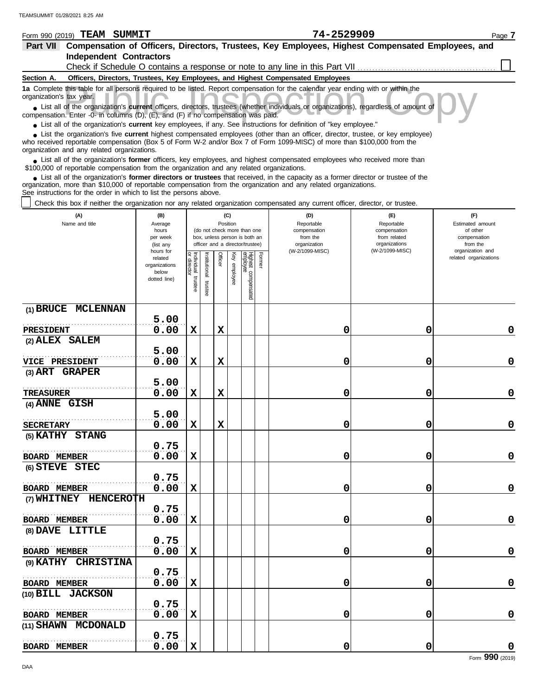| Form 990 (2019)          | <b>TEAM SUMMIT</b>             | 74-2529909                                                                                                                                                                                                                                                       | Page 7 |
|--------------------------|--------------------------------|------------------------------------------------------------------------------------------------------------------------------------------------------------------------------------------------------------------------------------------------------------------|--------|
| <b>Part VII</b>          |                                | Compensation of Officers, Directors, Trustees, Key Employees, Highest Compensated Employees, and                                                                                                                                                                 |        |
|                          | <b>Independent Contractors</b> |                                                                                                                                                                                                                                                                  |        |
|                          |                                | Check if Schedule O contains a response or note to any line in this Part VII                                                                                                                                                                                     |        |
| Section A.               |                                | Officers, Directors, Trustees, Key Employees, and Highest Compensated Employees                                                                                                                                                                                  |        |
| organization's tax year. |                                | 1a Complete this table for all persons required to be listed. Report compensation for the calendar year ending with or within the                                                                                                                                |        |
|                          |                                | • List all of the organization's current officers, directors, trustees (whether individuals or organizations), regardless of amount of<br>compensation. Enter -0- in columns (D), (E), and (F) if no compensation was paid.                                      |        |
|                          |                                | • List all of the organization's current key employees, if any. See instructions for definition of "key employee."                                                                                                                                               |        |
|                          |                                | List the organization's five <b>current</b> highest compensated employees (other than an officer, director, trustee, or key employee)<br>who received reportable compensation (Box 5 of Form W-2 and/or Box 7 of Form 1099-MISC) of more than \$100,000 from the |        |

organization and any related organizations. ■ List all of the organization's **former** officers, key employees, and highest compensated employees who received more than<br> **•** 00,000 of reportable compensation from the ergonization and any related ergonizations \$100,000 of reportable compensation from the organization and any related organizations.

List all of the organization's **former directors or trustees** that received, in the capacity as a former director or trustee of the organization, more than \$10,000 of reportable compensation from the organization and any related organizations. See instructions for the order in which to list the persons above. **•**

Check this box if neither the organization nor any related organization compensated any current officer, director, or trustee.

| (A)<br>Name and title         | (B)<br>Average<br>hours<br>per week<br>(list any<br>hours for |                                      |                          |             | (C)<br>Position<br>(do not check more than one<br>box, unless person is both an<br>officer and a director/trustee) |                                 |        | (D)<br>Reportable<br>compensation<br>from the<br>organization<br>(W-2/1099-MISC) | (E)<br>Reportable<br>compensation<br>from related<br>organizations<br>(W-2/1099-MISC) | (F)<br>Estimated amount<br>of other<br>compensation<br>from the<br>organization and |
|-------------------------------|---------------------------------------------------------------|--------------------------------------|--------------------------|-------------|--------------------------------------------------------------------------------------------------------------------|---------------------------------|--------|----------------------------------------------------------------------------------|---------------------------------------------------------------------------------------|-------------------------------------------------------------------------------------|
|                               | related<br>organizations<br>below<br>dotted line)             | Individual<br>or director<br>trustee | Institutional<br>trustee | Officer     | Ķey<br>employee                                                                                                    | Highest compensated<br>employee | Former |                                                                                  |                                                                                       | related organizations                                                               |
| (1) BRUCE MCLENNAN            | 5.00                                                          |                                      |                          |             |                                                                                                                    |                                 |        |                                                                                  |                                                                                       |                                                                                     |
| <b>PRESIDENT</b>              | 0.00                                                          | $\mathbf x$                          |                          | $\mathbf x$ |                                                                                                                    |                                 |        | 0                                                                                | 0                                                                                     | $\mathbf 0$                                                                         |
| (2) ALEX SALEM                | 5.00                                                          |                                      |                          |             |                                                                                                                    |                                 |        |                                                                                  |                                                                                       |                                                                                     |
| VICE PRESIDENT                | 0.00                                                          | X                                    |                          | $\mathbf x$ |                                                                                                                    |                                 |        | 0                                                                                | 0                                                                                     | $\mathbf 0$                                                                         |
| (3) ART GRAPER                |                                                               |                                      |                          |             |                                                                                                                    |                                 |        |                                                                                  |                                                                                       |                                                                                     |
|                               | 5.00                                                          |                                      |                          |             |                                                                                                                    |                                 |        |                                                                                  |                                                                                       |                                                                                     |
| <b>TREASURER</b>              | 0.00                                                          | $\mathbf x$                          |                          | $\mathbf x$ |                                                                                                                    |                                 |        | 0                                                                                | 0                                                                                     | 0                                                                                   |
| (4) ANNE GISH                 |                                                               |                                      |                          |             |                                                                                                                    |                                 |        |                                                                                  |                                                                                       |                                                                                     |
|                               | 5.00                                                          |                                      |                          |             |                                                                                                                    |                                 |        |                                                                                  |                                                                                       |                                                                                     |
| <b>SECRETARY</b>              | 0.00                                                          | $\mathbf x$                          |                          | $\mathbf x$ |                                                                                                                    |                                 |        | 0                                                                                | 0                                                                                     | $\mathbf 0$                                                                         |
| (5) KATHY STANG               |                                                               |                                      |                          |             |                                                                                                                    |                                 |        |                                                                                  |                                                                                       |                                                                                     |
|                               | 0.75                                                          |                                      |                          |             |                                                                                                                    |                                 |        |                                                                                  |                                                                                       |                                                                                     |
| <b>BOARD MEMBER</b>           | 0.00                                                          | $\mathbf x$                          |                          |             |                                                                                                                    |                                 |        | 0                                                                                | 0                                                                                     | $\mathbf 0$                                                                         |
| (6) STEVE STEC                |                                                               |                                      |                          |             |                                                                                                                    |                                 |        |                                                                                  |                                                                                       |                                                                                     |
|                               | 0.75                                                          |                                      |                          |             |                                                                                                                    |                                 |        |                                                                                  |                                                                                       |                                                                                     |
| <b>BOARD MEMBER</b>           | 0.00                                                          | X                                    |                          |             |                                                                                                                    |                                 |        | 0                                                                                | 0                                                                                     | 0                                                                                   |
| (7) WHITNEY HENCEROTH         |                                                               |                                      |                          |             |                                                                                                                    |                                 |        |                                                                                  |                                                                                       |                                                                                     |
|                               | 0.75                                                          |                                      |                          |             |                                                                                                                    |                                 |        |                                                                                  |                                                                                       |                                                                                     |
| <b>BOARD MEMBER</b>           | 0.00                                                          | $\mathbf x$                          |                          |             |                                                                                                                    |                                 |        | 0                                                                                | 0                                                                                     | $\mathbf 0$                                                                         |
| (8) DAVE LITTLE               | 0.75                                                          |                                      |                          |             |                                                                                                                    |                                 |        |                                                                                  |                                                                                       |                                                                                     |
| <b>BOARD MEMBER</b>           | 0.00                                                          | $\mathbf x$                          |                          |             |                                                                                                                    |                                 |        | 0                                                                                | 0                                                                                     | 0                                                                                   |
| <b>CHRISTINA</b><br>(9) KATHY |                                                               |                                      |                          |             |                                                                                                                    |                                 |        |                                                                                  |                                                                                       |                                                                                     |
|                               | 0.75                                                          |                                      |                          |             |                                                                                                                    |                                 |        |                                                                                  |                                                                                       |                                                                                     |
| <b>BOARD MEMBER</b>           | 0.00                                                          | $\mathbf x$                          |                          |             |                                                                                                                    |                                 |        | 0                                                                                | 0                                                                                     | 0                                                                                   |
| (10) BILL JACKSON             |                                                               |                                      |                          |             |                                                                                                                    |                                 |        |                                                                                  |                                                                                       |                                                                                     |
|                               | 0.75                                                          |                                      |                          |             |                                                                                                                    |                                 |        |                                                                                  |                                                                                       |                                                                                     |
| <b>BOARD MEMBER</b>           | 0.00                                                          | $\mathbf x$                          |                          |             |                                                                                                                    |                                 |        | 0                                                                                | 0                                                                                     | $\mathbf 0$                                                                         |
| (11) SHAWN MCDONALD           |                                                               |                                      |                          |             |                                                                                                                    |                                 |        |                                                                                  |                                                                                       |                                                                                     |
|                               | 0.75                                                          |                                      |                          |             |                                                                                                                    |                                 |        |                                                                                  |                                                                                       |                                                                                     |
| <b>BOARD MEMBER</b>           | 0.00                                                          | $\mathbf x$                          |                          |             |                                                                                                                    |                                 |        | 0                                                                                | 0                                                                                     | 0                                                                                   |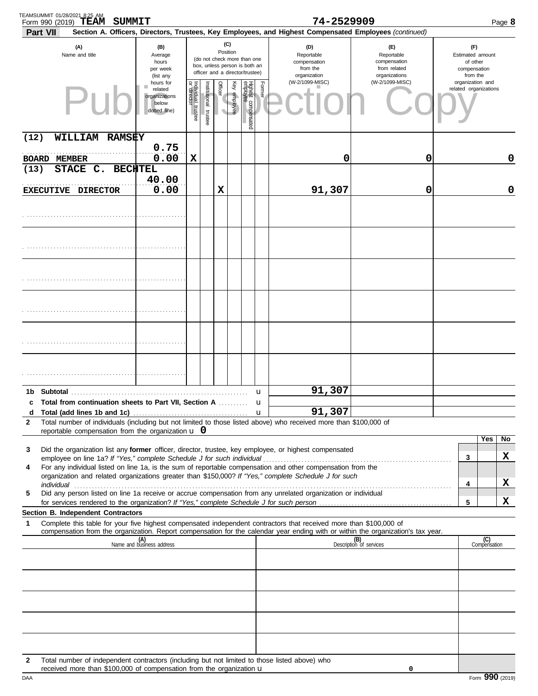| TEAMSUMMIT 01/28/2021 8:25 AM<br>Form 990 (2019) | SUMMIT<br>TEAM                                                                                                                                                        |                                                                |                                   |                       |                 |              |                                                                                                 |                  | 74-2529909                                                                                                                                                                                                                                                                                                                                      |                                                                    |   |                                                                 | Page 8      |
|--------------------------------------------------|-----------------------------------------------------------------------------------------------------------------------------------------------------------------------|----------------------------------------------------------------|-----------------------------------|-----------------------|-----------------|--------------|-------------------------------------------------------------------------------------------------|------------------|-------------------------------------------------------------------------------------------------------------------------------------------------------------------------------------------------------------------------------------------------------------------------------------------------------------------------------------------------|--------------------------------------------------------------------|---|-----------------------------------------------------------------|-------------|
| Part VII                                         |                                                                                                                                                                       |                                                                |                                   |                       |                 |              |                                                                                                 |                  | Section A. Officers, Directors, Trustees, Key Employees, and Highest Compensated Employees (continued)                                                                                                                                                                                                                                          |                                                                    |   |                                                                 |             |
|                                                  | (A)<br>Name and title                                                                                                                                                 | (B)<br>Average<br>hours<br>per week<br>(list any               |                                   |                       | (C)<br>Position |              | (do not check more than one<br>box, unless person is both an<br>officer and a director/trustee) |                  | (D)<br>Reportable<br>compensation<br>from the<br>organization                                                                                                                                                                                                                                                                                   | (E)<br>Reportable<br>compensation<br>from related<br>organizations |   | (F)<br>Estimated amount<br>of other<br>compensation<br>from the |             |
|                                                  |                                                                                                                                                                       | hours for<br>related<br>organizations<br>below<br>dotted line) | Individual trustee<br>or director | Institutional trustee | <b>Officer</b>  | Key employee | Highest compensated<br>employee                                                                 | Former           | (W-2/1099-MISC)                                                                                                                                                                                                                                                                                                                                 | (W-2/1099-MISC)                                                    |   | organization and<br>related organizations                       |             |
| (12)                                             | WILLIAM RAMSEY                                                                                                                                                        |                                                                |                                   |                       |                 |              |                                                                                                 |                  |                                                                                                                                                                                                                                                                                                                                                 |                                                                    |   |                                                                 |             |
| <b>BOARD MEMBER</b>                              |                                                                                                                                                                       | 0.75<br>0.00                                                   | X                                 |                       |                 |              |                                                                                                 |                  | 0                                                                                                                                                                                                                                                                                                                                               | 0                                                                  |   |                                                                 | 0           |
| (13)                                             | STACE C. BECHTEL<br>EXECUTIVE DIRECTOR                                                                                                                                | 40.00<br>0.00                                                  |                                   |                       | X               |              |                                                                                                 |                  | 91,307                                                                                                                                                                                                                                                                                                                                          | 0                                                                  |   |                                                                 | $\mathbf 0$ |
|                                                  |                                                                                                                                                                       |                                                                |                                   |                       |                 |              |                                                                                                 |                  |                                                                                                                                                                                                                                                                                                                                                 |                                                                    |   |                                                                 |             |
|                                                  |                                                                                                                                                                       |                                                                |                                   |                       |                 |              |                                                                                                 |                  |                                                                                                                                                                                                                                                                                                                                                 |                                                                    |   |                                                                 |             |
|                                                  |                                                                                                                                                                       |                                                                |                                   |                       |                 |              |                                                                                                 |                  |                                                                                                                                                                                                                                                                                                                                                 |                                                                    |   |                                                                 |             |
|                                                  |                                                                                                                                                                       |                                                                |                                   |                       |                 |              |                                                                                                 |                  |                                                                                                                                                                                                                                                                                                                                                 |                                                                    |   |                                                                 |             |
|                                                  |                                                                                                                                                                       |                                                                |                                   |                       |                 |              |                                                                                                 |                  |                                                                                                                                                                                                                                                                                                                                                 |                                                                    |   |                                                                 |             |
|                                                  |                                                                                                                                                                       |                                                                |                                   |                       |                 |              |                                                                                                 |                  |                                                                                                                                                                                                                                                                                                                                                 |                                                                    |   |                                                                 |             |
|                                                  |                                                                                                                                                                       |                                                                |                                   |                       |                 |              |                                                                                                 | u                | 91,307                                                                                                                                                                                                                                                                                                                                          |                                                                    |   |                                                                 |             |
|                                                  | c Total from continuation sheets to Part VII, Section A                                                                                                               |                                                                |                                   |                       |                 |              |                                                                                                 | u<br>$\mathbf u$ | 91,307                                                                                                                                                                                                                                                                                                                                          |                                                                    |   |                                                                 |             |
| 2                                                |                                                                                                                                                                       |                                                                |                                   |                       |                 |              |                                                                                                 |                  | Total number of individuals (including but not limited to those listed above) who received more than \$100,000 of                                                                                                                                                                                                                               |                                                                    |   |                                                                 |             |
|                                                  | reportable compensation from the organization $\bf{u}$ 0                                                                                                              |                                                                |                                   |                       |                 |              |                                                                                                 |                  |                                                                                                                                                                                                                                                                                                                                                 |                                                                    |   | Yes                                                             | No          |
| 3                                                |                                                                                                                                                                       |                                                                |                                   |                       |                 |              |                                                                                                 |                  | Did the organization list any former officer, director, trustee, key employee, or highest compensated                                                                                                                                                                                                                                           |                                                                    | 3 |                                                                 | X           |
| 4                                                |                                                                                                                                                                       |                                                                |                                   |                       |                 |              |                                                                                                 |                  | For any individual listed on line 1a, is the sum of reportable compensation and other compensation from the<br>organization and related organizations greater than \$150,000? If "Yes," complete Schedule J for such                                                                                                                            |                                                                    |   |                                                                 |             |
| 5                                                |                                                                                                                                                                       |                                                                |                                   |                       |                 |              |                                                                                                 |                  | individual with a construction of the construction of the construction of the construction of the construction of the construction of the construction of the construction of the construction of the construction of the cons<br>Did any person listed on line 1a receive or accrue compensation from any unrelated organization or individual |                                                                    | 4 |                                                                 | X           |
|                                                  | Section B. Independent Contractors                                                                                                                                    |                                                                |                                   |                       |                 |              |                                                                                                 |                  |                                                                                                                                                                                                                                                                                                                                                 |                                                                    | 5 |                                                                 | x           |
| 1                                                |                                                                                                                                                                       |                                                                |                                   |                       |                 |              |                                                                                                 |                  | Complete this table for your five highest compensated independent contractors that received more than \$100,000 of                                                                                                                                                                                                                              |                                                                    |   |                                                                 |             |
|                                                  |                                                                                                                                                                       | (A)<br>Name and business address                               |                                   |                       |                 |              |                                                                                                 |                  | compensation from the organization. Report compensation for the calendar year ending with or within the organization's tax year.                                                                                                                                                                                                                | (B)<br>Description of services                                     |   | (C)                                                             |             |
|                                                  |                                                                                                                                                                       |                                                                |                                   |                       |                 |              |                                                                                                 |                  |                                                                                                                                                                                                                                                                                                                                                 |                                                                    |   | Compensation                                                    |             |
|                                                  |                                                                                                                                                                       |                                                                |                                   |                       |                 |              |                                                                                                 |                  |                                                                                                                                                                                                                                                                                                                                                 |                                                                    |   |                                                                 |             |
|                                                  |                                                                                                                                                                       |                                                                |                                   |                       |                 |              |                                                                                                 |                  |                                                                                                                                                                                                                                                                                                                                                 |                                                                    |   |                                                                 |             |
|                                                  |                                                                                                                                                                       |                                                                |                                   |                       |                 |              |                                                                                                 |                  |                                                                                                                                                                                                                                                                                                                                                 |                                                                    |   |                                                                 |             |
| $\mathbf{2}$                                     | Total number of independent contractors (including but not limited to those listed above) who<br>received more than \$100,000 of compensation from the organization u |                                                                |                                   |                       |                 |              |                                                                                                 |                  |                                                                                                                                                                                                                                                                                                                                                 | 0                                                                  |   |                                                                 |             |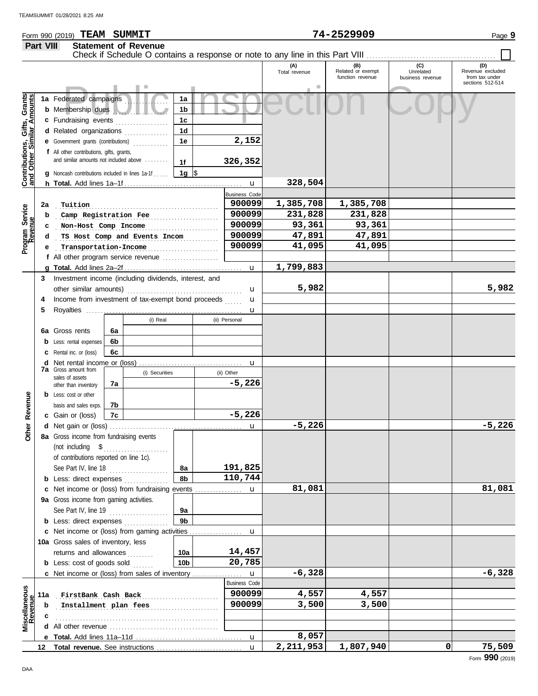### Form 990 (2019) Page **9 TEAM SUMMIT 74-2529909 Part VIII Statement of Revenue**

|                                                           | <b>Fail VIII</b> | <b>OLALGITIGHT OF IVERSITING</b>                                                                            |                |                            |                                |                      |                                              |                                      |                                                               |
|-----------------------------------------------------------|------------------|-------------------------------------------------------------------------------------------------------------|----------------|----------------------------|--------------------------------|----------------------|----------------------------------------------|--------------------------------------|---------------------------------------------------------------|
|                                                           |                  |                                                                                                             |                |                            |                                | (A)<br>Total revenue | (B)<br>Related or exempt<br>function revenue | (C)<br>Unrelated<br>business revenue | (D)<br>Revenue excluded<br>from tax under<br>sections 512-514 |
| Contributions, Gifts, Grants<br>and Other Similar Amounts |                  | 1a Federated campaigns<br><b>b</b> Membership dues<br>c Fundraising events                                  |                | 1a<br>1 <sub>b</sub><br>1c |                                |                      |                                              |                                      |                                                               |
|                                                           |                  | d Related organizations<br>e Government grants (contributions)<br>f All other contributions, gifts, grants, |                | 1d<br>1e                   | 2,152                          |                      |                                              |                                      |                                                               |
|                                                           |                  | and similar amounts not included above<br><b>g</b> Noncash contributions included in lines 1a-1f            |                | 1f<br>$1g$ \$              | 326,352                        |                      |                                              |                                      |                                                               |
|                                                           |                  |                                                                                                             |                |                            |                                | 328,504              |                                              |                                      |                                                               |
|                                                           |                  |                                                                                                             |                |                            | <b>Business Code</b><br>900099 | 1,385,708            | 1,385,708                                    |                                      |                                                               |
|                                                           | 2a               | Tuition                                                                                                     |                |                            | 900099                         | 231,828              | 231,828                                      |                                      |                                                               |
| Program Service<br>Revenue                                | b                | Camp Registration Fee                                                                                       |                |                            | 900099                         | 93,361               | 93,361                                       |                                      |                                                               |
|                                                           |                  | Non-Host Comp Income<br>TS Host Comp and Events Incom                                                       |                |                            | 900099                         | 47,891               | 47,891                                       |                                      |                                                               |
|                                                           |                  | Transportation-Income                                                                                       |                |                            | 900099                         | 41,095               | 41,095                                       |                                      |                                                               |
|                                                           |                  | f All other program service revenue                                                                         |                |                            |                                |                      |                                              |                                      |                                                               |
|                                                           |                  |                                                                                                             |                |                            |                                | 1,799,883            |                                              |                                      |                                                               |
|                                                           |                  | 3 Investment income (including dividends, interest, and                                                     |                |                            |                                |                      |                                              |                                      |                                                               |
|                                                           |                  | other similar amounts)                                                                                      |                |                            | u                              | 5,982                |                                              |                                      | 5,982                                                         |
|                                                           | 4                | Income from investment of tax-exempt bond proceeds                                                          |                |                            | $\mathbf u$                    |                      |                                              |                                      |                                                               |
|                                                           | 5                |                                                                                                             |                |                            | $\mathbf u$                    |                      |                                              |                                      |                                                               |
|                                                           |                  |                                                                                                             | (i) Real       |                            | (ii) Personal                  |                      |                                              |                                      |                                                               |
|                                                           |                  | 6a Gross rents<br>6a                                                                                        |                |                            |                                |                      |                                              |                                      |                                                               |
|                                                           |                  | 6b<br><b>b</b> Less: rental expenses                                                                        |                |                            |                                |                      |                                              |                                      |                                                               |
|                                                           |                  | 6c<br><b>c</b> Rental inc. or (loss)                                                                        |                |                            |                                |                      |                                              |                                      |                                                               |
|                                                           |                  |                                                                                                             |                |                            | u                              |                      |                                              |                                      |                                                               |
|                                                           |                  | <b>7a</b> Gross amount from<br>sales of assets                                                              | (i) Securities |                            | (ii) Other                     |                      |                                              |                                      |                                                               |
|                                                           |                  | 7a<br>other than inventory                                                                                  |                |                            | $-5,226$                       |                      |                                              |                                      |                                                               |
|                                                           |                  | <b>b</b> Less: cost or other                                                                                |                |                            |                                |                      |                                              |                                      |                                                               |
| Revenue                                                   |                  | 7b<br>basis and sales exps.                                                                                 |                |                            |                                |                      |                                              |                                      |                                                               |
|                                                           |                  | c Gain or (loss)<br>7c                                                                                      |                |                            | $-5,226$                       |                      |                                              |                                      |                                                               |
| <b>Other</b>                                              |                  |                                                                                                             |                |                            | u                              | $-5,226$             |                                              |                                      | $-5,226$                                                      |
|                                                           |                  | 8a Gross income from fundraising events                                                                     |                |                            |                                |                      |                                              |                                      |                                                               |
|                                                           |                  | (not including \$                                                                                           |                |                            |                                |                      |                                              |                                      |                                                               |
|                                                           |                  | of contributions reported on line 1c).<br>See Part IV, line 18                                              |                | 8а                         | 191,825                        |                      |                                              |                                      |                                                               |
|                                                           |                  | <b>b</b> Less: direct expenses                                                                              |                | 8b                         | 110,744                        |                      |                                              |                                      |                                                               |
|                                                           |                  |                                                                                                             |                |                            |                                | 81,081               |                                              |                                      | 81,081                                                        |
|                                                           |                  | 9a Gross income from gaming activities.                                                                     |                |                            |                                |                      |                                              |                                      |                                                               |
|                                                           |                  | See Part IV, line 19                                                                                        | .              | 9а                         |                                |                      |                                              |                                      |                                                               |
|                                                           |                  | <b>b</b> Less: direct expenses                                                                              |                | 9b                         |                                |                      |                                              |                                      |                                                               |
|                                                           |                  |                                                                                                             |                |                            |                                |                      |                                              |                                      |                                                               |
|                                                           |                  | 10a Gross sales of inventory, less                                                                          |                |                            |                                |                      |                                              |                                      |                                                               |
|                                                           |                  | returns and allowances                                                                                      |                | 10a                        | 14,457                         |                      |                                              |                                      |                                                               |
|                                                           |                  | <b>b</b> Less: cost of goods sold                                                                           |                | 10 <sub>b</sub>            | 20,785                         |                      |                                              |                                      |                                                               |
|                                                           |                  |                                                                                                             |                |                            |                                | $-6,328$             |                                              |                                      | $-6,328$                                                      |
|                                                           |                  |                                                                                                             |                |                            | <b>Business Code</b>           |                      |                                              |                                      |                                                               |
| Miscellaneous<br>Revenue                                  | 11a              | FirstBank Cash Back                                                                                         |                |                            | 900099                         | 4,557                | 4,557                                        |                                      |                                                               |
|                                                           | b                | Installment plan fees                                                                                       |                |                            | 900099                         | 3,500                | 3,500                                        |                                      |                                                               |
|                                                           |                  |                                                                                                             |                |                            |                                |                      |                                              |                                      |                                                               |
|                                                           |                  |                                                                                                             |                |                            |                                |                      |                                              |                                      |                                                               |
|                                                           |                  |                                                                                                             |                |                            |                                | 8,057                |                                              |                                      |                                                               |
|                                                           |                  |                                                                                                             |                |                            | $\mathbf{u}$                   | 2,211,953            | 1,807,940                                    | 0                                    | 75,509                                                        |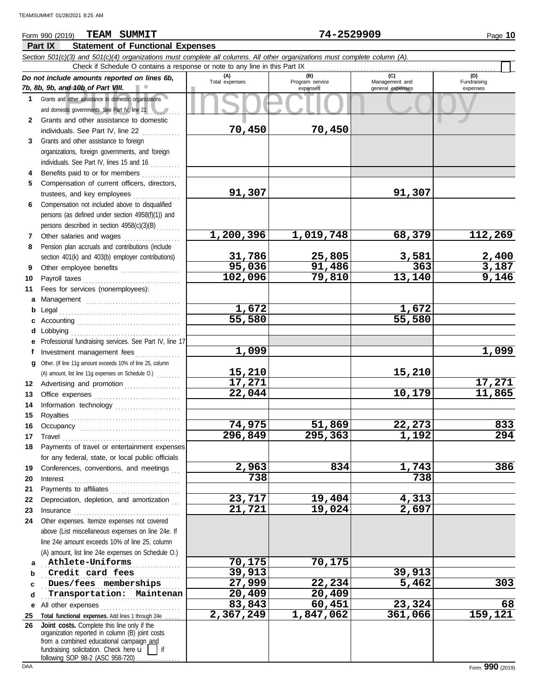### **Part IX Statement of Functional Expenses** Form 990 (2019) Page **10 TEAM SUMMIT 74-2529909**

|              | Section 501(c)(3) and 501(c)(4) organizations must complete all columns. All other organizations must complete column (A).                                                                                                    |                       |                        |                       |                       |
|--------------|-------------------------------------------------------------------------------------------------------------------------------------------------------------------------------------------------------------------------------|-----------------------|------------------------|-----------------------|-----------------------|
|              | Check if Schedule O contains a response or note to any line in this Part IX                                                                                                                                                   |                       |                        |                       | (D)                   |
|              | Do not include amounts reported on lines 6b,                                                                                                                                                                                  | (A)<br>Total expenses | (B)<br>Program service | (C)<br>Management and | Fundraising           |
|              | 7b, 8b, 9b, and 10b of Part VIII.                                                                                                                                                                                             |                       | expenses               | general expenses      | expenses              |
| 1            | Grants and other assistance to domestic organizations                                                                                                                                                                         |                       |                        |                       |                       |
|              | and domestic governments. See Part IV, line 21<br>Grants and other assistance to domestic                                                                                                                                     |                       |                        |                       |                       |
| $\mathbf{2}$ |                                                                                                                                                                                                                               | 70,450                | 70,450                 |                       |                       |
| 3            | individuals. See Part IV, line 22<br>Grants and other assistance to foreign                                                                                                                                                   |                       |                        |                       |                       |
|              | organizations, foreign governments, and foreign                                                                                                                                                                               |                       |                        |                       |                       |
|              | individuals. See Part IV, lines 15 and 16                                                                                                                                                                                     |                       |                        |                       |                       |
|              | Benefits paid to or for members                                                                                                                                                                                               |                       |                        |                       |                       |
| 5            | Compensation of current officers, directors,                                                                                                                                                                                  |                       |                        |                       |                       |
|              | trustees, and key employees                                                                                                                                                                                                   | 91,307                |                        | 91,307                |                       |
| 6            | Compensation not included above to disqualified                                                                                                                                                                               |                       |                        |                       |                       |
|              | persons (as defined under section 4958(f)(1)) and                                                                                                                                                                             |                       |                        |                       |                       |
|              | persons described in section 4958(c)(3)(B)                                                                                                                                                                                    |                       |                        |                       |                       |
| 7            | Other salaries and wages                                                                                                                                                                                                      | 1,200,396             | 1,019,748              | 68,379                | 112,269               |
| 8            | Pension plan accruals and contributions (include                                                                                                                                                                              |                       |                        |                       |                       |
|              | section 401(k) and 403(b) employer contributions)                                                                                                                                                                             | 31,786                | 25,805                 | 3,581                 |                       |
| 9            | Other employee benefits                                                                                                                                                                                                       | 95,036                | 91,486                 | 363                   | $\frac{2,400}{3,187}$ |
| 10           |                                                                                                                                                                                                                               | 102,096               | 79,810                 | 13,140                | 9,146                 |
| 11           | Fees for services (nonemployees):                                                                                                                                                                                             |                       |                        |                       |                       |
| a            |                                                                                                                                                                                                                               |                       |                        |                       |                       |
| b            |                                                                                                                                                                                                                               | 1,672                 |                        | 1,672                 |                       |
|              |                                                                                                                                                                                                                               | 55,580                |                        | 55,580                |                       |
| d            | Lobbying                                                                                                                                                                                                                      |                       |                        |                       |                       |
| е            | Professional fundraising services. See Part IV, line 17                                                                                                                                                                       |                       |                        |                       |                       |
| f            | Investment management fees                                                                                                                                                                                                    | 1,099                 |                        |                       | 1,099                 |
| q            | Other. (If line 11g amount exceeds 10% of line 25, column                                                                                                                                                                     |                       |                        |                       |                       |
|              | (A) amount, list line 11g expenses on Schedule O.)                                                                                                                                                                            | 15,210                |                        | 15,210                |                       |
| 12           | Advertising and promotion                                                                                                                                                                                                     | 17,271                |                        |                       | 17,271                |
| 13           |                                                                                                                                                                                                                               | 22,044                |                        | 10,179                | 11,865                |
| 14           |                                                                                                                                                                                                                               |                       |                        |                       |                       |
| 15           |                                                                                                                                                                                                                               |                       |                        |                       |                       |
| 16           |                                                                                                                                                                                                                               | 74,975                | 51,869                 | 22,273                | 833                   |
| 17           |                                                                                                                                                                                                                               | 296,849               | 295,363                | 1,192                 | 294                   |
| 18           | Payments of travel or entertainment expenses                                                                                                                                                                                  |                       |                        |                       |                       |
|              | for any federal, state, or local public officials                                                                                                                                                                             |                       |                        |                       |                       |
| 19           | Conferences, conventions, and meetings                                                                                                                                                                                        | 2,963                 | 834                    | 1,743                 | 386                   |
| 20           |                                                                                                                                                                                                                               | 738                   |                        | 738                   |                       |
| 21           |                                                                                                                                                                                                                               |                       |                        |                       |                       |
| 22           | Depreciation, depletion, and amortization                                                                                                                                                                                     | 23,717                | 19,404                 | 4,313                 |                       |
| 23           | Insurance with a continuum and the continuum of the continuum of the continuum of the continuum of the continuum of the continuum of the continuum of the continuum of the continuum of the continuum of the continuum of the | 21,721                | 19,024                 | 2,697                 |                       |
| 24           | Other expenses. Itemize expenses not covered                                                                                                                                                                                  |                       |                        |                       |                       |
|              | above (List miscellaneous expenses on line 24e. If                                                                                                                                                                            |                       |                        |                       |                       |
|              | line 24e amount exceeds 10% of line 25, column                                                                                                                                                                                |                       |                        |                       |                       |
|              | (A) amount, list line 24e expenses on Schedule O.)                                                                                                                                                                            |                       |                        |                       |                       |
| a            | Athlete-Uniforms                                                                                                                                                                                                              | 70,175                | 70,175                 |                       |                       |
| b            | Credit card fees                                                                                                                                                                                                              | 39,913                |                        | 39,913                |                       |
| c            | Dues/fees memberships                                                                                                                                                                                                         | 27,999                | 22,234                 | 5,462                 | 303                   |
| d            | Transportation: Maintenan                                                                                                                                                                                                     | 20,409                | 20,409                 |                       |                       |
| е            | All other expenses                                                                                                                                                                                                            | 83,843                | 60,451                 | 23,324                | 68                    |
| 25           | Total functional expenses. Add lines 1 through 24e                                                                                                                                                                            | 2,367,249             | 1,847,062              | 361,066               | 159,121               |
| 26           | Joint costs. Complete this line only if the<br>organization reported in column (B) joint costs                                                                                                                                |                       |                        |                       |                       |
|              | from a combined educational campaign and                                                                                                                                                                                      |                       |                        |                       |                       |
|              | fundraising solicitation. Check here $\mathbf{u}$  <br>l if                                                                                                                                                                   |                       |                        |                       |                       |
|              | following SOP 98-2 (ASC 958-720)                                                                                                                                                                                              |                       |                        |                       |                       |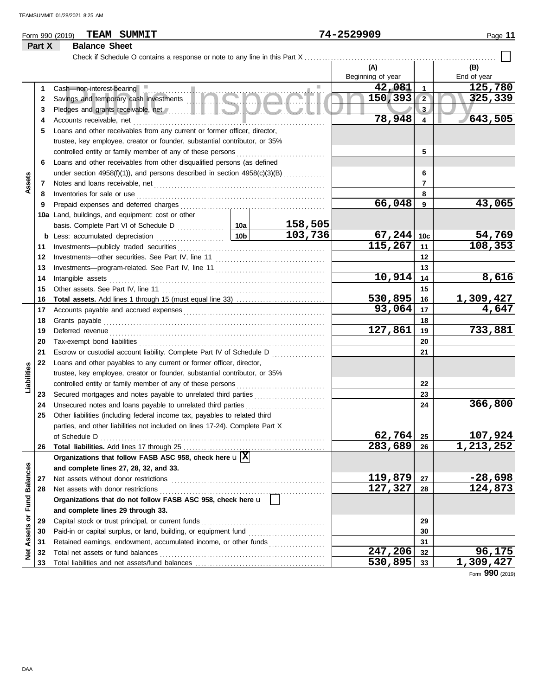### Form 990 (2019) Page **11 TEAM SUMMIT 74-2529909**

## **Part X Balance Sheet**<br>Check if Schedule O

|                             |    |                                                                                                                            |                 |         | (A)               |                | (B)                       |
|-----------------------------|----|----------------------------------------------------------------------------------------------------------------------------|-----------------|---------|-------------------|----------------|---------------------------|
|                             |    |                                                                                                                            |                 |         | Beginning of year |                | End of year               |
|                             | 1  | Cash-non-interest-bearing<br>.                                                                                             |                 |         | 42,081            | 1              | 125,780                   |
|                             | 2  | Savings and temporary cash investments                                                                                     |                 |         | 150, 393          | $\overline{2}$ | 325,339                   |
|                             | 3  | Pledges and grants receivable, net <b>All and School and School and School and School and School and School and School</b> |                 |         |                   | 3              |                           |
|                             | 4  | Accounts receivable, net                                                                                                   | 78,948          | 4       | 643,505           |                |                           |
|                             | 5  | Loans and other receivables from any current or former officer, director,                                                  |                 |         |                   |                |                           |
|                             |    | trustee, key employee, creator or founder, substantial contributor, or 35%                                                 |                 |         |                   |                |                           |
|                             |    | controlled entity or family member of any of these persons                                                                 |                 |         |                   | 5              |                           |
|                             | 6  | Loans and other receivables from other disqualified persons (as defined                                                    |                 |         |                   |                |                           |
|                             |    | under section $4958(f)(1)$ ), and persons described in section $4958(c)(3)(B)$                                             |                 |         |                   | 6              |                           |
| Assets                      | 7  | Notes and loans receivable, net                                                                                            |                 |         |                   | 7              |                           |
|                             | 8  | Inventories for sale or use                                                                                                |                 |         |                   | 8              |                           |
|                             | 9  | Prepaid expenses and deferred charges                                                                                      |                 |         | 66,048            | 9              | 43,065                    |
|                             |    | 10a Land, buildings, and equipment: cost or other                                                                          |                 |         |                   |                |                           |
|                             |    | basis. Complete Part VI of Schedule D                                                                                      | 10a             | 158,505 |                   |                |                           |
|                             |    | <b>b</b> Less: accumulated depreciation                                                                                    | 10 <sub>b</sub> | 103,736 | 67, 244           | 10c            |                           |
|                             | 11 | Investments-publicly traded securities                                                                                     |                 |         | 115,267           | 11             | $\frac{54,769}{108,353}$  |
|                             | 12 | Investments-other securities. See Part IV, line 11                                                                         |                 |         |                   | 12             |                           |
|                             | 13 |                                                                                                                            |                 |         |                   | 13             |                           |
|                             | 14 | Intangible assets                                                                                                          |                 |         | 10,914            | 14             | 8,616                     |
|                             | 15 | Other assets. See Part IV, line 11                                                                                         |                 |         |                   | 15             |                           |
|                             | 16 |                                                                                                                            |                 |         | 530,895           | 16             |                           |
|                             | 17 |                                                                                                                            |                 |         | 93,064            | 17             | $\frac{1,309,427}{4,647}$ |
|                             | 18 | Grants payable                                                                                                             |                 |         |                   | 18             |                           |
|                             | 19 | Deferred revenue                                                                                                           |                 |         | 127,861           | 19             | 733,881                   |
|                             | 20 | Tax-exempt bond liabilities                                                                                                |                 |         |                   | 20             |                           |
|                             | 21 | Escrow or custodial account liability. Complete Part IV of Schedule D                                                      |                 |         |                   | 21             |                           |
|                             | 22 | Loans and other payables to any current or former officer, director,                                                       |                 |         |                   |                |                           |
| Liabilities                 |    | trustee, key employee, creator or founder, substantial contributor, or 35%                                                 |                 |         |                   |                |                           |
|                             |    | controlled entity or family member of any of these persons                                                                 |                 |         |                   | 22             |                           |
|                             | 23 | Secured mortgages and notes payable to unrelated third parties                                                             |                 |         |                   | 23             |                           |
|                             | 24 | Unsecured notes and loans payable to unrelated third parties                                                               |                 | .       |                   | 24             | 366,800                   |
|                             | 25 | Other liabilities (including federal income tax, payables to related third                                                 |                 |         |                   |                |                           |
|                             |    | parties, and other liabilities not included on lines 17-24). Complete Part X                                               |                 |         |                   |                |                           |
|                             |    | of Schedule D                                                                                                              |                 |         | $62,764$ 25       |                | 107,924                   |
|                             | 26 |                                                                                                                            |                 |         | 283,689           | 26             | 1,213,252                 |
|                             |    | Organizations that follow FASB ASC 958, check here $\mathbf{u}[\overline{\mathbf{X}}]$                                     |                 |         |                   |                |                           |
|                             |    | and complete lines 27, 28, 32, and 33.                                                                                     |                 |         |                   |                |                           |
|                             | 27 | Net assets without donor restrictions                                                                                      |                 |         | 119,879           | 27             | $-28,698$                 |
|                             | 28 | Net assets with donor restrictions                                                                                         |                 |         | 127,327           | 28             | 124,873                   |
|                             |    | Organizations that do not follow FASB ASC 958, check here u                                                                |                 |         |                   |                |                           |
|                             |    | and complete lines 29 through 33.                                                                                          |                 |         |                   |                |                           |
|                             | 29 | Capital stock or trust principal, or current funds                                                                         |                 |         |                   | 29             |                           |
|                             | 30 |                                                                                                                            |                 |         |                   | 30             |                           |
|                             | 31 | Retained earnings, endowment, accumulated income, or other funds                                                           |                 |         |                   | 31             |                           |
| Net Assets or Fund Balances | 32 | Total net assets or fund balances                                                                                          |                 |         | 247,206           | 32             | 96,175                    |
|                             | 33 |                                                                                                                            |                 |         | 530,895           | 33             | 1,309,427                 |

Form **990** (2019)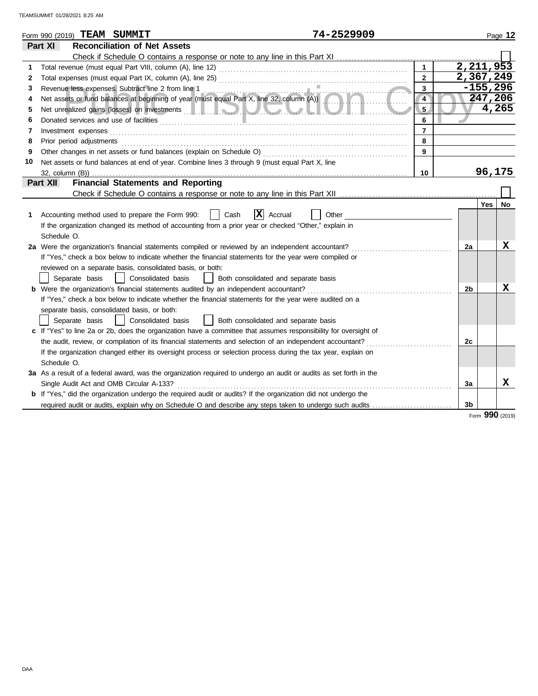| <b>Reconciliation of Net Assets</b><br>Part XI<br>$\mathbf{1}$<br>1.<br>$\overline{2}$<br>2<br>3<br>3                                                                           | 2,211,953<br>2,367,249<br>$-155,296$<br>247,206 | 4,265  |
|---------------------------------------------------------------------------------------------------------------------------------------------------------------------------------|-------------------------------------------------|--------|
|                                                                                                                                                                                 |                                                 |        |
|                                                                                                                                                                                 |                                                 |        |
|                                                                                                                                                                                 |                                                 |        |
|                                                                                                                                                                                 |                                                 |        |
|                                                                                                                                                                                 |                                                 |        |
| Revenue less expenses. Subtract line 2 from line 1<br>Net assets or fund balances at beginning of year (must equal Part X, line 32, column (A))<br>$\overline{\mathbf{4}}$<br>4 |                                                 |        |
| 5<br>5                                                                                                                                                                          |                                                 |        |
| 6<br>6                                                                                                                                                                          |                                                 |        |
| $\overline{7}$<br>7<br>Investment expenses                                                                                                                                      |                                                 |        |
| 8<br>Prior period adjustments<br>8                                                                                                                                              |                                                 |        |
| Other changes in net assets or fund balances (explain on Schedule O)<br>9<br>9                                                                                                  |                                                 |        |
| 10<br>Net assets or fund balances at end of year. Combine lines 3 through 9 (must equal Part X, line                                                                            |                                                 |        |
| 10<br>32, column (B))                                                                                                                                                           |                                                 | 96,175 |
| <b>Financial Statements and Reporting</b><br>Part XII                                                                                                                           |                                                 |        |
|                                                                                                                                                                                 |                                                 |        |
|                                                                                                                                                                                 | Yes                                             | No     |
| X<br>Accounting method used to prepare the Form 990:<br>Cash<br>Accrual<br>Other<br>1                                                                                           |                                                 |        |
| If the organization changed its method of accounting from a prior year or checked "Other," explain in                                                                           |                                                 |        |
| Schedule O.                                                                                                                                                                     |                                                 |        |
| 2a Were the organization's financial statements compiled or reviewed by an independent accountant?                                                                              | 2a                                              | x      |
| If "Yes," check a box below to indicate whether the financial statements for the year were compiled or                                                                          |                                                 |        |
| reviewed on a separate basis, consolidated basis, or both:                                                                                                                      |                                                 |        |
| Separate basis<br>Consolidated basis<br>Both consolidated and separate basis                                                                                                    |                                                 |        |
| <b>b</b> Were the organization's financial statements audited by an independent accountant?                                                                                     | 2 <sub>b</sub>                                  | x      |
| If "Yes," check a box below to indicate whether the financial statements for the year were audited on a                                                                         |                                                 |        |
| separate basis, consolidated basis, or both:                                                                                                                                    |                                                 |        |
| Consolidated basis<br>Both consolidated and separate basis<br>Separate basis                                                                                                    |                                                 |        |
| c If "Yes" to line 2a or 2b, does the organization have a committee that assumes responsibility for oversight of                                                                |                                                 |        |
| the audit, review, or compilation of its financial statements and selection of an independent accountant?                                                                       | 2c                                              |        |
| If the organization changed either its oversight process or selection process during the tax year, explain on                                                                   |                                                 |        |
| Schedule O.                                                                                                                                                                     |                                                 |        |
| 3a As a result of a federal award, was the organization required to undergo an audit or audits as set forth in the                                                              |                                                 |        |
| Single Audit Act and OMB Circular A-133?                                                                                                                                        | 3a                                              | x      |
| b If "Yes," did the organization undergo the required audit or audits? If the organization did not undergo the                                                                  |                                                 |        |
| required audit or audits, explain why on Schedule O and describe any steps taken to undergo such audits                                                                         | 3 <sub>b</sub><br>$\sim$                        |        |

Form **990** (2019)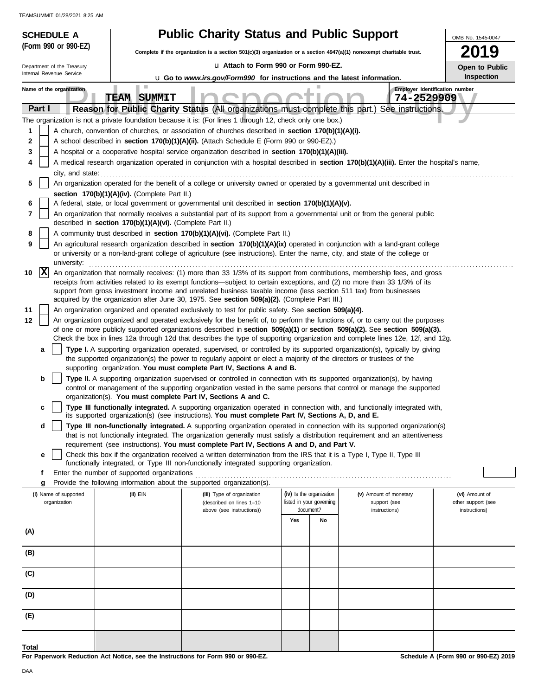| <b>SCHEDULE A</b>                                                                                                                                  |                                                            | <b>Public Charity Status and Public Support</b>                                                                                                                                                                                                                 |                                                                                                                              |                                        | OMB No. 1545-0047                    |  |  |  |  |  |  |
|----------------------------------------------------------------------------------------------------------------------------------------------------|------------------------------------------------------------|-----------------------------------------------------------------------------------------------------------------------------------------------------------------------------------------------------------------------------------------------------------------|------------------------------------------------------------------------------------------------------------------------------|----------------------------------------|--------------------------------------|--|--|--|--|--|--|
| (Form 990 or 990-EZ)                                                                                                                               |                                                            |                                                                                                                                                                                                                                                                 | 2019<br>Complete if the organization is a section 501(c)(3) organization or a section 4947(a)(1) nonexempt charitable trust. |                                        |                                      |  |  |  |  |  |  |
| Department of the Treasury                                                                                                                         |                                                            | La Attach to Form 990 or Form 990-EZ.                                                                                                                                                                                                                           |                                                                                                                              |                                        | Open to Public                       |  |  |  |  |  |  |
| Internal Revenue Service                                                                                                                           |                                                            |                                                                                                                                                                                                                                                                 | Inspection<br><b>u</b> Go to www.irs.gov/Form990 for instructions and the latest information.                                |                                        |                                      |  |  |  |  |  |  |
| Name of the organization                                                                                                                           | H.                                                         |                                                                                                                                                                                                                                                                 |                                                                                                                              |                                        | Employer identification number       |  |  |  |  |  |  |
|                                                                                                                                                    | <b>TEAM SUMMIT</b>                                         |                                                                                                                                                                                                                                                                 |                                                                                                                              | 74-2529909                             |                                      |  |  |  |  |  |  |
| Part I                                                                                                                                             |                                                            | Reason for Public Charity Status (All organizations must complete this part.) See instructions.<br>The organization is not a private foundation because it is: (For lines 1 through 12, check only one box.)                                                    |                                                                                                                              |                                        |                                      |  |  |  |  |  |  |
| 1                                                                                                                                                  |                                                            | A church, convention of churches, or association of churches described in section 170(b)(1)(A)(i).                                                                                                                                                              |                                                                                                                              |                                        |                                      |  |  |  |  |  |  |
| 2                                                                                                                                                  |                                                            | A school described in section 170(b)(1)(A)(ii). (Attach Schedule E (Form 990 or 990-EZ).)                                                                                                                                                                       |                                                                                                                              |                                        |                                      |  |  |  |  |  |  |
| 3                                                                                                                                                  |                                                            | A hospital or a cooperative hospital service organization described in section 170(b)(1)(A)(iii).                                                                                                                                                               |                                                                                                                              |                                        |                                      |  |  |  |  |  |  |
| 4                                                                                                                                                  |                                                            | A medical research organization operated in conjunction with a hospital described in section 170(b)(1)(A)(iii). Enter the hospital's name,                                                                                                                      |                                                                                                                              |                                        |                                      |  |  |  |  |  |  |
| city, and state:<br>5<br>An organization operated for the benefit of a college or university owned or operated by a governmental unit described in |                                                            |                                                                                                                                                                                                                                                                 |                                                                                                                              |                                        |                                      |  |  |  |  |  |  |
|                                                                                                                                                    | section 170(b)(1)(A)(iv). (Complete Part II.)              |                                                                                                                                                                                                                                                                 |                                                                                                                              |                                        |                                      |  |  |  |  |  |  |
| 6                                                                                                                                                  |                                                            | A federal, state, or local government or governmental unit described in section 170(b)(1)(A)(v).                                                                                                                                                                |                                                                                                                              |                                        |                                      |  |  |  |  |  |  |
| 7                                                                                                                                                  | described in section 170(b)(1)(A)(vi). (Complete Part II.) | An organization that normally receives a substantial part of its support from a governmental unit or from the general public                                                                                                                                    |                                                                                                                              |                                        |                                      |  |  |  |  |  |  |
| 8                                                                                                                                                  |                                                            | A community trust described in section 170(b)(1)(A)(vi). (Complete Part II.)                                                                                                                                                                                    |                                                                                                                              |                                        |                                      |  |  |  |  |  |  |
| 9                                                                                                                                                  |                                                            | An agricultural research organization described in section 170(b)(1)(A)(ix) operated in conjunction with a land-grant college                                                                                                                                   |                                                                                                                              |                                        |                                      |  |  |  |  |  |  |
| university:                                                                                                                                        |                                                            | or university or a non-land-grant college of agriculture (see instructions). Enter the name, city, and state of the college or                                                                                                                                  |                                                                                                                              |                                        |                                      |  |  |  |  |  |  |
| $ {\bf x} $<br>10                                                                                                                                  |                                                            | An organization that normally receives: (1) more than 33 1/3% of its support from contributions, membership fees, and gross                                                                                                                                     |                                                                                                                              |                                        |                                      |  |  |  |  |  |  |
|                                                                                                                                                    |                                                            | receipts from activities related to its exempt functions—subject to certain exceptions, and (2) no more than 33 1/3% of its<br>support from gross investment income and unrelated business taxable income (less section 511 tax) from businesses                |                                                                                                                              |                                        |                                      |  |  |  |  |  |  |
|                                                                                                                                                    |                                                            | acquired by the organization after June 30, 1975. See section 509(a)(2). (Complete Part III.)                                                                                                                                                                   |                                                                                                                              |                                        |                                      |  |  |  |  |  |  |
| 11<br>12                                                                                                                                           |                                                            | An organization organized and operated exclusively to test for public safety. See section 509(a)(4).                                                                                                                                                            |                                                                                                                              |                                        |                                      |  |  |  |  |  |  |
|                                                                                                                                                    |                                                            | An organization organized and operated exclusively for the benefit of, to perform the functions of, or to carry out the purposes<br>of one or more publicly supported organizations described in section 509(a)(1) or section 509(a)(2). See section 509(a)(3). |                                                                                                                              |                                        |                                      |  |  |  |  |  |  |
|                                                                                                                                                    |                                                            | Check the box in lines 12a through 12d that describes the type of supporting organization and complete lines 12e, 12f, and 12g.                                                                                                                                 |                                                                                                                              |                                        |                                      |  |  |  |  |  |  |
| a                                                                                                                                                  |                                                            | Type I. A supporting organization operated, supervised, or controlled by its supported organization(s), typically by giving                                                                                                                                     |                                                                                                                              |                                        |                                      |  |  |  |  |  |  |
|                                                                                                                                                    |                                                            | the supported organization(s) the power to regularly appoint or elect a majority of the directors or trustees of the<br>supporting organization. You must complete Part IV, Sections A and B.                                                                   |                                                                                                                              |                                        |                                      |  |  |  |  |  |  |
| b                                                                                                                                                  |                                                            | Type II. A supporting organization supervised or controlled in connection with its supported organization(s), by having                                                                                                                                         |                                                                                                                              |                                        |                                      |  |  |  |  |  |  |
|                                                                                                                                                    |                                                            | control or management of the supporting organization vested in the same persons that control or manage the supported<br>organization(s). You must complete Part IV, Sections A and C.                                                                           |                                                                                                                              |                                        |                                      |  |  |  |  |  |  |
| c                                                                                                                                                  |                                                            | Type III functionally integrated. A supporting organization operated in connection with, and functionally integrated with,                                                                                                                                      |                                                                                                                              |                                        |                                      |  |  |  |  |  |  |
| d                                                                                                                                                  |                                                            | its supported organization(s) (see instructions). You must complete Part IV, Sections A, D, and E.<br>Type III non-functionally integrated. A supporting organization operated in connection with its supported organization(s)                                 |                                                                                                                              |                                        |                                      |  |  |  |  |  |  |
|                                                                                                                                                    |                                                            | that is not functionally integrated. The organization generally must satisfy a distribution requirement and an attentiveness                                                                                                                                    |                                                                                                                              |                                        |                                      |  |  |  |  |  |  |
|                                                                                                                                                    |                                                            | requirement (see instructions). You must complete Part IV, Sections A and D, and Part V.                                                                                                                                                                        |                                                                                                                              |                                        |                                      |  |  |  |  |  |  |
| е                                                                                                                                                  |                                                            | Check this box if the organization received a written determination from the IRS that it is a Type I, Type II, Type III<br>functionally integrated, or Type III non-functionally integrated supporting organization.                                            |                                                                                                                              |                                        |                                      |  |  |  |  |  |  |
| f                                                                                                                                                  | Enter the number of supported organizations                |                                                                                                                                                                                                                                                                 |                                                                                                                              |                                        |                                      |  |  |  |  |  |  |
| g                                                                                                                                                  |                                                            | Provide the following information about the supported organization(s).                                                                                                                                                                                          |                                                                                                                              |                                        |                                      |  |  |  |  |  |  |
| (i) Name of supported<br>organization                                                                                                              | $(ii)$ $EIN$                                               | (iii) Type of organization<br>(described on lines 1-10                                                                                                                                                                                                          | (iv) Is the organization<br>listed in your governing                                                                         | (v) Amount of monetary<br>support (see | (vi) Amount of<br>other support (see |  |  |  |  |  |  |
|                                                                                                                                                    |                                                            | above (see instructions))                                                                                                                                                                                                                                       | document?                                                                                                                    | instructions)                          | instructions)                        |  |  |  |  |  |  |
| (A)                                                                                                                                                |                                                            |                                                                                                                                                                                                                                                                 | Yes<br>No                                                                                                                    |                                        |                                      |  |  |  |  |  |  |
|                                                                                                                                                    |                                                            |                                                                                                                                                                                                                                                                 |                                                                                                                              |                                        |                                      |  |  |  |  |  |  |
| (B)                                                                                                                                                |                                                            |                                                                                                                                                                                                                                                                 |                                                                                                                              |                                        |                                      |  |  |  |  |  |  |
| (C)                                                                                                                                                |                                                            |                                                                                                                                                                                                                                                                 |                                                                                                                              |                                        |                                      |  |  |  |  |  |  |
|                                                                                                                                                    |                                                            |                                                                                                                                                                                                                                                                 |                                                                                                                              |                                        |                                      |  |  |  |  |  |  |
| (D)                                                                                                                                                |                                                            |                                                                                                                                                                                                                                                                 |                                                                                                                              |                                        |                                      |  |  |  |  |  |  |
| (E)                                                                                                                                                |                                                            |                                                                                                                                                                                                                                                                 |                                                                                                                              |                                        |                                      |  |  |  |  |  |  |
|                                                                                                                                                    |                                                            |                                                                                                                                                                                                                                                                 |                                                                                                                              |                                        |                                      |  |  |  |  |  |  |
| Total                                                                                                                                              |                                                            |                                                                                                                                                                                                                                                                 |                                                                                                                              |                                        |                                      |  |  |  |  |  |  |
|                                                                                                                                                    |                                                            |                                                                                                                                                                                                                                                                 |                                                                                                                              |                                        |                                      |  |  |  |  |  |  |

**For Paperwork Reduction Act Notice, see the Instructions for Form 990 or 990-EZ.**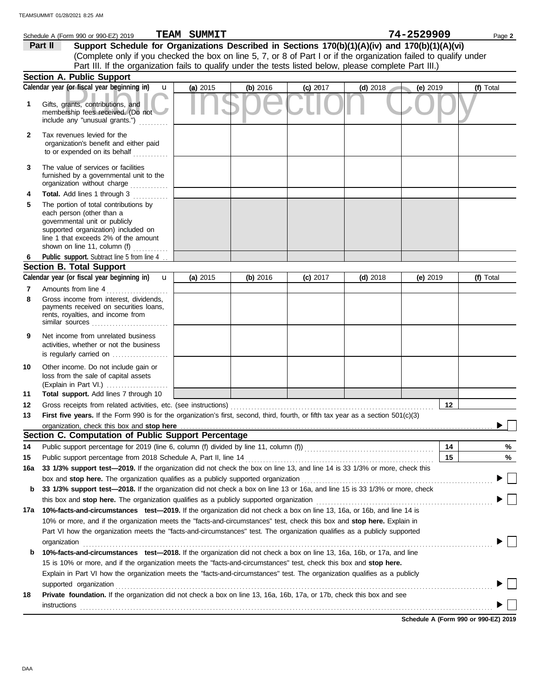|              | Schedule A (Form 990 or 990-EZ) 2019                                                                                                                                                                                           | <b>TEAM SUMMIT</b> |          |            |            | 74-2529909      | Page 2    |
|--------------|--------------------------------------------------------------------------------------------------------------------------------------------------------------------------------------------------------------------------------|--------------------|----------|------------|------------|-----------------|-----------|
|              | Support Schedule for Organizations Described in Sections 170(b)(1)(A)(iv) and 170(b)(1)(A)(vi)<br>Part II                                                                                                                      |                    |          |            |            |                 |           |
|              | (Complete only if you checked the box on line 5, 7, or 8 of Part I or if the organization failed to qualify under                                                                                                              |                    |          |            |            |                 |           |
|              | Part III. If the organization fails to qualify under the tests listed below, please complete Part III.)                                                                                                                        |                    |          |            |            |                 |           |
|              | <b>Section A. Public Support</b>                                                                                                                                                                                               |                    |          |            |            |                 |           |
|              | Calendar year (or fiscal year beginning in)<br>$\mathbf{u}$                                                                                                                                                                    | (a) 2015           | (b) 2016 | $(c)$ 2017 | $(d)$ 2018 | (e) 2019        | (f) Total |
| 1            | Gifts, grants, contributions, and<br>membership fees received. (Do not<br>include any "unusual grants.")                                                                                                                       |                    |          |            |            |                 |           |
| $\mathbf{2}$ | Tax revenues levied for the<br>organization's benefit and either paid<br>to or expended on its behalf $\ldots$                                                                                                                 |                    |          |            |            |                 |           |
| 3            | The value of services or facilities<br>furnished by a governmental unit to the<br>organization without charge                                                                                                                  |                    |          |            |            |                 |           |
| 4            | Total. Add lines 1 through 3                                                                                                                                                                                                   |                    |          |            |            |                 |           |
| 5            | The portion of total contributions by<br>each person (other than a<br>governmental unit or publicly<br>supported organization) included on<br>line 1 that exceeds 2% of the amount<br>shown on line 11, column (f) $\ldots$    |                    |          |            |            |                 |           |
| 6            | Public support. Subtract line 5 from line 4                                                                                                                                                                                    |                    |          |            |            |                 |           |
|              | <b>Section B. Total Support</b>                                                                                                                                                                                                |                    |          |            |            |                 |           |
|              | Calendar year (or fiscal year beginning in) <b>u</b>                                                                                                                                                                           | (a) 2015           | (b) 2016 | (c) 2017   | $(d)$ 2018 | (e) $2019$      | (f) Total |
| 7<br>8       | Amounts from line 4<br>Gross income from interest, dividends,<br>payments received on securities loans,<br>rents, royalties, and income from                                                                                   |                    |          |            |            |                 |           |
| 9            | Net income from unrelated business<br>activities, whether or not the business<br>is regularly carried on                                                                                                                       |                    |          |            |            |                 |           |
| 10<br>11     | Other income. Do not include gain or<br>loss from the sale of capital assets<br>(Explain in Part VI.)<br>Total support. Add lines 7 through 10                                                                                 |                    |          |            |            |                 |           |
| 12           | Gross receipts from related activities, etc. (see instructions)                                                                                                                                                                |                    |          |            |            | 12 <sub>2</sub> |           |
| 13           | First five years. If the Form 990 is for the organization's first, second, third, fourth, or fifth tax year as a section 501(c)(3)                                                                                             |                    |          |            |            |                 |           |
|              | organization, check this box and stop here                                                                                                                                                                                     |                    |          |            |            |                 |           |
|              | Section C. Computation of Public Support Percentage                                                                                                                                                                            |                    |          |            |            |                 |           |
| 14           |                                                                                                                                                                                                                                |                    |          |            |            | 14              | %         |
| 15           | Public support percentage from 2018 Schedule A, Part II, line 14                                                                                                                                                               |                    |          |            |            | 15              | %         |
| 16a          | 33 1/3% support test-2019. If the organization did not check the box on line 13, and line 14 is 33 1/3% or more, check this                                                                                                    |                    |          |            |            |                 |           |
|              | box and stop here. The organization qualifies as a publicly supported organization [11] content content content or the organization [11] content of step here. The organization content of step and step here are step and ste |                    |          |            |            |                 |           |
| b            | 33 1/3% support test-2018. If the organization did not check a box on line 13 or 16a, and line 15 is 33 1/3% or more, check                                                                                                    |                    |          |            |            |                 |           |
|              |                                                                                                                                                                                                                                |                    |          |            |            |                 |           |
| 17а          | 10%-facts-and-circumstances test-2019. If the organization did not check a box on line 13, 16a, or 16b, and line 14 is                                                                                                         |                    |          |            |            |                 |           |
|              | 10% or more, and if the organization meets the "facts-and-circumstances" test, check this box and stop here. Explain in                                                                                                        |                    |          |            |            |                 |           |
|              | Part VI how the organization meets the "facts-and-circumstances" test. The organization qualifies as a publicly supported                                                                                                      |                    |          |            |            |                 |           |
|              | organization                                                                                                                                                                                                                   |                    |          |            |            |                 |           |
| b            | 10%-facts-and-circumstances test-2018. If the organization did not check a box on line 13, 16a, 16b, or 17a, and line                                                                                                          |                    |          |            |            |                 |           |
|              | 15 is 10% or more, and if the organization meets the "facts-and-circumstances" test, check this box and stop here.                                                                                                             |                    |          |            |            |                 |           |
|              | Explain in Part VI how the organization meets the "facts-and-circumstances" test. The organization qualifies as a publicly<br>supported organization                                                                           |                    |          |            |            |                 |           |
| 18           | Private foundation. If the organization did not check a box on line 13, 16a, 16b, 17a, or 17b, check this box and see                                                                                                          |                    |          |            |            |                 |           |
|              | <b>instructions</b>                                                                                                                                                                                                            |                    |          |            |            |                 |           |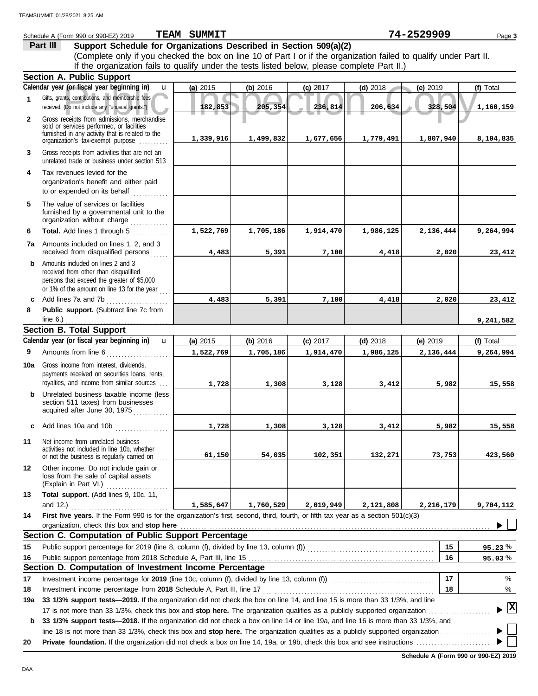|              | Part III<br>Support Schedule for Organizations Described in Section 509(a)(2)                                                                                                     |           |           |            |            |            |             |
|--------------|-----------------------------------------------------------------------------------------------------------------------------------------------------------------------------------|-----------|-----------|------------|------------|------------|-------------|
|              | (Complete only if you checked the box on line 10 of Part I or if the organization failed to qualify under Part II.                                                                |           |           |            |            |            |             |
|              | If the organization fails to qualify under the tests listed below, please complete Part II.)<br><b>Section A. Public Support</b>                                                  |           |           |            |            |            |             |
|              | Calendar year (or fiscal year beginning in)<br>$\mathbf{u}$                                                                                                                       | (a) 2015  | (b) 2016  | $(c)$ 2017 | $(d)$ 2018 | (e) 2019   | (f) Total   |
| 1            | Gifts, grants, contributions, and membership fees                                                                                                                                 |           |           |            |            |            |             |
|              | received. (Do not include any "unusual grants.")                                                                                                                                  | 182,853   | 205,354   | 236,814    | 206,634    | 328,504    | 1,160,159   |
| $\mathbf{2}$ | Gross receipts from admissions, merchandise<br>sold or services performed, or facilities<br>furnished in any activity that is related to the<br>organization's tax-exempt purpose | 1,339,916 | 1,499,832 | 1,677,656  | 1,779,491  | 1,807,940  | 8,104,835   |
| 3            | Gross receipts from activities that are not an<br>unrelated trade or business under section 513                                                                                   |           |           |            |            |            |             |
| 4            | Tax revenues levied for the<br>organization's benefit and either paid<br>to or expended on its behalf                                                                             |           |           |            |            |            |             |
| 5            | The value of services or facilities<br>furnished by a governmental unit to the<br>organization without charge                                                                     |           |           |            |            |            |             |
| 6            | Total. Add lines 1 through 5                                                                                                                                                      | 1,522,769 | 1,705,186 | 1,914,470  | 1,986,125  | 2,136,444  | 9,264,994   |
| 7a           | Amounts included on lines 1, 2, and 3<br>received from disqualified persons                                                                                                       | 4,483     | 5,391     | 7,100      | 4,418      | 2,020      | 23,412      |
| b            | Amounts included on lines 2 and 3<br>received from other than disqualified<br>persons that exceed the greater of \$5,000<br>or 1% of the amount on line 13 for the year           |           |           |            |            |            |             |
| C            | Add lines 7a and 7b                                                                                                                                                               | 4,483     | 5,391     | 7,100      | 4,418      | 2,020      | 23,412      |
| 8            | Public support. (Subtract line 7c from                                                                                                                                            |           |           |            |            |            |             |
|              | line $6.$ )                                                                                                                                                                       |           |           |            |            |            | 9,241,582   |
|              | <b>Section B. Total Support</b>                                                                                                                                                   |           |           |            |            |            |             |
|              | Calendar year (or fiscal year beginning in)<br>$\mathbf{u}$                                                                                                                       | (a) 2015  | (b) 2016  | $(c)$ 2017 | $(d)$ 2018 | (e) $2019$ | (f) Total   |
| 9            | Amounts from line 6                                                                                                                                                               | 1,522,769 | 1,705,186 | 1,914,470  | 1,986,125  | 2,136,444  | 9,264,994   |
| 10a          | Gross income from interest, dividends,<br>payments received on securities loans, rents,<br>royalties, and income from similar sources                                             | 1,728     | 1,308     | 3,128      | 3,412      | 5,982      | 15,558      |
| b            | Unrelated business taxable income (less<br>section 511 taxes) from businesses<br>acquired after June 30, 1975                                                                     |           |           |            |            |            |             |
| c            | Add lines 10a and 10b                                                                                                                                                             | 1,728     | 1,308     | 3,128      | 3,412      | 5,982      | 15,558      |
| 11           | Net income from unrelated business<br>activities not included in line 10b, whether<br>or not the business is regularly carried on                                                 | 61,150    | 54,035    | 102,351    | 132,271    | 73,753     | 423,560     |
| 12           | Other income. Do not include gain or<br>loss from the sale of capital assets<br>(Explain in Part VI.)                                                                             |           |           |            |            |            |             |
| 13           | Total support. (Add lines 9, 10c, 11,                                                                                                                                             |           |           |            |            |            |             |
|              | and $12.$ )                                                                                                                                                                       | 1,585,647 | 1,760,529 | 2,019,949  | 2,121,808  | 2,216,179  | 9,704,112   |
| 14           | First five years. If the Form 990 is for the organization's first, second, third, fourth, or fifth tax year as a section 501(c)(3)<br>organization, check this box and stop here  |           |           |            |            |            |             |
|              | Section C. Computation of Public Support Percentage                                                                                                                               |           |           |            |            |            |             |
| 15           |                                                                                                                                                                                   |           |           |            |            | 15         | 95.23%      |
| 16           |                                                                                                                                                                                   |           |           |            |            | 16         | 95.03%      |
|              | Section D. Computation of Investment Income Percentage                                                                                                                            |           |           |            |            |            |             |
| 17           | Investment income percentage for 2019 (line 10c, column (f), divided by line 13, column (f)) [[[[[[[[[[[[[[[[                                                                     |           |           |            |            | 17         | %           |
| 18           | Investment income percentage from 2018 Schedule A, Part III, line 17                                                                                                              |           |           |            |            | 18         | %           |
| 19a          | 33 1/3% support tests-2019. If the organization did not check the box on line 14, and line 15 is more than 33 1/3%, and line                                                      |           |           |            |            |            | $ {\bf x} $ |
|              | 17 is not more than 33 1/3%, check this box and stop here. The organization qualifies as a publicly supported organization                                                        |           |           |            |            |            |             |
| b            | 33 1/3% support tests-2018. If the organization did not check a box on line 14 or line 19a, and line 16 is more than 33 1/3%, and                                                 |           |           |            |            |            |             |
| 20           |                                                                                                                                                                                   |           |           |            |            |            |             |

Schedule A (Form 990 or 990-EZ) 2019 **TEAM SUMMIT Contained A Contained A Contained A CFO or 990-EZ) 2019 Page 3** 

**TEAM SUMMIT 74-2529909**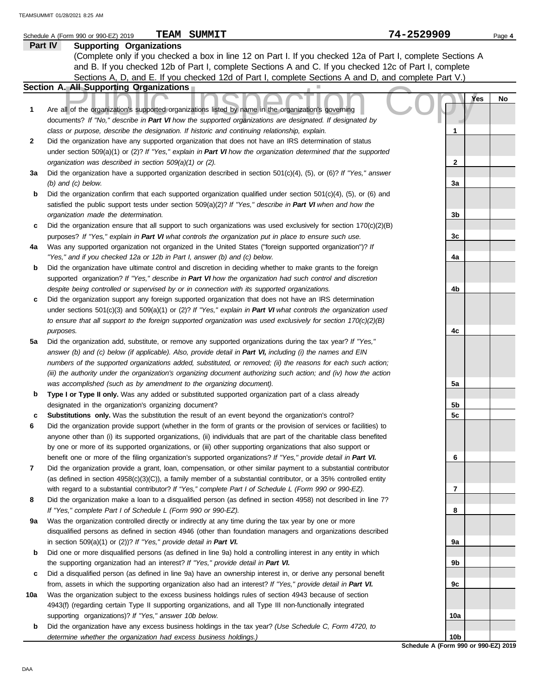|              | <b>TEAM SUMMIT</b><br>Schedule A (Form 990 or 990-EZ) 2019                                                               | 74-2529909                                 |     | Page 4 |
|--------------|--------------------------------------------------------------------------------------------------------------------------|--------------------------------------------|-----|--------|
|              | Part IV<br><b>Supporting Organizations</b>                                                                               |                                            |     |        |
|              | (Complete only if you checked a box in line 12 on Part I. If you checked 12a of Part I, complete Sections A              |                                            |     |        |
|              | and B. If you checked 12b of Part I, complete Sections A and C. If you checked 12c of Part I, complete                   |                                            |     |        |
|              | Sections A, D, and E. If you checked 12d of Part I, complete Sections A and D, and complete Part V.)                     |                                            |     |        |
|              | Section A. All Supporting Organizations                                                                                  |                                            |     |        |
|              |                                                                                                                          |                                            | Yes | No     |
| 1            | Are all of the organization's supported organizations listed by name in the organization's governing                     |                                            |     |        |
|              | documents? If "No," describe in Part VI how the supported organizations are designated. If designated by                 |                                            |     |        |
|              | class or purpose, describe the designation. If historic and continuing relationship, explain.                            | 1                                          |     |        |
|              | Did the organization have any supported organization that does not have an IRS determination of status                   |                                            |     |        |
| $\mathbf{2}$ |                                                                                                                          |                                            |     |        |
|              | under section 509(a)(1) or (2)? If "Yes," explain in Part VI how the organization determined that the supported          |                                            |     |        |
|              | organization was described in section 509(a)(1) or (2).                                                                  | 2                                          |     |        |
| За           | Did the organization have a supported organization described in section $501(c)(4)$ , (5), or (6)? If "Yes," answer      |                                            |     |        |
|              | $(b)$ and $(c)$ below.                                                                                                   | За                                         |     |        |
| b            | Did the organization confirm that each supported organization qualified under section $501(c)(4)$ , $(5)$ , or $(6)$ and |                                            |     |        |
|              | satisfied the public support tests under section 509(a)(2)? If "Yes," describe in Part VI when and how the               |                                            |     |        |
|              | organization made the determination.                                                                                     | 3b                                         |     |        |
| c            | Did the organization ensure that all support to such organizations was used exclusively for section $170(c)(2)(B)$       |                                            |     |        |
|              | purposes? If "Yes," explain in Part VI what controls the organization put in place to ensure such use.                   | 3c                                         |     |        |
| 4a           | Was any supported organization not organized in the United States ("foreign supported organization")? If                 |                                            |     |        |
|              | "Yes," and if you checked 12a or 12b in Part I, answer (b) and (c) below.                                                | 4a                                         |     |        |
| b            | Did the organization have ultimate control and discretion in deciding whether to make grants to the foreign              |                                            |     |        |
|              | supported organization? If "Yes," describe in Part VI how the organization had such control and discretion               |                                            |     |        |
|              | despite being controlled or supervised by or in connection with its supported organizations.                             | 4b                                         |     |        |
| c            | Did the organization support any foreign supported organization that does not have an IRS determination                  |                                            |     |        |
|              | under sections $501(c)(3)$ and $509(a)(1)$ or (2)? If "Yes," explain in Part VI what controls the organization used      |                                            |     |        |
|              | to ensure that all support to the foreign supported organization was used exclusively for section $170(c)(2)(B)$         |                                            |     |        |
|              | purposes.                                                                                                                | 4c                                         |     |        |
| 5a           | Did the organization add, substitute, or remove any supported organizations during the tax year? If "Yes,"               |                                            |     |        |
|              | answer (b) and (c) below (if applicable). Also, provide detail in Part VI, including (i) the names and EIN               |                                            |     |        |
|              | numbers of the supported organizations added, substituted, or removed; (ii) the reasons for each such action;            |                                            |     |        |
|              | (iii) the authority under the organization's organizing document authorizing such action; and (iv) how the action        |                                            |     |        |
|              | was accomplished (such as by amendment to the organizing document).                                                      | 5a                                         |     |        |
| b            | Type I or Type II only. Was any added or substituted supported organization part of a class already                      |                                            |     |        |
|              | designated in the organization's organizing document?                                                                    | 5b                                         |     |        |
| c            | Substitutions only. Was the substitution the result of an event beyond the organization's control?                       | 5c                                         |     |        |
| 6            | Did the organization provide support (whether in the form of grants or the provision of services or facilities) to       |                                            |     |        |
|              | anyone other than (i) its supported organizations, (ii) individuals that are part of the charitable class benefited      |                                            |     |        |
|              | by one or more of its supported organizations, or (iii) other supporting organizations that also support or              |                                            |     |        |
|              | benefit one or more of the filing organization's supported organizations? If "Yes," provide detail in Part VI.           | 6                                          |     |        |
| 7            | Did the organization provide a grant, loan, compensation, or other similar payment to a substantial contributor          |                                            |     |        |
|              | (as defined in section $4958(c)(3)(C)$ ), a family member of a substantial contributor, or a 35% controlled entity       |                                            |     |        |
|              | with regard to a substantial contributor? If "Yes," complete Part I of Schedule L (Form 990 or 990-EZ).                  | 7                                          |     |        |
| 8            | Did the organization make a loan to a disqualified person (as defined in section 4958) not described in line 7?          |                                            |     |        |
|              | If "Yes," complete Part I of Schedule L (Form 990 or 990-EZ).                                                            | 8                                          |     |        |
| 9а           | Was the organization controlled directly or indirectly at any time during the tax year by one or more                    |                                            |     |        |
|              | disqualified persons as defined in section 4946 (other than foundation managers and organizations described              |                                            |     |        |
|              | in section $509(a)(1)$ or $(2)$ ? If "Yes," provide detail in Part VI.                                                   | 9а                                         |     |        |
| b            | Did one or more disqualified persons (as defined in line 9a) hold a controlling interest in any entity in which          |                                            |     |        |
|              | the supporting organization had an interest? If "Yes," provide detail in Part VI.                                        | 9b                                         |     |        |
| с            | Did a disqualified person (as defined in line 9a) have an ownership interest in, or derive any personal benefit          |                                            |     |        |
|              | from, assets in which the supporting organization also had an interest? If "Yes," provide detail in Part VI.             | 9c                                         |     |        |
| 10a          | Was the organization subject to the excess business holdings rules of section 4943 because of section                    |                                            |     |        |
|              | 4943(f) (regarding certain Type II supporting organizations, and all Type III non-functionally integrated                |                                            |     |        |
|              | supporting organizations)? If "Yes," answer 10b below.                                                                   | 10a                                        |     |        |
| b            | Did the organization have any excess business holdings in the tax year? (Use Schedule C, Form 4720, to                   |                                            |     |        |
|              | determine whether the organization had excess business holdings.)                                                        | 10b<br>Cahadule A (Farm 000 ar 000 EZ) 204 |     |        |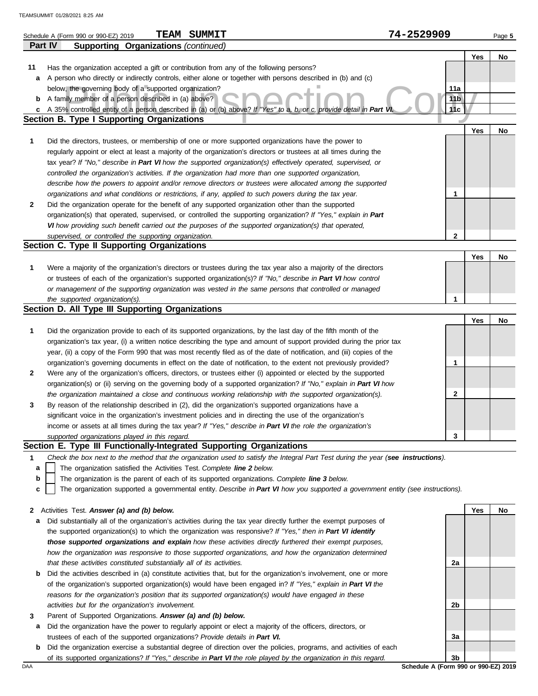|         | <b>TEAM SUMMIT</b><br>Schedule A (Form 990 or 990-EZ) 2019                                                                                                                                                          | 74-2529909      |     | Page 5 |
|---------|---------------------------------------------------------------------------------------------------------------------------------------------------------------------------------------------------------------------|-----------------|-----|--------|
| Part IV | <b>Supporting Organizations (continued)</b>                                                                                                                                                                         |                 |     |        |
|         |                                                                                                                                                                                                                     |                 | Yes | No     |
| 11      | Has the organization accepted a gift or contribution from any of the following persons?                                                                                                                             |                 |     |        |
| а       | A person who directly or indirectly controls, either alone or together with persons described in (b) and (c)                                                                                                        |                 |     |        |
|         | below, the governing body of a supported organization?                                                                                                                                                              | 11a             |     |        |
| b       | A family member of a person described in (a) above?                                                                                                                                                                 | 11 <sub>b</sub> |     |        |
| c       | A 35% controlled entity of a person described in (a) or (b) above? If "Yes" to a, b, or c, provide detail in Part V                                                                                                 | 11c             |     |        |
|         | Section B. Type I Supporting Organizations                                                                                                                                                                          |                 |     |        |
| 1       | Did the directors, trustees, or membership of one or more supported organizations have the power to                                                                                                                 |                 | Yes | No     |
|         | regularly appoint or elect at least a majority of the organization's directors or trustees at all times during the                                                                                                  |                 |     |        |
|         | tax year? If "No," describe in Part VI how the supported organization(s) effectively operated, supervised, or                                                                                                       |                 |     |        |
|         | controlled the organization's activities. If the organization had more than one supported organization,                                                                                                             |                 |     |        |
|         | describe how the powers to appoint and/or remove directors or trustees were allocated among the supported                                                                                                           |                 |     |        |
|         | organizations and what conditions or restrictions, if any, applied to such powers during the tax year.                                                                                                              | 1               |     |        |
| 2       | Did the organization operate for the benefit of any supported organization other than the supported                                                                                                                 |                 |     |        |
|         | organization(s) that operated, supervised, or controlled the supporting organization? If "Yes," explain in Part                                                                                                     |                 |     |        |
|         | VI how providing such benefit carried out the purposes of the supported organization(s) that operated,                                                                                                              |                 |     |        |
|         | supervised, or controlled the supporting organization.                                                                                                                                                              | $\mathbf{2}$    |     |        |
|         | Section C. Type II Supporting Organizations                                                                                                                                                                         |                 |     |        |
|         |                                                                                                                                                                                                                     |                 | Yes | No     |
| 1       | Were a majority of the organization's directors or trustees during the tax year also a majority of the directors                                                                                                    |                 |     |        |
|         | or trustees of each of the organization's supported organization(s)? If "No," describe in Part VI how control                                                                                                       |                 |     |        |
|         | or management of the supporting organization was vested in the same persons that controlled or managed                                                                                                              |                 |     |        |
|         | the supported organization(s).                                                                                                                                                                                      | 1               |     |        |
|         | Section D. All Type III Supporting Organizations                                                                                                                                                                    |                 |     |        |
|         |                                                                                                                                                                                                                     |                 | Yes | No     |
| 1       | Did the organization provide to each of its supported organizations, by the last day of the fifth month of the                                                                                                      |                 |     |        |
|         | organization's tax year, (i) a written notice describing the type and amount of support provided during the prior tax                                                                                               |                 |     |        |
|         | year, (ii) a copy of the Form 990 that was most recently filed as of the date of notification, and (iii) copies of the                                                                                              |                 |     |        |
|         | organization's governing documents in effect on the date of notification, to the extent not previously provided?                                                                                                    | 1               |     |        |
| 2       | Were any of the organization's officers, directors, or trustees either (i) appointed or elected by the supported                                                                                                    |                 |     |        |
|         | organization(s) or (ii) serving on the governing body of a supported organization? If "No," explain in Part VI how                                                                                                  |                 |     |        |
|         | the organization maintained a close and continuous working relationship with the supported organization(s).                                                                                                         | 2               |     |        |
| 3       | By reason of the relationship described in (2), did the organization's supported organizations have a<br>significant voice in the organization's investment policies and in directing the use of the organization's |                 |     |        |
|         | income or assets at all times during the tax year? If "Yes," describe in Part VI the role the organization's                                                                                                        |                 |     |        |
|         | supported organizations played in this regard.                                                                                                                                                                      | 3               |     |        |
|         | Section E. Type III Functionally-Integrated Supporting Organizations                                                                                                                                                |                 |     |        |
| 1       | Check the box next to the method that the organization used to satisfy the Integral Part Test during the year (see instructions).                                                                                   |                 |     |        |
| а       | The organization satisfied the Activities Test. Complete line 2 below.                                                                                                                                              |                 |     |        |
| b       | The organization is the parent of each of its supported organizations. Complete line 3 below.                                                                                                                       |                 |     |        |
| c       | The organization supported a governmental entity. Describe in Part VI how you supported a government entity (see instructions).                                                                                     |                 |     |        |
|         |                                                                                                                                                                                                                     |                 |     |        |
| 2       | Activities Test. Answer (a) and (b) below.                                                                                                                                                                          |                 | Yes | No     |
| а       | Did substantially all of the organization's activities during the tax year directly further the exempt purposes of                                                                                                  |                 |     |        |
|         | the supported organization(s) to which the organization was responsive? If "Yes," then in Part VI identify                                                                                                          |                 |     |        |
|         | those supported organizations and explain how these activities directly furthered their exempt purposes,                                                                                                            |                 |     |        |
|         | how the organization was responsive to those supported organizations, and how the organization determined                                                                                                           |                 |     |        |
|         | that these activities constituted substantially all of its activities.                                                                                                                                              | 2a              |     |        |
| b       | Did the activities described in (a) constitute activities that, but for the organization's involvement, one or more                                                                                                 |                 |     |        |
|         | of the organization's supported organization(s) would have been engaged in? If "Yes," explain in Part VI the                                                                                                        |                 |     |        |
|         | reasons for the organization's position that its supported organization(s) would have engaged in these                                                                                                              |                 |     |        |

- **3** *activities but for the organization's involvement.* Parent of Supported Organizations. *Answer (a) and (b) below.*
- **a** Did the organization have the power to regularly appoint or elect a majority of the officers, directors, or trustees of each of the supported organizations? *Provide details in Part VI.*
- **b** Did the organization exercise a substantial degree of direction over the policies, programs, and activities of each of its supported organizations? *If "Yes," describe in Part VI the role played by the organization in this regard.*

DAA **Schedule A (Form 990 or 990-EZ) 2019 3b**

**2b**

**3a**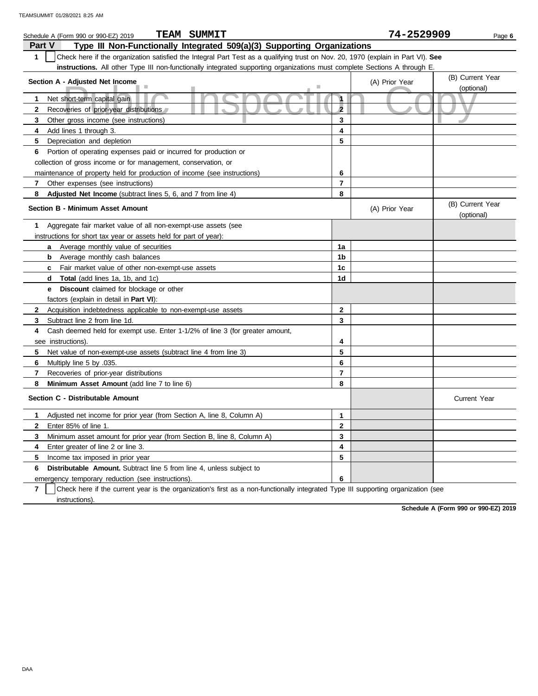| <b>TEAM SUMMIT</b><br>Schedule A (Form 990 or 990-EZ) 2019                                                                                       |                         | 74-2529909     | Page 6                         |
|--------------------------------------------------------------------------------------------------------------------------------------------------|-------------------------|----------------|--------------------------------|
| <b>Part V</b><br>Type III Non-Functionally Integrated 509(a)(3) Supporting Organizations                                                         |                         |                |                                |
| $\mathbf{1}$<br>Check here if the organization satisfied the Integral Part Test as a qualifying trust on Nov. 20, 1970 (explain in Part VI). See |                         |                |                                |
| instructions. All other Type III non-functionally integrated supporting organizations must complete Sections A through E                         |                         |                |                                |
| Section A - Adjusted Net Income                                                                                                                  |                         | (A) Prior Year | (B) Current Year<br>(optional) |
| ۰                                                                                                                                                | $\overline{\mathbf{1}}$ |                |                                |
| Net short-term capital gain<br>1<br>$\mathbf{2}$                                                                                                 | $\overline{2}$          |                |                                |
| Recoveries of prior-year distributions                                                                                                           | 3                       |                |                                |
| 3<br>Other gross income (see instructions)<br>4                                                                                                  | 4                       |                |                                |
| Add lines 1 through 3.                                                                                                                           | 5                       |                |                                |
| 5<br>Depreciation and depletion                                                                                                                  |                         |                |                                |
| Portion of operating expenses paid or incurred for production or<br>6                                                                            |                         |                |                                |
| collection of gross income or for management, conservation, or                                                                                   |                         |                |                                |
| maintenance of property held for production of income (see instructions)                                                                         | 6                       |                |                                |
| 7<br>Other expenses (see instructions)                                                                                                           | $\overline{7}$          |                |                                |
| 8<br>Adjusted Net Income (subtract lines 5, 6, and 7 from line 4)                                                                                | 8                       |                |                                |
| <b>Section B - Minimum Asset Amount</b>                                                                                                          |                         | (A) Prior Year | (B) Current Year<br>(optional) |
| Aggregate fair market value of all non-exempt-use assets (see<br>1                                                                               |                         |                |                                |
| instructions for short tax year or assets held for part of year):                                                                                |                         |                |                                |
| Average monthly value of securities<br>a                                                                                                         | 1a                      |                |                                |
| <b>b</b> Average monthly cash balances                                                                                                           | 1 <sub>b</sub>          |                |                                |
| Fair market value of other non-exempt-use assets<br>C                                                                                            | 1 <sub>c</sub>          |                |                                |
| <b>Total</b> (add lines 1a, 1b, and 1c)<br>d                                                                                                     | 1d                      |                |                                |
| <b>Discount</b> claimed for blockage or other<br>е                                                                                               |                         |                |                                |
| factors (explain in detail in <b>Part VI</b> ):                                                                                                  |                         |                |                                |
| $\mathbf{2}$<br>Acquisition indebtedness applicable to non-exempt-use assets                                                                     | $\mathbf{2}$            |                |                                |
| 3<br>Subtract line 2 from line 1d.                                                                                                               | 3                       |                |                                |
| 4<br>Cash deemed held for exempt use. Enter 1-1/2% of line 3 (for greater amount,                                                                |                         |                |                                |
| see instructions)                                                                                                                                | 4                       |                |                                |
| 5<br>Net value of non-exempt-use assets (subtract line 4 from line 3)                                                                            | 5                       |                |                                |
| 6<br>Multiply line 5 by .035.                                                                                                                    | 6                       |                |                                |
| 7<br>Recoveries of prior-year distributions                                                                                                      | $\overline{7}$          |                |                                |
| 8<br>Minimum Asset Amount (add line 7 to line 6)                                                                                                 | 8                       |                |                                |
| Section C - Distributable Amount                                                                                                                 |                         |                | <b>Current Year</b>            |
| 1<br>Adjusted net income for prior year (from Section A, line 8, Column A)                                                                       | 1                       |                |                                |
| $\mathbf{2}$<br>Enter 85% of line 1.                                                                                                             | $\mathbf{2}$            |                |                                |
| 3<br>Minimum asset amount for prior year (from Section B, line 8, Column A)                                                                      | 3                       |                |                                |
| 4<br>Enter greater of line 2 or line 3.                                                                                                          | 4                       |                |                                |
| Income tax imposed in prior year<br>5                                                                                                            | 5                       |                |                                |
| Distributable Amount. Subtract line 5 from line 4, unless subject to<br>6                                                                        |                         |                |                                |
| emergency temporary reduction (see instructions).                                                                                                | 6                       |                |                                |

**7** instructions). Check here if the current year is the organization's first as a non-functionally integrated Type III supporting organization (see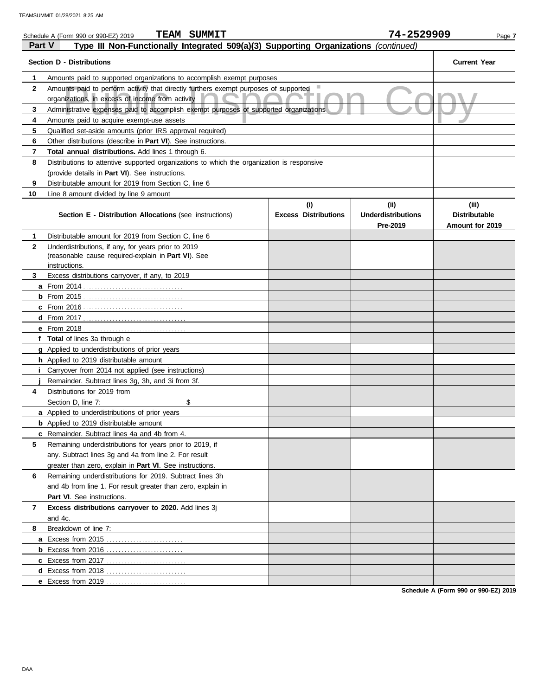|              | <b>TEAM SUMMIT</b><br>Schedule A (Form 990 or 990-EZ) 2019                                 |                             | 74-2529909                            | Page 7                                  |
|--------------|--------------------------------------------------------------------------------------------|-----------------------------|---------------------------------------|-----------------------------------------|
| Part V       | Type III Non-Functionally Integrated 509(a)(3) Supporting Organizations (continued)        |                             |                                       |                                         |
|              | <b>Section D - Distributions</b>                                                           |                             |                                       | <b>Current Year</b>                     |
| 1            | Amounts paid to supported organizations to accomplish exempt purposes                      |                             |                                       |                                         |
| $\mathbf{2}$ | Amounts paid to perform activity that directly furthers exempt purposes of supported       |                             |                                       |                                         |
|              | organizations, in excess of income from activity                                           |                             |                                       |                                         |
| 3            | Administrative expenses paid to accomplish exempt purposes of supported organizations      |                             |                                       |                                         |
| 4            | Amounts paid to acquire exempt-use assets                                                  |                             |                                       |                                         |
| 5            | Qualified set-aside amounts (prior IRS approval required)                                  |                             |                                       |                                         |
| 6            | Other distributions (describe in Part VI). See instructions.                               |                             |                                       |                                         |
| 7            | Total annual distributions. Add lines 1 through 6.                                         |                             |                                       |                                         |
| 8            | Distributions to attentive supported organizations to which the organization is responsive |                             |                                       |                                         |
|              | (provide details in Part VI). See instructions.                                            |                             |                                       |                                         |
| 9            | Distributable amount for 2019 from Section C, line 6                                       |                             |                                       |                                         |
| 10           | Line 8 amount divided by line 9 amount                                                     |                             |                                       |                                         |
|              |                                                                                            | (i)                         | (ii)                                  | (iii)                                   |
|              | Section E - Distribution Allocations (see instructions)                                    | <b>Excess Distributions</b> | <b>Underdistributions</b><br>Pre-2019 | <b>Distributable</b><br>Amount for 2019 |
| 1            | Distributable amount for 2019 from Section C, line 6                                       |                             |                                       |                                         |
| $\mathbf{2}$ | Underdistributions, if any, for years prior to 2019                                        |                             |                                       |                                         |
|              | (reasonable cause required-explain in Part VI). See                                        |                             |                                       |                                         |
|              | instructions.                                                                              |                             |                                       |                                         |
| 3            | Excess distributions carryover, if any, to 2019                                            |                             |                                       |                                         |
|              |                                                                                            |                             |                                       |                                         |
|              |                                                                                            |                             |                                       |                                         |
|              |                                                                                            |                             |                                       |                                         |
|              |                                                                                            |                             |                                       |                                         |
|              |                                                                                            |                             |                                       |                                         |
|              | f Total of lines 3a through e                                                              |                             |                                       |                                         |
|              | g Applied to underdistributions of prior years                                             |                             |                                       |                                         |
|              | h Applied to 2019 distributable amount                                                     |                             |                                       |                                         |
|              | Carryover from 2014 not applied (see instructions)                                         |                             |                                       |                                         |
|              | Remainder. Subtract lines 3g, 3h, and 3i from 3f.                                          |                             |                                       |                                         |
| 4            | Distributions for 2019 from                                                                |                             |                                       |                                         |
|              | Section D, line 7:<br>\$                                                                   |                             |                                       |                                         |
|              | a Applied to underdistributions of prior years                                             |                             |                                       |                                         |
|              | <b>b</b> Applied to 2019 distributable amount                                              |                             |                                       |                                         |
|              | c Remainder. Subtract lines 4a and 4b from 4.                                              |                             |                                       |                                         |
| 5            | Remaining underdistributions for years prior to 2019, if                                   |                             |                                       |                                         |
|              | any. Subtract lines 3g and 4a from line 2. For result                                      |                             |                                       |                                         |
|              | greater than zero, explain in Part VI. See instructions.                                   |                             |                                       |                                         |
| 6            | Remaining underdistributions for 2019. Subtract lines 3h                                   |                             |                                       |                                         |
|              | and 4b from line 1. For result greater than zero, explain in                               |                             |                                       |                                         |
|              | Part VI. See instructions.                                                                 |                             |                                       |                                         |
| 7            | Excess distributions carryover to 2020. Add lines 3j                                       |                             |                                       |                                         |
|              | and 4c.                                                                                    |                             |                                       |                                         |
| 8            | Breakdown of line 7:                                                                       |                             |                                       |                                         |
|              |                                                                                            |                             |                                       |                                         |
|              |                                                                                            |                             |                                       |                                         |
|              |                                                                                            |                             |                                       |                                         |
|              |                                                                                            |                             |                                       |                                         |
|              | e Excess from 2019                                                                         |                             |                                       |                                         |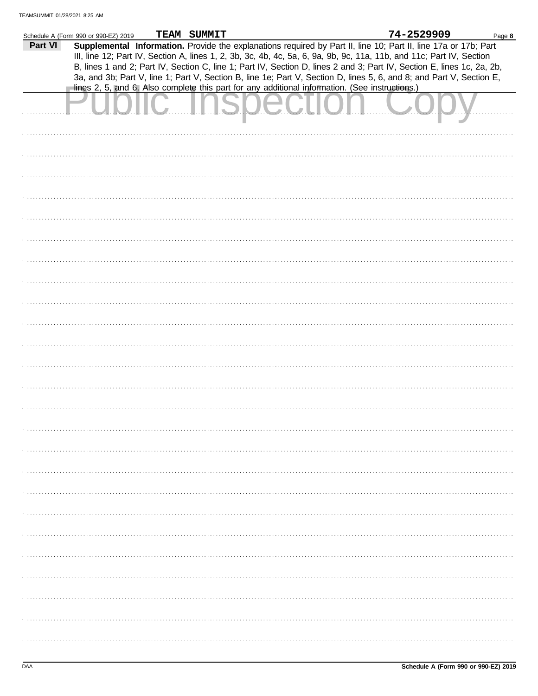|         | Schedule A (Form 990 or 990-EZ) 2019 | TEAM SUMMIT |                                                                                                               |                                                                                                | 74-2529909                                                                                                             | Page 8 |
|---------|--------------------------------------|-------------|---------------------------------------------------------------------------------------------------------------|------------------------------------------------------------------------------------------------|------------------------------------------------------------------------------------------------------------------------|--------|
| Part VI |                                      |             |                                                                                                               |                                                                                                | Supplemental Information. Provide the explanations required by Part II, line 10; Part II, line 17a or 17b; Part        |        |
|         |                                      |             |                                                                                                               |                                                                                                |                                                                                                                        |        |
|         |                                      |             |                                                                                                               |                                                                                                | III, line 12; Part IV, Section A, lines 1, 2, 3b, 3c, 4b, 4c, 5a, 6, 9a, 9b, 9c, 11a, 11b, and 11c; Part IV, Section   |        |
|         |                                      |             |                                                                                                               |                                                                                                | B, lines 1 and 2; Part IV, Section C, line 1; Part IV, Section D, lines 2 and 3; Part IV, Section E, lines 1c, 2a, 2b, |        |
|         |                                      |             |                                                                                                               |                                                                                                |                                                                                                                        |        |
|         |                                      |             |                                                                                                               |                                                                                                | 3a, and 3b; Part V, line 1; Part V, Section B, line 1e; Part V, Section D, lines 5, 6, and 8; and Part V, Section E,   |        |
|         |                                      |             |                                                                                                               | lines 2, 5, and 6. Also complete this part for any additional information. (See instructions.) |                                                                                                                        |        |
|         |                                      |             |                                                                                                               |                                                                                                |                                                                                                                        |        |
|         |                                      |             |                                                                                                               |                                                                                                |                                                                                                                        |        |
|         |                                      |             | 2000 - 2000 - 2000 - 2000 - 2000 - 2000 - 2000 - 2000 - 2000 - 2000 - 2000 - 2000 - 2000 - 2000 - 2000 - 2000 |                                                                                                |                                                                                                                        |        |
|         |                                      |             |                                                                                                               |                                                                                                |                                                                                                                        |        |
|         |                                      |             |                                                                                                               |                                                                                                |                                                                                                                        |        |
|         |                                      |             |                                                                                                               |                                                                                                |                                                                                                                        |        |
|         |                                      |             |                                                                                                               |                                                                                                |                                                                                                                        |        |
|         |                                      |             |                                                                                                               |                                                                                                |                                                                                                                        |        |
|         |                                      |             |                                                                                                               |                                                                                                |                                                                                                                        |        |
|         |                                      |             |                                                                                                               |                                                                                                |                                                                                                                        |        |
|         |                                      |             |                                                                                                               |                                                                                                |                                                                                                                        |        |
|         |                                      |             |                                                                                                               |                                                                                                |                                                                                                                        |        |
|         |                                      |             |                                                                                                               |                                                                                                |                                                                                                                        |        |
|         |                                      |             |                                                                                                               |                                                                                                |                                                                                                                        |        |
|         |                                      |             |                                                                                                               |                                                                                                |                                                                                                                        |        |
|         |                                      |             |                                                                                                               |                                                                                                |                                                                                                                        |        |
|         |                                      |             |                                                                                                               |                                                                                                |                                                                                                                        |        |
|         |                                      |             |                                                                                                               |                                                                                                |                                                                                                                        |        |
|         |                                      |             |                                                                                                               |                                                                                                |                                                                                                                        |        |
|         |                                      |             |                                                                                                               |                                                                                                |                                                                                                                        |        |
|         |                                      |             |                                                                                                               |                                                                                                |                                                                                                                        |        |
|         |                                      |             |                                                                                                               |                                                                                                |                                                                                                                        |        |
|         |                                      |             |                                                                                                               |                                                                                                |                                                                                                                        |        |
|         |                                      |             |                                                                                                               |                                                                                                |                                                                                                                        |        |
|         |                                      |             |                                                                                                               |                                                                                                |                                                                                                                        |        |
|         |                                      |             |                                                                                                               |                                                                                                |                                                                                                                        |        |
|         |                                      |             |                                                                                                               |                                                                                                |                                                                                                                        |        |
|         |                                      |             |                                                                                                               |                                                                                                |                                                                                                                        |        |
|         |                                      |             |                                                                                                               |                                                                                                |                                                                                                                        |        |
|         |                                      |             |                                                                                                               |                                                                                                |                                                                                                                        |        |
|         |                                      |             |                                                                                                               |                                                                                                |                                                                                                                        |        |
|         |                                      |             |                                                                                                               |                                                                                                |                                                                                                                        |        |
|         |                                      |             |                                                                                                               |                                                                                                |                                                                                                                        |        |
|         |                                      |             |                                                                                                               |                                                                                                |                                                                                                                        |        |
|         |                                      |             |                                                                                                               |                                                                                                |                                                                                                                        |        |
|         |                                      |             |                                                                                                               |                                                                                                |                                                                                                                        |        |
|         |                                      |             |                                                                                                               |                                                                                                |                                                                                                                        |        |
|         |                                      |             |                                                                                                               |                                                                                                |                                                                                                                        |        |
|         |                                      |             |                                                                                                               |                                                                                                |                                                                                                                        |        |
|         |                                      |             |                                                                                                               |                                                                                                |                                                                                                                        |        |
|         |                                      |             |                                                                                                               |                                                                                                |                                                                                                                        |        |
|         |                                      |             |                                                                                                               |                                                                                                |                                                                                                                        |        |
|         |                                      |             |                                                                                                               |                                                                                                |                                                                                                                        |        |
|         |                                      |             |                                                                                                               |                                                                                                |                                                                                                                        |        |
|         |                                      |             |                                                                                                               |                                                                                                |                                                                                                                        |        |
|         |                                      |             |                                                                                                               |                                                                                                |                                                                                                                        |        |
|         |                                      |             |                                                                                                               |                                                                                                |                                                                                                                        |        |
|         |                                      |             |                                                                                                               |                                                                                                |                                                                                                                        |        |
|         |                                      |             |                                                                                                               |                                                                                                |                                                                                                                        |        |
|         |                                      |             |                                                                                                               |                                                                                                |                                                                                                                        |        |
|         |                                      |             |                                                                                                               |                                                                                                |                                                                                                                        |        |
|         |                                      |             |                                                                                                               |                                                                                                |                                                                                                                        |        |
|         |                                      |             |                                                                                                               |                                                                                                |                                                                                                                        |        |
|         |                                      |             |                                                                                                               |                                                                                                |                                                                                                                        |        |
|         |                                      |             |                                                                                                               |                                                                                                |                                                                                                                        |        |
|         |                                      |             |                                                                                                               |                                                                                                |                                                                                                                        |        |
|         |                                      |             |                                                                                                               |                                                                                                |                                                                                                                        |        |
|         |                                      |             |                                                                                                               |                                                                                                |                                                                                                                        |        |
|         |                                      |             |                                                                                                               |                                                                                                |                                                                                                                        |        |
|         |                                      |             |                                                                                                               |                                                                                                |                                                                                                                        |        |
|         |                                      |             |                                                                                                               |                                                                                                |                                                                                                                        |        |
|         |                                      |             |                                                                                                               |                                                                                                |                                                                                                                        |        |
|         |                                      |             |                                                                                                               |                                                                                                |                                                                                                                        |        |
|         |                                      |             |                                                                                                               |                                                                                                |                                                                                                                        |        |
|         |                                      |             |                                                                                                               |                                                                                                |                                                                                                                        |        |
|         |                                      |             |                                                                                                               |                                                                                                |                                                                                                                        |        |
|         |                                      |             |                                                                                                               |                                                                                                |                                                                                                                        |        |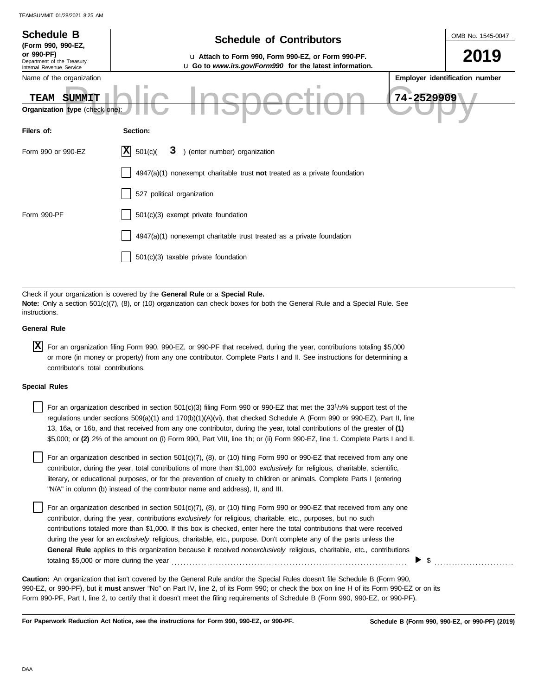| <b>Schedule B</b><br>(Form 990, 990-EZ,                              | <b>Schedule of Contributors</b>                                                                                                                                                                             | OMB No. 1545-0047              |
|----------------------------------------------------------------------|-------------------------------------------------------------------------------------------------------------------------------------------------------------------------------------------------------------|--------------------------------|
| or 990-PF)<br>Department of the Treasury<br>Internal Revenue Service | u Attach to Form 990, Form 990-EZ, or Form 990-PF.<br>u Go to www.irs.gov/Form990 for the latest information.                                                                                               | 2019                           |
| Name of the organization                                             |                                                                                                                                                                                                             | Employer identification number |
| SUMMIT<br><b>TEAM</b>                                                | 74-2529909                                                                                                                                                                                                  |                                |
| Organization type (check one):                                       |                                                                                                                                                                                                             |                                |
| Filers of:                                                           | Section:                                                                                                                                                                                                    |                                |
| Form 990 or 990-EZ                                                   | ) (enter number) organization<br> X <br>501(c)<br>3                                                                                                                                                         |                                |
|                                                                      | 4947(a)(1) nonexempt charitable trust not treated as a private foundation                                                                                                                                   |                                |
|                                                                      | 527 political organization                                                                                                                                                                                  |                                |
| Form 990-PF                                                          | 501(c)(3) exempt private foundation                                                                                                                                                                         |                                |
|                                                                      | 4947(a)(1) nonexempt charitable trust treated as a private foundation                                                                                                                                       |                                |
|                                                                      | 501(c)(3) taxable private foundation                                                                                                                                                                        |                                |
|                                                                      |                                                                                                                                                                                                             |                                |
| instructions.                                                        | Check if your organization is covered by the General Rule or a Special Rule.<br>Note: Only a section 501(c)(7), (8), or (10) organization can check boxes for both the General Rule and a Special Rule. See |                                |
| <b>General Rule</b>                                                  |                                                                                                                                                                                                             |                                |

| $X$ For an organization filing Form 990, 990-EZ, or 990-PF that received, during the year, contributions totaling \$5,000 |
|---------------------------------------------------------------------------------------------------------------------------|
| or more (in money or property) from any one contributor. Complete Parts I and II. See instructions for determining a      |
| contributor's total contributions.                                                                                        |

### **Special Rules**

| For an organization described in section 501(c)(3) filing Form 990 or 990-EZ that met the 33 <sup>1</sup> /3% support test of the |
|-----------------------------------------------------------------------------------------------------------------------------------|
| regulations under sections 509(a)(1) and 170(b)(1)(A)(vi), that checked Schedule A (Form 990 or 990-EZ), Part II, line            |
| 13, 16a, or 16b, and that received from any one contributor, during the year, total contributions of the greater of (1)           |
| \$5,000; or (2) 2% of the amount on (i) Form 990, Part VIII, line 1h; or (ii) Form 990-EZ, line 1. Complete Parts I and II.       |

literary, or educational purposes, or for the prevention of cruelty to children or animals. Complete Parts I (entering For an organization described in section  $501(c)(7)$ ,  $(8)$ , or  $(10)$  filing Form 990 or 990-EZ that received from any one contributor, during the year, total contributions of more than \$1,000 *exclusively* for religious, charitable, scientific, "N/A" in column (b) instead of the contributor name and address), II, and III.

For an organization described in section 501(c)(7), (8), or (10) filing Form 990 or 990-EZ that received from any one contributor, during the year, contributions *exclusively* for religious, charitable, etc., purposes, but no such contributions totaled more than \$1,000. If this box is checked, enter here the total contributions that were received during the year for an *exclusively* religious, charitable, etc., purpose. Don't complete any of the parts unless the **General Rule** applies to this organization because it received *nonexclusively* religious, charitable, etc., contributions totaling \$5,000 or more during the year . . . . . . . . . . . . . . . . . . . . . . . . . . . . . . . . . . . . . . . . . . . . . . . . . . . . . . . . . . . . . . . . . . . . . . . . . . . . . . . .

990-EZ, or 990-PF), but it **must** answer "No" on Part IV, line 2, of its Form 990; or check the box on line H of its Form 990-EZ or on its Form 990-PF, Part I, line 2, to certify that it doesn't meet the filing requirements of Schedule B (Form 990, 990-EZ, or 990-PF). **Caution:** An organization that isn't covered by the General Rule and/or the Special Rules doesn't file Schedule B (Form 990,

**For Paperwork Reduction Act Notice, see the instructions for Form 990, 990-EZ, or 990-PF.**

 $\triangleright$  \$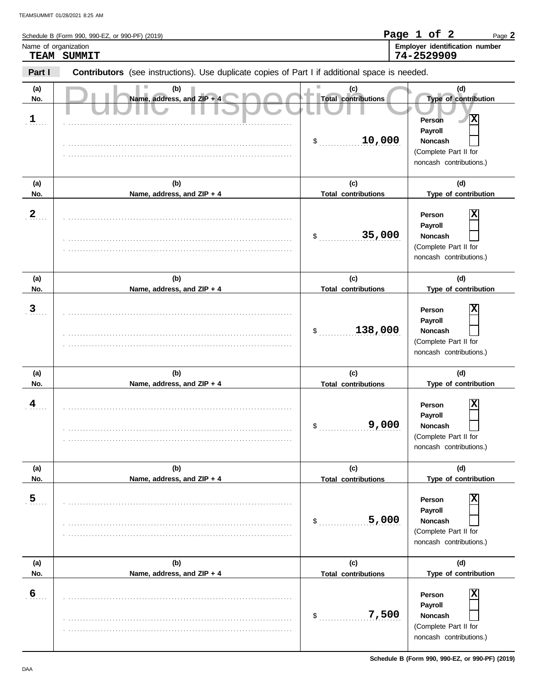| Name of organization       | TEAM SUMMIT                                                                                    |                                           | Employer identification number<br>74-2529909                                                 |
|----------------------------|------------------------------------------------------------------------------------------------|-------------------------------------------|----------------------------------------------------------------------------------------------|
| Part I                     | Contributors (see instructions). Use duplicate copies of Part I if additional space is needed. |                                           |                                                                                              |
| (a)<br>No.<br>$\mathbf{1}$ | (b)<br>Name, address, and ZIP + 4                                                              | (c)<br><b>Total contributions</b>         | (d)<br>Type of contribution<br>Person                                                        |
|                            |                                                                                                | 10,000<br>\$                              | Payroll<br>Noncash<br>(Complete Part II for<br>noncash contributions.)                       |
| (a)<br>No.                 | (b)<br>Name, address, and ZIP + 4                                                              | (c)<br><b>Total contributions</b>         | (d)<br>Type of contribution                                                                  |
| $\overline{2}$             |                                                                                                | 35,000<br>\$                              | Person<br>Payroll<br>Noncash<br>(Complete Part II for<br>noncash contributions.)             |
| (a)<br>No.                 | (b)<br>Name, address, and ZIP + 4                                                              | (c)<br><b>Total contributions</b>         | (d)<br>Type of contribution                                                                  |
| $\overline{3}$             |                                                                                                | 138,000<br>\$                             | Person<br>Payroll<br><b>Noncash</b><br>(Complete Part II for<br>noncash contributions.)      |
| (a)<br>No.                 | (b)<br>Name, address, and ZIP + 4                                                              | (c)<br><b>Total contributions</b>         | (d)<br>Type of contribution                                                                  |
| 4                          |                                                                                                | 9,000<br>\$                               | X<br>Person<br>Payroll<br><b>Noncash</b><br>(Complete Part II for<br>noncash contributions.) |
| (a)<br>No.                 | (b)<br>Name, address, and ZIP + 4                                                              | (c)<br><b>Total contributions</b>         | (d)<br>Type of contribution                                                                  |
| 5 <sub>1</sub>             |                                                                                                | 5,000<br>\$                               | Person<br>Payroll<br><b>Noncash</b><br>(Complete Part II for<br>noncash contributions.)      |
| (a)<br>No.                 | (b)<br>Name, address, and ZIP + 4                                                              | (c)                                       | (d)<br>Type of contribution                                                                  |
| $6 \overline{6}$           |                                                                                                | <b>Total contributions</b><br>7,500<br>\$ | Person<br>Payroll<br>Noncash<br>(Complete Part II for                                        |

. . . . . . . . . . . . . . . . . . . . . . . . . . . . . . . . . . . . . . . . . . . . . . . . . . . . . . . . . . . . . . . . . . . . . . . . . . . . .

noncash contributions.)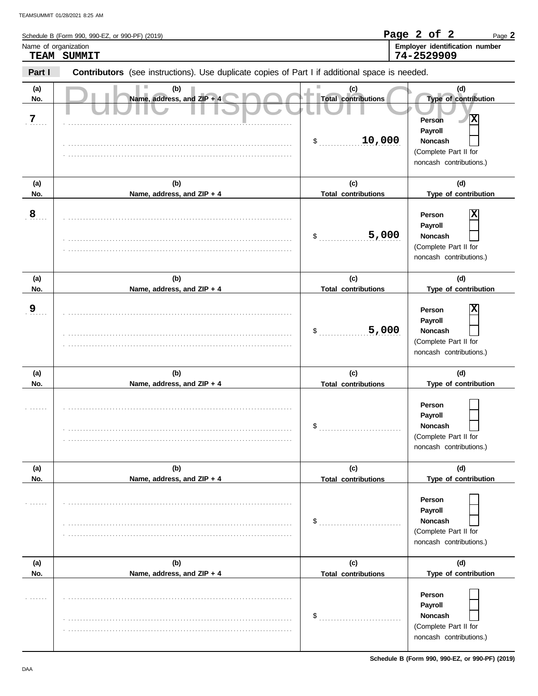| Name of organization | Schedule B (Form 990, 990-EZ, or 990-PF) (2019)<br>TEAM SUMMIT                                 |                                   | Page 2 of 2<br>Page 2<br>Employer identification number<br>74-2529909                        |
|----------------------|------------------------------------------------------------------------------------------------|-----------------------------------|----------------------------------------------------------------------------------------------|
| Part I               | Contributors (see instructions). Use duplicate copies of Part I if additional space is needed. |                                   |                                                                                              |
| (a)<br>No.<br>7      | (b)<br>Name, address, and ZIP + 4                                                              | (c)<br><b>Total contributions</b> | (d)<br>Type of contribution<br>ΙX<br>Person                                                  |
|                      |                                                                                                | 10,000<br>\$                      | Payroll<br><b>Noncash</b><br>(Complete Part II for<br>noncash contributions.)                |
| (a)<br>No.           | (b)<br>Name, address, and ZIP + 4                                                              | (c)<br><b>Total contributions</b> | (d)<br>Type of contribution                                                                  |
| 8                    |                                                                                                | 5,000<br>\$                       | х<br>Person<br>Payroll<br><b>Noncash</b><br>(Complete Part II for<br>noncash contributions.) |
| (a)<br>No.           | (b)<br>Name, address, and ZIP + 4                                                              | (c)<br><b>Total contributions</b> | (d)<br>Type of contribution                                                                  |
| 9                    |                                                                                                | 5,000<br>\$                       | х<br>Person<br>Payroll<br><b>Noncash</b><br>(Complete Part II for<br>noncash contributions.) |
| (a)<br>No.           | (b)<br>Name, address, and ZIP + 4                                                              | (c)<br><b>Total contributions</b> | (d)<br>Type of contribution                                                                  |
|                      |                                                                                                | \$                                | Person<br>Payroll<br>Noncash<br>(Complete Part II for<br>noncash contributions.)             |
| (a)<br>No.           | (b)<br>Name, address, and ZIP + 4                                                              | (c)<br><b>Total contributions</b> | (d)<br>Type of contribution                                                                  |
|                      |                                                                                                | \$                                | Person<br>Payroll<br><b>Noncash</b><br>(Complete Part II for<br>noncash contributions.)      |
| (a)<br>No.           | (b)<br>Name, address, and ZIP + 4                                                              | (c)<br><b>Total contributions</b> | (d)<br>Type of contribution                                                                  |
| 1.1.1.1              |                                                                                                | \$                                | Person<br>Payroll<br><b>Noncash</b>                                                          |

. . . . . . . . . . . . . . . . . . . . . . . . . . . . . . . . . . . . . . . . . . . . . . . . . . . . . . . . . . . . . . . . . . . . . . . . . . . . .

(Complete Part II for noncash contributions.)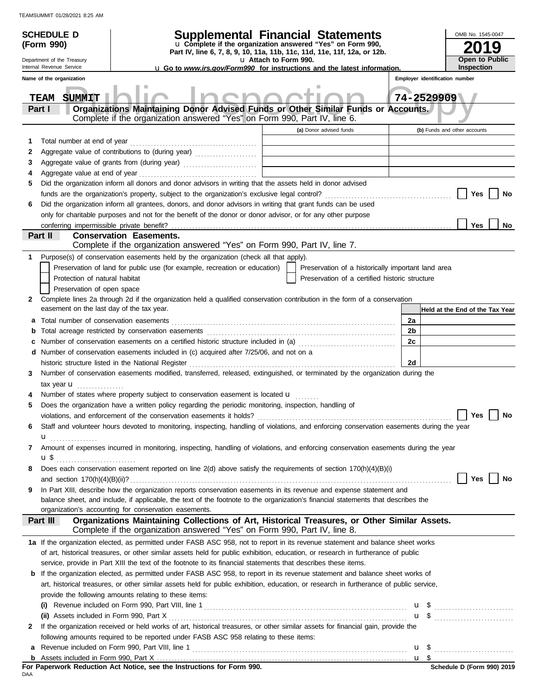| <b>SCHEDULE D</b>                                    | <b>Supplemental Financial Statements</b>                                                                                                                                  |                       |                                                    |      | OMB No. 1545-0047               |    |
|------------------------------------------------------|---------------------------------------------------------------------------------------------------------------------------------------------------------------------------|-----------------------|----------------------------------------------------|------|---------------------------------|----|
| (Form 990)                                           | u Complete if the organization answered "Yes" on Form 990,                                                                                                                |                       | 9                                                  |      |                                 |    |
| Department of the Treasury                           | Part IV, line 6, 7, 8, 9, 10, 11a, 11b, 11c, 11d, 11e, 11f, 12a, or 12b.                                                                                                  | u Attach to Form 990. | <b>Open to Public</b>                              |      |                                 |    |
| Internal Revenue Service                             | <b>u</b> Go to www.irs.gov/Form990 for instructions and the latest information.                                                                                           |                       |                                                    |      | Inspection                      |    |
| Name of the organization                             |                                                                                                                                                                           |                       |                                                    |      | Employer identification number  |    |
| SUMMIT<br><b>TEAM</b><br>Part I                      | Organizations Maintaining Donor Advised Funds or Other Similar Funds or Accounts.                                                                                         |                       |                                                    |      | 74-2529909                      |    |
|                                                      | Complete if the organization answered "Yes" on Form 990, Part IV, line 6.                                                                                                 |                       |                                                    |      |                                 |    |
|                                                      |                                                                                                                                                                           |                       | (a) Donor advised funds                            |      | (b) Funds and other accounts    |    |
| 1                                                    |                                                                                                                                                                           |                       |                                                    |      |                                 |    |
| 2                                                    |                                                                                                                                                                           |                       |                                                    |      |                                 |    |
| 3                                                    | Aggregate value of grants from (during year)                                                                                                                              |                       |                                                    |      |                                 |    |
| 4                                                    |                                                                                                                                                                           |                       |                                                    |      |                                 |    |
| 5                                                    | Did the organization inform all donors and donor advisors in writing that the assets held in donor advised                                                                |                       |                                                    |      |                                 |    |
|                                                      |                                                                                                                                                                           |                       |                                                    |      | Yes<br>No                       |    |
| 6                                                    | Did the organization inform all grantees, donors, and donor advisors in writing that grant funds can be used                                                              |                       |                                                    |      |                                 |    |
|                                                      | only for charitable purposes and not for the benefit of the donor or donor advisor, or for any other purpose                                                              |                       |                                                    |      |                                 |    |
| conferring impermissible private benefit?<br>Part II | <b>Conservation Easements.</b>                                                                                                                                            |                       |                                                    |      | Yes                             | No |
|                                                      | Complete if the organization answered "Yes" on Form 990, Part IV, line 7.                                                                                                 |                       |                                                    |      |                                 |    |
| 1                                                    | Purpose(s) of conservation easements held by the organization (check all that apply).                                                                                     |                       |                                                    |      |                                 |    |
|                                                      | Preservation of land for public use (for example, recreation or education)                                                                                                |                       | Preservation of a historically important land area |      |                                 |    |
| Protection of natural habitat                        |                                                                                                                                                                           |                       | Preservation of a certified historic structure     |      |                                 |    |
| Preservation of open space                           |                                                                                                                                                                           |                       |                                                    |      |                                 |    |
| 2                                                    | Complete lines 2a through 2d if the organization held a qualified conservation contribution in the form of a conservation                                                 |                       |                                                    |      |                                 |    |
| easement on the last day of the tax year.            |                                                                                                                                                                           |                       |                                                    |      | Held at the End of the Tax Year |    |
|                                                      |                                                                                                                                                                           |                       |                                                    | 2a   |                                 |    |
| b                                                    |                                                                                                                                                                           |                       |                                                    | 2b   |                                 |    |
|                                                      |                                                                                                                                                                           |                       |                                                    | 2c   |                                 |    |
|                                                      | d Number of conservation easements included in (c) acquired after 7/25/06, and not on a                                                                                   |                       |                                                    |      |                                 |    |
|                                                      | historic structure listed in the National Register [11] Martin Martin Martin Martin Martin Martin Martin Marti                                                            |                       |                                                    | 2d   |                                 |    |
| 3                                                    | Number of conservation easements modified, transferred, released, extinguished, or terminated by the organization during the                                              |                       |                                                    |      |                                 |    |
| tax year $\mathbf u$                                 |                                                                                                                                                                           |                       |                                                    |      |                                 |    |
|                                                      | Number of states where property subject to conservation easement is located <b>u</b>                                                                                      |                       |                                                    |      |                                 |    |
| 5                                                    | Does the organization have a written policy regarding the periodic monitoring, inspection, handling of                                                                    |                       |                                                    |      |                                 |    |
|                                                      | violations, and enforcement of the conservation easements it holds?                                                                                                       |                       |                                                    |      | Yes<br>No                       |    |
| 6                                                    | Staff and volunteer hours devoted to monitoring, inspecting, handling of violations, and enforcing conservation easements during the year                                 |                       |                                                    |      |                                 |    |
| $\mathbf{u}$                                         | Amount of expenses incurred in monitoring, inspecting, handling of violations, and enforcing conservation easements during the year                                       |                       |                                                    |      |                                 |    |
| 7                                                    |                                                                                                                                                                           |                       |                                                    |      |                                 |    |
| <b>u</b> \$<br>8                                     | Does each conservation easement reported on line 2(d) above satisfy the requirements of section 170(h)(4)(B)(i)                                                           |                       |                                                    |      |                                 |    |
|                                                      |                                                                                                                                                                           |                       |                                                    |      | Yes $\vert$ $\vert$<br>No       |    |
| 9                                                    | In Part XIII, describe how the organization reports conservation easements in its revenue and expense statement and                                                       |                       |                                                    |      |                                 |    |
|                                                      | balance sheet, and include, if applicable, the text of the footnote to the organization's financial statements that describes the                                         |                       |                                                    |      |                                 |    |
|                                                      | organization's accounting for conservation easements.                                                                                                                     |                       |                                                    |      |                                 |    |
| Part III                                             | Organizations Maintaining Collections of Art, Historical Treasures, or Other Similar Assets.<br>Complete if the organization answered "Yes" on Form 990, Part IV, line 8. |                       |                                                    |      |                                 |    |
|                                                      | 1a If the organization elected, as permitted under FASB ASC 958, not to report in its revenue statement and balance sheet works                                           |                       |                                                    |      |                                 |    |
|                                                      | of art, historical treasures, or other similar assets held for public exhibition, education, or research in furtherance of public                                         |                       |                                                    |      |                                 |    |
|                                                      | service, provide in Part XIII the text of the footnote to its financial statements that describes these items.                                                            |                       |                                                    |      |                                 |    |
|                                                      | <b>b</b> If the organization elected, as permitted under FASB ASC 958, to report in its revenue statement and balance sheet works of                                      |                       |                                                    |      |                                 |    |
|                                                      | art, historical treasures, or other similar assets held for public exhibition, education, or research in furtherance of public service,                                   |                       |                                                    |      |                                 |    |
|                                                      | provide the following amounts relating to these items:                                                                                                                    |                       |                                                    |      |                                 |    |
|                                                      |                                                                                                                                                                           |                       |                                                    |      | $\mathbf{u}$ \$                 |    |
|                                                      |                                                                                                                                                                           |                       |                                                    |      | $\mathbf{u}$ \$                 |    |
| 2                                                    | If the organization received or held works of art, historical treasures, or other similar assets for financial gain, provide the                                          |                       |                                                    |      |                                 |    |
|                                                      | following amounts required to be reported under FASB ASC 958 relating to these items:                                                                                     |                       |                                                    |      |                                 |    |
| a                                                    |                                                                                                                                                                           |                       |                                                    | u \$ |                                 |    |
|                                                      |                                                                                                                                                                           |                       |                                                    |      |                                 |    |

|     |  |  |  | For Paperwork Reduction Act Notice, see the Instructions for Form 990. |  |  |  |  |
|-----|--|--|--|------------------------------------------------------------------------|--|--|--|--|
| DAA |  |  |  |                                                                        |  |  |  |  |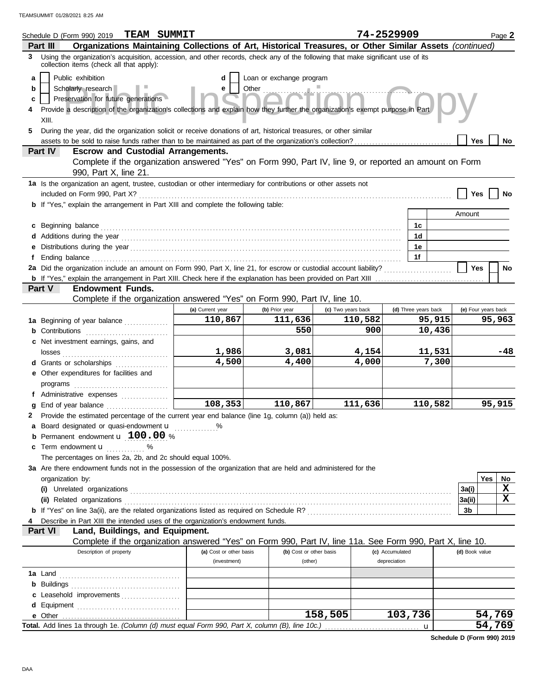| <b>TEAM SUMMIT</b><br>Schedule D (Form 990) 2019                                                                                                                                                                                         |                         |                          |                    | 74-2529909           | Page 2                  |
|------------------------------------------------------------------------------------------------------------------------------------------------------------------------------------------------------------------------------------------|-------------------------|--------------------------|--------------------|----------------------|-------------------------|
| Organizations Maintaining Collections of Art, Historical Treasures, or Other Similar Assets (continued)<br>Part III                                                                                                                      |                         |                          |                    |                      |                         |
| 3 Using the organization's acquisition, accession, and other records, check any of the following that make significant use of its<br>collection items (check all that apply):                                                            |                         |                          |                    |                      |                         |
| Public exhibition<br>a<br>Scholarly research<br>b<br>Preservation for future generations<br>c<br>Provide a description of the organization's collections and explain how they further the organization's exempt purpose in Part<br>XIII. | d                       | Loan or exchange program |                    |                      |                         |
| During the year, did the organization solicit or receive donations of art, historical treasures, or other similar<br>5.                                                                                                                  |                         |                          |                    |                      |                         |
|                                                                                                                                                                                                                                          |                         |                          |                    |                      | Yes<br>No               |
| Part IV<br><b>Escrow and Custodial Arrangements.</b>                                                                                                                                                                                     |                         |                          |                    |                      |                         |
| Complete if the organization answered "Yes" on Form 990, Part IV, line 9, or reported an amount on Form<br>990, Part X, line 21.                                                                                                         |                         |                          |                    |                      |                         |
| 1a Is the organization an agent, trustee, custodian or other intermediary for contributions or other assets not                                                                                                                          |                         |                          |                    |                      |                         |
|                                                                                                                                                                                                                                          |                         |                          |                    |                      | Yes                     |
| <b>b</b> If "Yes," explain the arrangement in Part XIII and complete the following table:                                                                                                                                                |                         |                          |                    |                      |                         |
|                                                                                                                                                                                                                                          |                         |                          |                    |                      | Amount                  |
| c                                                                                                                                                                                                                                        |                         |                          |                    | 1c                   |                         |
|                                                                                                                                                                                                                                          |                         |                          |                    | 1d                   |                         |
| е                                                                                                                                                                                                                                        |                         |                          |                    | 1е                   |                         |
| Ending balance continuous contract and continuous contract and continuous contract and continuous contract and continuous contract and continuous contract and continuous contract and continuous contract and continuous cont           |                         |                          |                    | 1f                   |                         |
| 2a Did the organization include an amount on Form 990, Part X, line 21, for escrow or custodial account liability?                                                                                                                       |                         |                          |                    |                      | <b>Yes</b><br><b>No</b> |
|                                                                                                                                                                                                                                          |                         |                          |                    |                      |                         |
| <b>Endowment Funds.</b><br>Part V                                                                                                                                                                                                        |                         |                          |                    |                      |                         |
| Complete if the organization answered "Yes" on Form 990, Part IV, line 10.                                                                                                                                                               |                         |                          |                    |                      |                         |
|                                                                                                                                                                                                                                          | (a) Current year        | (b) Prior year           | (c) Two years back | (d) Three years back | (e) Four years back     |
| 1a Beginning of year balance                                                                                                                                                                                                             | 110,867                 | 111,636                  | 110,582            | 95,915               | 95,963                  |
| <b>b</b> Contributions <b>contributions</b>                                                                                                                                                                                              |                         | 550                      | 900                | 10,436               |                         |
| c Net investment earnings, gains, and                                                                                                                                                                                                    |                         |                          |                    |                      |                         |
|                                                                                                                                                                                                                                          | 1,986                   | 3,081                    | 4,154              | 11,531               | -48                     |
| d Grants or scholarships                                                                                                                                                                                                                 | 4,500                   | 4,400                    | 4,000              |                      | 7,300                   |
| e Other expenditures for facilities and                                                                                                                                                                                                  |                         |                          |                    |                      |                         |
|                                                                                                                                                                                                                                          |                         |                          |                    |                      |                         |
| f Administrative expenses                                                                                                                                                                                                                |                         |                          |                    |                      |                         |
| a                                                                                                                                                                                                                                        | $\overline{108,}353$    | 110,867                  | 111,636            | 110,582              | 95,915                  |
| 2 Provide the estimated percentage of the current year end balance (line 1g, column (a)) held as:                                                                                                                                        |                         |                          |                    |                      |                         |
| Board designated or quasi-endowment u<br>а                                                                                                                                                                                               | %                       |                          |                    |                      |                         |
| Permanent endowment <b>u</b> 100.00 %<br>b                                                                                                                                                                                               |                         |                          |                    |                      |                         |
| Term endowment <b>u</b> %<br>c                                                                                                                                                                                                           |                         |                          |                    |                      |                         |
| The percentages on lines 2a, 2b, and 2c should equal 100%.                                                                                                                                                                               |                         |                          |                    |                      |                         |
| 3a Are there endowment funds not in the possession of the organization that are held and administered for the                                                                                                                            |                         |                          |                    |                      |                         |
| organization by:                                                                                                                                                                                                                         |                         |                          |                    |                      | Yes<br>No               |
|                                                                                                                                                                                                                                          |                         |                          |                    |                      | X<br>3a(i)              |
|                                                                                                                                                                                                                                          |                         |                          |                    |                      | X<br>3a(ii)             |
|                                                                                                                                                                                                                                          |                         |                          |                    |                      | 3b                      |
| Describe in Part XIII the intended uses of the organization's endowment funds.                                                                                                                                                           |                         |                          |                    |                      |                         |
| Land, Buildings, and Equipment.<br>Part VI                                                                                                                                                                                               |                         |                          |                    |                      |                         |
| Complete if the organization answered "Yes" on Form 990, Part IV, line 11a. See Form 990, Part X, line 10.                                                                                                                               |                         |                          |                    |                      |                         |
| Description of property                                                                                                                                                                                                                  | (a) Cost or other basis | (b) Cost or other basis  |                    | (c) Accumulated      | (d) Book value          |
|                                                                                                                                                                                                                                          | (investment)            | (other)                  |                    | depreciation         |                         |
|                                                                                                                                                                                                                                          |                         |                          |                    |                      |                         |
|                                                                                                                                                                                                                                          |                         |                          |                    |                      |                         |
| Leasehold improvements<br>c                                                                                                                                                                                                              |                         |                          |                    |                      |                         |
|                                                                                                                                                                                                                                          |                         |                          |                    |                      |                         |
|                                                                                                                                                                                                                                          |                         |                          | 158,505            | 103,736              | 54,769                  |
|                                                                                                                                                                                                                                          |                         |                          |                    | u                    | 54,769                  |

**Schedule D (Form 990) 2019**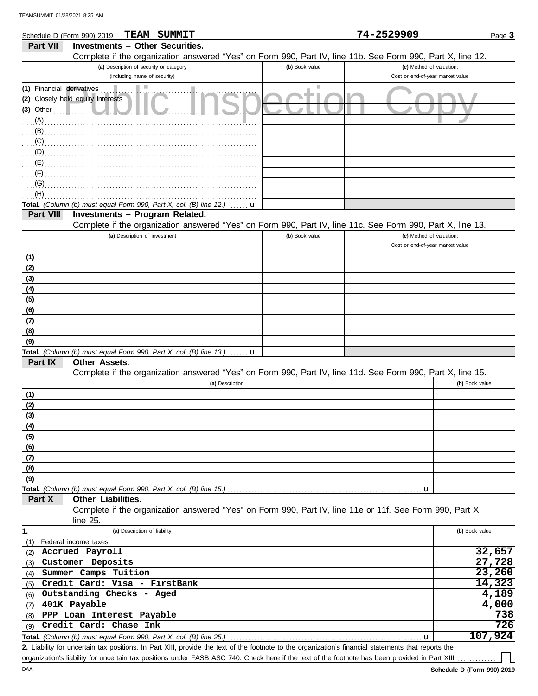|                                  | TEAM<br>SUMMIT<br>Schedule D (Form 990) 2019                                                                                                               |                | 74-2529909                       | Page 3         |
|----------------------------------|------------------------------------------------------------------------------------------------------------------------------------------------------------|----------------|----------------------------------|----------------|
| Part VII                         | <b>Investments - Other Securities.</b>                                                                                                                     |                |                                  |                |
|                                  | Complete if the organization answered "Yes" on Form 990, Part IV, line 11b. See Form 990, Part X, line 12.                                                 |                |                                  |                |
|                                  | (a) Description of security or category                                                                                                                    | (b) Book value | (c) Method of valuation:         |                |
|                                  | (including name of security)                                                                                                                               |                | Cost or end-of-year market value |                |
|                                  |                                                                                                                                                            |                |                                  |                |
| (1) Financial derivatives<br>(2) | ш<br>Closely held equity interests                                                                                                                         | Ш              |                                  |                |
| $(3)$ Other                      |                                                                                                                                                            |                |                                  |                |
| (A)                              |                                                                                                                                                            |                |                                  |                |
| (B)                              |                                                                                                                                                            |                |                                  |                |
| (C)                              |                                                                                                                                                            |                |                                  |                |
| (D)                              |                                                                                                                                                            |                |                                  |                |
| (E)                              |                                                                                                                                                            |                |                                  |                |
| (F)                              |                                                                                                                                                            |                |                                  |                |
|                                  |                                                                                                                                                            |                |                                  |                |
| (G)                              |                                                                                                                                                            |                |                                  |                |
| (H)                              |                                                                                                                                                            |                |                                  |                |
|                                  | Total. (Column (b) must equal Form 990, Part X, col. (B) line 12.)<br>u                                                                                    |                |                                  |                |
| Part VIII                        | Investments - Program Related.                                                                                                                             |                |                                  |                |
|                                  | Complete if the organization answered "Yes" on Form 990, Part IV, line 11c. See Form 990, Part X, line 13.                                                 |                |                                  |                |
|                                  | (a) Description of investment                                                                                                                              | (b) Book value | (c) Method of valuation:         |                |
|                                  |                                                                                                                                                            |                | Cost or end-of-year market value |                |
| (1)                              |                                                                                                                                                            |                |                                  |                |
| (2)                              |                                                                                                                                                            |                |                                  |                |
| (3)                              |                                                                                                                                                            |                |                                  |                |
| (4)                              |                                                                                                                                                            |                |                                  |                |
| (5)                              |                                                                                                                                                            |                |                                  |                |
| (6)                              |                                                                                                                                                            |                |                                  |                |
| (7)                              |                                                                                                                                                            |                |                                  |                |
| (8)                              |                                                                                                                                                            |                |                                  |                |
| (9)                              |                                                                                                                                                            |                |                                  |                |
|                                  | Total. (Column (b) must equal Form 990, Part X, col. (B) line 13.)<br>u                                                                                    |                |                                  |                |
| Part IX                          | Other Assets.                                                                                                                                              |                |                                  |                |
|                                  | Complete if the organization answered "Yes" on Form 990, Part IV, line 11d. See Form 990, Part X, line 15.                                                 |                |                                  |                |
|                                  | (a) Description                                                                                                                                            |                |                                  | (b) Book value |
| (1)                              |                                                                                                                                                            |                |                                  |                |
| (2)                              |                                                                                                                                                            |                |                                  |                |
| (3)                              |                                                                                                                                                            |                |                                  |                |
| (4)                              |                                                                                                                                                            |                |                                  |                |
|                                  |                                                                                                                                                            |                |                                  |                |
| (5)                              |                                                                                                                                                            |                |                                  |                |
| (6)                              |                                                                                                                                                            |                |                                  |                |
| (7)                              |                                                                                                                                                            |                |                                  |                |
| (8)                              |                                                                                                                                                            |                |                                  |                |
| (9)                              |                                                                                                                                                            |                |                                  |                |
|                                  | <b>Total.</b> (Column (b) must equal Form 990, Part X, col. (B) line 15.) $\ldots$ $\ldots$ $\ldots$ $\ldots$ $\ldots$ $\ldots$ $\ldots$ $\ldots$ $\ldots$ |                | u                                |                |
| Part X                           | Other Liabilities.                                                                                                                                         |                |                                  |                |
|                                  | Complete if the organization answered "Yes" on Form 990, Part IV, line 11e or 11f. See Form 990, Part X,                                                   |                |                                  |                |
|                                  | line 25.                                                                                                                                                   |                |                                  |                |
| 1.                               | (a) Description of liability                                                                                                                               |                |                                  | (b) Book value |
| (1)                              | Federal income taxes                                                                                                                                       |                |                                  |                |
| (2)                              | Accrued Payroll                                                                                                                                            |                |                                  | 32,657         |
| (3)                              | Customer Deposits                                                                                                                                          |                |                                  | 27,728         |
| (4)                              | Summer Camps Tuition                                                                                                                                       |                |                                  | 23,260         |
| (5)                              | Credit Card: Visa - FirstBank                                                                                                                              |                |                                  | 14,323         |
| (6)                              | Outstanding Checks - Aged                                                                                                                                  |                |                                  | 4,189          |
| (7)                              | 401K Payable                                                                                                                                               |                |                                  | 4,000          |
| (8)                              | PPP Loan Interest Payable                                                                                                                                  |                |                                  | 738            |
| (9)                              | Credit Card: Chase Ink                                                                                                                                     |                |                                  | 726            |
|                                  | Total. (Column (b) must equal Form 990, Part X, col. (B) line 25.)                                                                                         |                | u                                | 107,924        |

**Total.** *(Column (b) must equal Form 990, Part X, col. (B) line 25.)* ...

Liability for uncertain tax positions. In Part XIII, provide the text of the footnote to the organization's financial statements that reports the **2.** organization's liability for uncertain tax positions under FASB ASC 740. Check here if the text of the footnote has been provided in Part XIII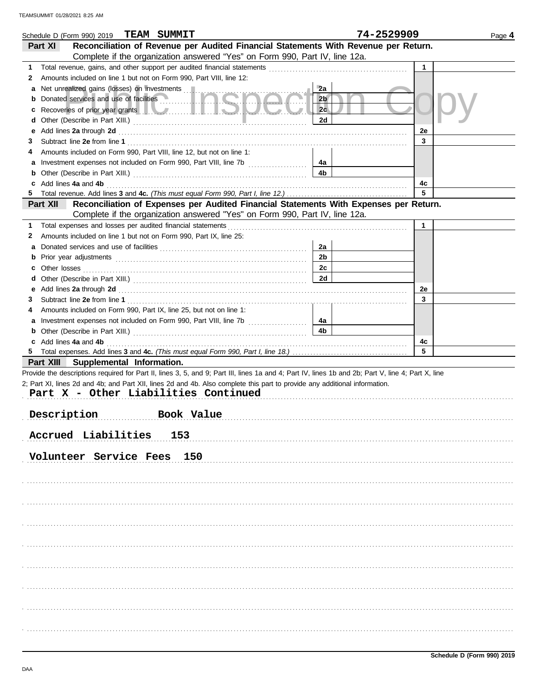| Schedule D (Form 990) 2019 TEAM SUMMIT                                                                                                             |                                                                                                                                                                                                                                      |                | 74-2529909   | Page 4 |
|----------------------------------------------------------------------------------------------------------------------------------------------------|--------------------------------------------------------------------------------------------------------------------------------------------------------------------------------------------------------------------------------------|----------------|--------------|--------|
| Part XI                                                                                                                                            | Reconciliation of Revenue per Audited Financial Statements With Revenue per Return.                                                                                                                                                  |                |              |        |
|                                                                                                                                                    | Complete if the organization answered "Yes" on Form 990, Part IV, line 12a.                                                                                                                                                          |                |              |        |
| 1                                                                                                                                                  |                                                                                                                                                                                                                                      |                | $\mathbf{1}$ |        |
| 2                                                                                                                                                  | Amounts included on line 1 but not on Form 990, Part VIII, line 12:                                                                                                                                                                  |                |              |        |
| а                                                                                                                                                  |                                                                                                                                                                                                                                      | 2a             |              |        |
| b                                                                                                                                                  | Donated services and use of facilities <b>with a service of the service of the service of the service of the service of the service of the service of the service of the service of the service of the service of the service of</b> | 2 <sub>b</sub> |              |        |
|                                                                                                                                                    | Recoveries of prior year grants <b>the contract of the contract of prior</b>                                                                                                                                                         | 2c             |              |        |
| d                                                                                                                                                  |                                                                                                                                                                                                                                      | 2d             |              |        |
| е                                                                                                                                                  | Add lines 2a through 2d [11] March 2014 [12] March 2014 [12] March 2014 [12] March 2014 [12] March 2014 [12] March 2015 [12] March 2014 [12] March 2014 [12] March 2014 [12] March 2014 [12] March 2014 [12] March 2014 [12] M       |                | 2e           |        |
| З                                                                                                                                                  |                                                                                                                                                                                                                                      |                | 3            |        |
| 4                                                                                                                                                  | Amounts included on Form 990, Part VIII, line 12, but not on line 1:                                                                                                                                                                 |                |              |        |
|                                                                                                                                                    |                                                                                                                                                                                                                                      | - 4а           |              |        |
|                                                                                                                                                    |                                                                                                                                                                                                                                      | 4b             |              |        |
|                                                                                                                                                    | c Add lines 4a and 4b (a) and all the contract of the contract of the contract of the contract of the contract of the contract of the contract of the contract of the contract of the contract of the contract of the contract       |                | 4c           |        |
|                                                                                                                                                    |                                                                                                                                                                                                                                      |                | 5            |        |
| Part XII                                                                                                                                           | Reconciliation of Expenses per Audited Financial Statements With Expenses per Return.                                                                                                                                                |                |              |        |
|                                                                                                                                                    | Complete if the organization answered "Yes" on Form 990, Part IV, line 12a.                                                                                                                                                          |                |              |        |
| 1                                                                                                                                                  | Total expenses and losses per audited financial statements [11] contain the substitution of the statements and the statements in the statements and the statements and the statements of the statements and statements are sta       |                | $\mathbf{1}$ |        |
| Amounts included on line 1 but not on Form 990, Part IX, line 25:<br>2                                                                             |                                                                                                                                                                                                                                      |                |              |        |
|                                                                                                                                                    |                                                                                                                                                                                                                                      | 2a             |              |        |
| а                                                                                                                                                  |                                                                                                                                                                                                                                      |                |              |        |
| b                                                                                                                                                  |                                                                                                                                                                                                                                      | 2b             |              |        |
|                                                                                                                                                    |                                                                                                                                                                                                                                      | 2c             |              |        |
| d                                                                                                                                                  |                                                                                                                                                                                                                                      | 2d             |              |        |
|                                                                                                                                                    | e Add lines 2a through 2d (and all contains and all contains and all contains and all contains and all contains and all contains and all contains and all contains and all contains and all contains and all contains and all        |                | 2e           |        |
| 3                                                                                                                                                  |                                                                                                                                                                                                                                      |                | 3            |        |
| Amounts included on Form 990, Part IX, line 25, but not on line 1:<br>4                                                                            |                                                                                                                                                                                                                                      |                |              |        |
|                                                                                                                                                    |                                                                                                                                                                                                                                      | 4a             |              |        |
|                                                                                                                                                    |                                                                                                                                                                                                                                      | 4b             |              |        |
| c Add lines 4a and 4b                                                                                                                              |                                                                                                                                                                                                                                      |                | 4c           |        |
|                                                                                                                                                    |                                                                                                                                                                                                                                      |                | 5            |        |
| Part XIII Supplemental Information.                                                                                                                |                                                                                                                                                                                                                                      |                |              |        |
| Provide the descriptions required for Part II, lines 3, 5, and 9; Part III, lines 1a and 4; Part IV, lines 1b and 2b; Part V, line 4; Part X, line |                                                                                                                                                                                                                                      |                |              |        |
| 2; Part XI, lines 2d and 4b; and Part XII, lines 2d and 4b. Also complete this part to provide any additional information.                         |                                                                                                                                                                                                                                      |                |              |        |
|                                                                                                                                                    | Part X - Other Liabilities Continued                                                                                                                                                                                                 |                |              |        |
|                                                                                                                                                    |                                                                                                                                                                                                                                      |                |              |        |
| Description<br>.                                                                                                                                   | Book Value                                                                                                                                                                                                                           |                |              |        |
|                                                                                                                                                    |                                                                                                                                                                                                                                      |                |              |        |
| Accrued Liabilities                                                                                                                                | 153                                                                                                                                                                                                                                  |                |              |        |
|                                                                                                                                                    |                                                                                                                                                                                                                                      |                |              |        |
| Volunteer Service Fees 150                                                                                                                         |                                                                                                                                                                                                                                      |                |              |        |
|                                                                                                                                                    |                                                                                                                                                                                                                                      |                |              |        |
|                                                                                                                                                    |                                                                                                                                                                                                                                      |                |              |        |
|                                                                                                                                                    |                                                                                                                                                                                                                                      |                |              |        |
|                                                                                                                                                    |                                                                                                                                                                                                                                      |                |              |        |
|                                                                                                                                                    |                                                                                                                                                                                                                                      |                |              |        |
|                                                                                                                                                    |                                                                                                                                                                                                                                      |                |              |        |
|                                                                                                                                                    |                                                                                                                                                                                                                                      |                |              |        |
|                                                                                                                                                    |                                                                                                                                                                                                                                      |                |              |        |
|                                                                                                                                                    |                                                                                                                                                                                                                                      |                |              |        |
|                                                                                                                                                    |                                                                                                                                                                                                                                      |                |              |        |
|                                                                                                                                                    |                                                                                                                                                                                                                                      |                |              |        |
|                                                                                                                                                    |                                                                                                                                                                                                                                      |                |              |        |
|                                                                                                                                                    |                                                                                                                                                                                                                                      |                |              |        |
|                                                                                                                                                    |                                                                                                                                                                                                                                      |                |              |        |
|                                                                                                                                                    |                                                                                                                                                                                                                                      |                |              |        |
|                                                                                                                                                    |                                                                                                                                                                                                                                      |                |              |        |
|                                                                                                                                                    |                                                                                                                                                                                                                                      |                |              |        |
|                                                                                                                                                    |                                                                                                                                                                                                                                      |                |              |        |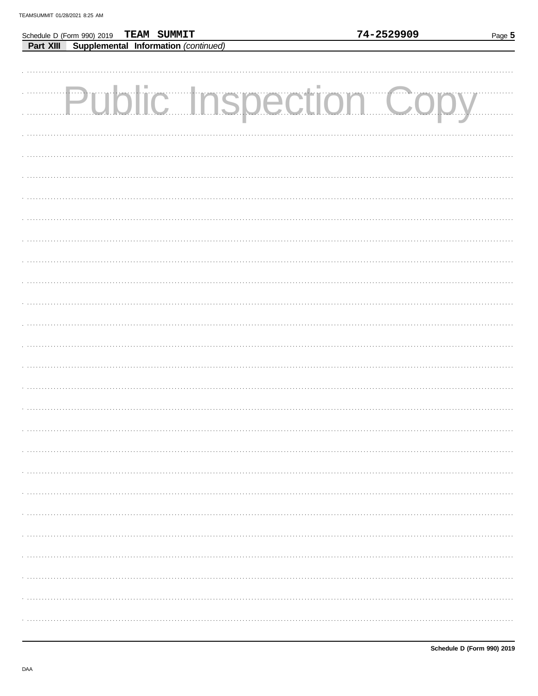Schedule D (Form 990) 2019

TEAM SUMMIT

| <b>Part XIII Supplemental Information</b> (continued) |  |                               |  |  |
|-------------------------------------------------------|--|-------------------------------|--|--|
|                                                       |  |                               |  |  |
|                                                       |  | <b>Public Inspection Copy</b> |  |  |
|                                                       |  |                               |  |  |
|                                                       |  |                               |  |  |
|                                                       |  |                               |  |  |
|                                                       |  |                               |  |  |
|                                                       |  |                               |  |  |
|                                                       |  |                               |  |  |
|                                                       |  |                               |  |  |
|                                                       |  |                               |  |  |
|                                                       |  |                               |  |  |
|                                                       |  |                               |  |  |
|                                                       |  |                               |  |  |
|                                                       |  |                               |  |  |
|                                                       |  |                               |  |  |
|                                                       |  |                               |  |  |
|                                                       |  |                               |  |  |
|                                                       |  |                               |  |  |
|                                                       |  |                               |  |  |
|                                                       |  |                               |  |  |
|                                                       |  |                               |  |  |
|                                                       |  |                               |  |  |
|                                                       |  |                               |  |  |
|                                                       |  |                               |  |  |
|                                                       |  |                               |  |  |
|                                                       |  |                               |  |  |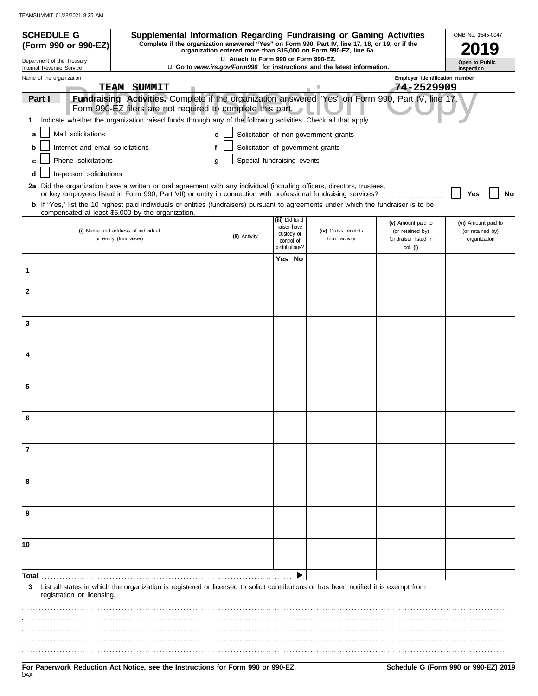| <b>SCHEDULE G</b><br>Supplemental Information Regarding Fundraising or Gaming Activities                                                                                                                                                 |                                        |                              |                           |                                                                                 |                                                      | OMB No. 1545-0047                |
|------------------------------------------------------------------------------------------------------------------------------------------------------------------------------------------------------------------------------------------|----------------------------------------|------------------------------|---------------------------|---------------------------------------------------------------------------------|------------------------------------------------------|----------------------------------|
| Complete if the organization answered "Yes" on Form 990, Part IV, line 17, 18, or 19, or if the<br>(Form 990 or 990-EZ)                                                                                                                  |                                        |                              |                           | organization entered more than \$15,000 on Form 990-EZ, line 6a.                |                                                      |                                  |
| Department of the Treasury<br>Internal Revenue Service                                                                                                                                                                                   | LI Attach to Form 990 or Form 990-EZ.  |                              |                           | <b>u</b> Go to www.irs.gov/Form990 for instructions and the latest information. |                                                      | Open to Public<br>Inspection     |
| Name of the organization<br>TEAM SUMMIT                                                                                                                                                                                                  |                                        |                              |                           |                                                                                 | Employer identification number<br>74-2529909         |                                  |
| Fundraising Activities. Complete if the organization answered "Yes" on Form 990, Part IV, line 17.<br>Part I<br>Form 990-EZ filers are not required to complete this part.                                                               |                                        |                              |                           |                                                                                 |                                                      |                                  |
| Indicate whether the organization raised funds through any of the following activities. Check all that apply.<br>1                                                                                                                       |                                        |                              |                           |                                                                                 |                                                      |                                  |
| Mail solicitations<br>a                                                                                                                                                                                                                  | e                                      |                              |                           | Solicitation of non-government grants                                           |                                                      |                                  |
| Internet and email solicitations<br>b                                                                                                                                                                                                    | Solicitation of government grants<br>f |                              |                           |                                                                                 |                                                      |                                  |
| Phone solicitations<br>c                                                                                                                                                                                                                 | Special fundraising events<br>a        |                              |                           |                                                                                 |                                                      |                                  |
| In-person solicitations<br>d                                                                                                                                                                                                             |                                        |                              |                           |                                                                                 |                                                      |                                  |
| 2a Did the organization have a written or oral agreement with any individual (including officers, directors, trustees,<br>or key employees listed in Form 990, Part VII) or entity in connection with professional fundraising services? |                                        |                              |                           |                                                                                 |                                                      | No<br>Yes                        |
| b If "Yes," list the 10 highest paid individuals or entities (fundraisers) pursuant to agreements under which the fundraiser is to be                                                                                                    |                                        |                              |                           |                                                                                 |                                                      |                                  |
| compensated at least \$5,000 by the organization.                                                                                                                                                                                        |                                        | (iii) Did fund-              |                           |                                                                                 | (v) Amount paid to                                   | (vi) Amount paid to              |
| (i) Name and address of individual<br>or entity (fundraiser)                                                                                                                                                                             | (ii) Activity                          | control of<br>contributions? | raiser have<br>custody or | (iv) Gross receipts<br>from activity                                            | (or retained by)<br>fundraiser listed in<br>col. (i) | (or retained by)<br>organization |
|                                                                                                                                                                                                                                          |                                        | Yes                          | No                        |                                                                                 |                                                      |                                  |
| 1                                                                                                                                                                                                                                        |                                        |                              |                           |                                                                                 |                                                      |                                  |
| $\mathbf{2}$                                                                                                                                                                                                                             |                                        |                              |                           |                                                                                 |                                                      |                                  |
| 3                                                                                                                                                                                                                                        |                                        |                              |                           |                                                                                 |                                                      |                                  |
|                                                                                                                                                                                                                                          |                                        |                              |                           |                                                                                 |                                                      |                                  |
| 4                                                                                                                                                                                                                                        |                                        |                              |                           |                                                                                 |                                                      |                                  |
| 5                                                                                                                                                                                                                                        |                                        |                              |                           |                                                                                 |                                                      |                                  |
|                                                                                                                                                                                                                                          |                                        |                              |                           |                                                                                 |                                                      |                                  |
| 7                                                                                                                                                                                                                                        |                                        |                              |                           |                                                                                 |                                                      |                                  |
| 8                                                                                                                                                                                                                                        |                                        |                              |                           |                                                                                 |                                                      |                                  |
| 9                                                                                                                                                                                                                                        |                                        |                              |                           |                                                                                 |                                                      |                                  |
| 10                                                                                                                                                                                                                                       |                                        |                              |                           |                                                                                 |                                                      |                                  |
| Total                                                                                                                                                                                                                                    |                                        |                              |                           |                                                                                 |                                                      |                                  |
| List all states in which the organization is registered or licensed to solicit contributions or has been notified it is exempt from<br>3<br>registration or licensing.                                                                   |                                        |                              |                           |                                                                                 |                                                      |                                  |
|                                                                                                                                                                                                                                          |                                        |                              |                           |                                                                                 |                                                      |                                  |
|                                                                                                                                                                                                                                          |                                        |                              |                           |                                                                                 |                                                      |                                  |
|                                                                                                                                                                                                                                          |                                        |                              |                           |                                                                                 |                                                      |                                  |
|                                                                                                                                                                                                                                          |                                        |                              |                           |                                                                                 |                                                      |                                  |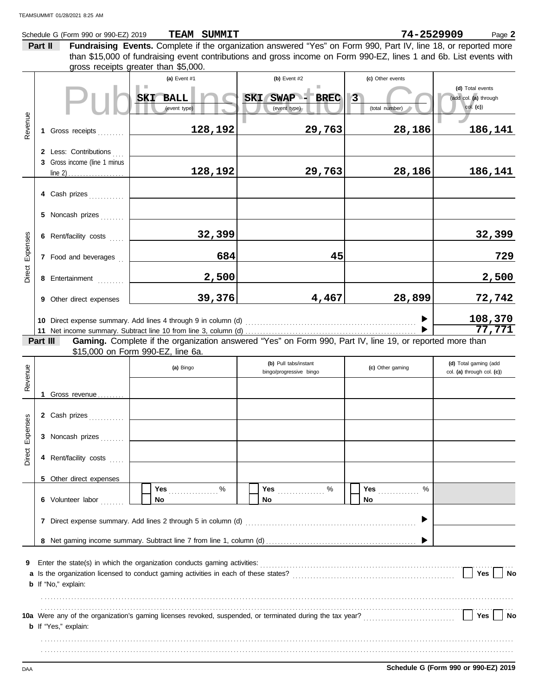|          |         | Schedule G (Form 990 or 990-EZ) 2019                          |                                                      | TEAM SUMMIT |                                                                                                                                                                                                                        |                  | 74-2529909<br>Page 2       |
|----------|---------|---------------------------------------------------------------|------------------------------------------------------|-------------|------------------------------------------------------------------------------------------------------------------------------------------------------------------------------------------------------------------------|------------------|----------------------------|
|          | Part II |                                                               |                                                      |             | Fundraising Events. Complete if the organization answered "Yes" on Form 990, Part IV, line 18, or reported more                                                                                                        |                  |                            |
|          |         |                                                               |                                                      |             | than \$15,000 of fundraising event contributions and gross income on Form 990-EZ, lines 1 and 6b. List events with                                                                                                     |                  |                            |
|          |         |                                                               | gross receipts greater than \$5,000.<br>(a) Event #1 |             | (b) Event #2                                                                                                                                                                                                           | (c) Other events |                            |
|          |         |                                                               |                                                      |             |                                                                                                                                                                                                                        |                  | (d) Total events           |
|          |         |                                                               | SKI BALL                                             |             | <b>SKI</b><br><b>SWAP</b><br><b>BREC</b>                                                                                                                                                                               | $\overline{3}$   | (add col. (a) through      |
|          |         |                                                               | (event type)                                         |             | (event type)                                                                                                                                                                                                           | (total number)   | col. (c)                   |
| Revenue  |         |                                                               |                                                      |             |                                                                                                                                                                                                                        |                  |                            |
|          |         | 1 Gross receipts                                              |                                                      | 128,192     | 29,763                                                                                                                                                                                                                 | 28,186           | 186,141                    |
|          |         | 2 Less: Contributions                                         |                                                      |             |                                                                                                                                                                                                                        |                  |                            |
|          |         | 3 Gross income (line 1 minus                                  |                                                      |             |                                                                                                                                                                                                                        |                  |                            |
|          |         |                                                               |                                                      | 128,192     | 29,763                                                                                                                                                                                                                 | 28,186           | 186,141                    |
|          |         |                                                               |                                                      |             |                                                                                                                                                                                                                        |                  |                            |
|          |         | 4 Cash prizes                                                 |                                                      |             |                                                                                                                                                                                                                        |                  |                            |
|          |         |                                                               |                                                      |             |                                                                                                                                                                                                                        |                  |                            |
|          |         | 5 Noncash prizes                                              |                                                      |             |                                                                                                                                                                                                                        |                  |                            |
|          |         | 6 Rent/facility costs                                         |                                                      | 32,399      |                                                                                                                                                                                                                        |                  | 32,399                     |
| Expenses |         |                                                               |                                                      |             |                                                                                                                                                                                                                        |                  |                            |
|          |         | 7 Food and beverages                                          |                                                      | 684         |                                                                                                                                                                                                                        | 45               | 729                        |
| Direct   |         |                                                               |                                                      |             |                                                                                                                                                                                                                        |                  |                            |
|          |         | 8 Entertainment                                               |                                                      | 2,500       |                                                                                                                                                                                                                        |                  | 2,500                      |
|          |         | 9 Other direct expenses                                       |                                                      | 39,376      | 4,467                                                                                                                                                                                                                  | 28,899           | 72,742                     |
|          |         |                                                               |                                                      |             |                                                                                                                                                                                                                        |                  |                            |
|          |         |                                                               |                                                      |             |                                                                                                                                                                                                                        |                  | 108,370<br>77,771          |
|          |         | Part III                                                      |                                                      |             | Gaming. Complete if the organization answered "Yes" on Form 990, Part IV, line 19, or reported more than                                                                                                               |                  |                            |
|          |         |                                                               | \$15,000 on Form 990-EZ, line 6a.                    |             |                                                                                                                                                                                                                        |                  |                            |
|          |         |                                                               | (a) Bingo                                            |             | (b) Pull tabs/instant                                                                                                                                                                                                  | (c) Other gaming | (d) Total gaming (add      |
| Revenue  |         |                                                               |                                                      |             | bingo/progressive bingo                                                                                                                                                                                                |                  | col. (a) through col. (c)) |
|          |         |                                                               |                                                      |             |                                                                                                                                                                                                                        |                  |                            |
|          | 1.      | Gross revenue                                                 |                                                      |             |                                                                                                                                                                                                                        |                  |                            |
|          |         | 2 Cash prizes                                                 |                                                      |             |                                                                                                                                                                                                                        |                  |                            |
| ses      |         |                                                               |                                                      |             |                                                                                                                                                                                                                        |                  |                            |
| Expens   |         | 3 Noncash prizes                                              |                                                      |             |                                                                                                                                                                                                                        |                  |                            |
|          |         |                                                               |                                                      |             |                                                                                                                                                                                                                        |                  |                            |
| Direct   |         | 4 Rent/facility costs                                         |                                                      |             |                                                                                                                                                                                                                        |                  |                            |
|          |         | 5 Other direct expenses                                       |                                                      |             |                                                                                                                                                                                                                        |                  |                            |
|          |         |                                                               | Yes                                                  | $\%$        | %<br>Yes                                                                                                                                                                                                               | Yes<br>%         |                            |
|          |         | 6 Volunteer labor                                             | No                                                   |             | No                                                                                                                                                                                                                     | No               |                            |
|          |         |                                                               |                                                      |             |                                                                                                                                                                                                                        |                  |                            |
|          |         | 7 Direct expense summary. Add lines 2 through 5 in column (d) |                                                      |             |                                                                                                                                                                                                                        |                  |                            |
|          |         |                                                               |                                                      |             |                                                                                                                                                                                                                        |                  |                            |
|          |         |                                                               |                                                      |             |                                                                                                                                                                                                                        |                  |                            |
| 9        |         |                                                               |                                                      |             |                                                                                                                                                                                                                        |                  |                            |
|          |         |                                                               |                                                      |             |                                                                                                                                                                                                                        |                  | Yes<br>No                  |
|          |         | <b>b</b> If "No," explain:                                    |                                                      |             |                                                                                                                                                                                                                        |                  |                            |
|          |         |                                                               |                                                      |             |                                                                                                                                                                                                                        |                  |                            |
|          |         |                                                               |                                                      |             | 10a Were any of the organization's gaming licenses revoked, suspended, or terminated during the tax year?<br>10a Were any of the organization's gaming licenses revoked, suspended, or terminated during the tax year? |                  | $\vert$ $\vert$ Yes<br>No  |
|          |         | <b>b</b> If "Yes," explain:                                   |                                                      |             |                                                                                                                                                                                                                        |                  |                            |
|          |         |                                                               |                                                      |             |                                                                                                                                                                                                                        |                  |                            |
|          |         |                                                               |                                                      |             |                                                                                                                                                                                                                        |                  |                            |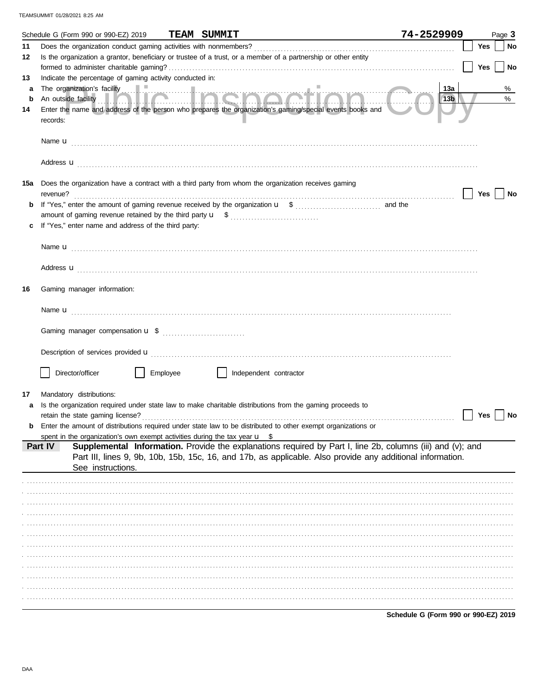|        | Schedule G (Form 990 or 990-EZ) 2019                                                             | <b>TEAM SUMMIT</b>                                                                                             | 74-2529909<br>Page 3             |
|--------|--------------------------------------------------------------------------------------------------|----------------------------------------------------------------------------------------------------------------|----------------------------------|
| 11     |                                                                                                  |                                                                                                                | Yes<br>No                        |
| 12     |                                                                                                  | Is the organization a grantor, beneficiary or trustee of a trust, or a member of a partnership or other entity |                                  |
|        |                                                                                                  |                                                                                                                | <b>Yes</b><br>No                 |
| 13     | Indicate the percentage of gaming activity conducted in:                                         |                                                                                                                |                                  |
| a<br>b |                                                                                                  |                                                                                                                | 13a<br>%<br>%<br>13 <sub>b</sub> |
| 14     |                                                                                                  | Enter the name and address of the person who prepares the organization's gaming/special events books and       |                                  |
|        | records:                                                                                         |                                                                                                                |                                  |
|        |                                                                                                  |                                                                                                                |                                  |
|        |                                                                                                  |                                                                                                                |                                  |
|        |                                                                                                  |                                                                                                                |                                  |
|        |                                                                                                  | Address <b>u</b>                                                                                               |                                  |
| 15a    |                                                                                                  | Does the organization have a contract with a third party from whom the organization receives gaming            |                                  |
|        | revenue?                                                                                         |                                                                                                                | Yes<br>No                        |
|        |                                                                                                  |                                                                                                                |                                  |
|        |                                                                                                  |                                                                                                                |                                  |
|        | If "Yes," enter name and address of the third party:                                             |                                                                                                                |                                  |
|        |                                                                                                  |                                                                                                                |                                  |
|        |                                                                                                  |                                                                                                                |                                  |
|        |                                                                                                  | Address <b>u</b>                                                                                               |                                  |
|        |                                                                                                  |                                                                                                                |                                  |
| 16     | Gaming manager information:                                                                      |                                                                                                                |                                  |
|        |                                                                                                  |                                                                                                                |                                  |
|        |                                                                                                  |                                                                                                                |                                  |
|        |                                                                                                  |                                                                                                                |                                  |
|        |                                                                                                  |                                                                                                                |                                  |
|        |                                                                                                  |                                                                                                                |                                  |
|        | Director/officer<br>Employee                                                                     | Independent contractor                                                                                         |                                  |
|        |                                                                                                  |                                                                                                                |                                  |
| 17     | Mandatory distributions:                                                                         |                                                                                                                |                                  |
|        |                                                                                                  | Is the organization required under state law to make charitable distributions from the gaming proceeds to      |                                  |
|        | retain the state gaming license?                                                                 |                                                                                                                | Yes<br>No                        |
|        |                                                                                                  | Enter the amount of distributions required under state law to be distributed to other exempt organizations or  |                                  |
|        | spent in the organization's own exempt activities during the tax year $\mathbf{u}$ \$<br>Part IV | Supplemental Information. Provide the explanations required by Part I, line 2b, columns (iii) and (v); and     |                                  |
|        |                                                                                                  | Part III, lines 9, 9b, 10b, 15b, 15c, 16, and 17b, as applicable. Also provide any additional information.     |                                  |
|        | See instructions.                                                                                |                                                                                                                |                                  |
|        |                                                                                                  |                                                                                                                |                                  |
|        |                                                                                                  |                                                                                                                |                                  |
|        |                                                                                                  |                                                                                                                |                                  |
|        |                                                                                                  |                                                                                                                |                                  |
|        |                                                                                                  |                                                                                                                |                                  |
|        |                                                                                                  |                                                                                                                |                                  |
|        |                                                                                                  |                                                                                                                |                                  |
|        |                                                                                                  |                                                                                                                |                                  |
|        |                                                                                                  |                                                                                                                |                                  |
|        |                                                                                                  |                                                                                                                |                                  |
|        |                                                                                                  |                                                                                                                |                                  |
|        |                                                                                                  |                                                                                                                |                                  |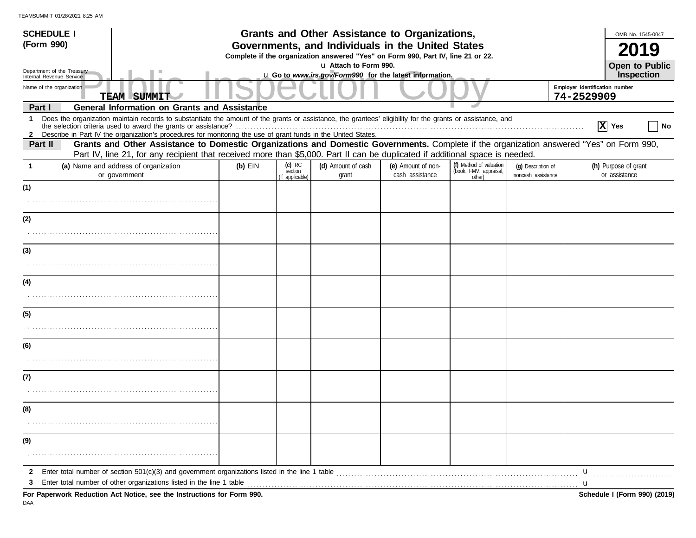| <b>SCHEDULE I</b>                                    |                                                                                                                                                                                                                                                                                                                                                 |           |                                                                                                         | <b>Grants and Other Assistance to Organizations,</b>                                                                                  |                                       |                                                             |                                          |   | OMB No. 1545-0047                     |  |  |  |
|------------------------------------------------------|-------------------------------------------------------------------------------------------------------------------------------------------------------------------------------------------------------------------------------------------------------------------------------------------------------------------------------------------------|-----------|---------------------------------------------------------------------------------------------------------|---------------------------------------------------------------------------------------------------------------------------------------|---------------------------------------|-------------------------------------------------------------|------------------------------------------|---|---------------------------------------|--|--|--|
| (Form 990)                                           |                                                                                                                                                                                                                                                                                                                                                 |           |                                                                                                         | Governments, and Individuals in the United States<br>Complete if the organization answered "Yes" on Form 990, Part IV, line 21 or 22. |                                       |                                                             |                                          |   |                                       |  |  |  |
| Department of the Treasury                           |                                                                                                                                                                                                                                                                                                                                                 |           |                                                                                                         | u Attach to Form 990.                                                                                                                 |                                       |                                                             |                                          |   | <b>Open to Public</b><br>Inspection   |  |  |  |
| Internal Revenue Service<br>Name of the organization | <b>TEAM SUMMIT</b>                                                                                                                                                                                                                                                                                                                              |           | u Go to www.irs.gov/Form990 for the latest information.<br>Employer identification number<br>74-2529909 |                                                                                                                                       |                                       |                                                             |                                          |   |                                       |  |  |  |
| Part I                                               | <b>General Information on Grants and Assistance</b>                                                                                                                                                                                                                                                                                             |           |                                                                                                         |                                                                                                                                       |                                       |                                                             |                                          |   |                                       |  |  |  |
| $\mathbf 1$                                          | Does the organization maintain records to substantiate the amount of the grants or assistance, the grantees' eligibility for the grants or assistance, and<br>the selection criteria used to award the grants or assistance?<br>2 Describe in Part IV the organization's procedures for monitoring the use of grant funds in the United States. |           |                                                                                                         |                                                                                                                                       |                                       |                                                             |                                          |   | $ X $ Yes<br>  No                     |  |  |  |
| Part II                                              | Grants and Other Assistance to Domestic Organizations and Domestic Governments. Complete if the organization answered "Yes" on Form 990,<br>Part IV, line 21, for any recipient that received more than \$5,000. Part II can be duplicated if additional space is needed.                                                                       |           |                                                                                                         |                                                                                                                                       |                                       |                                                             |                                          |   |                                       |  |  |  |
| 1                                                    | (a) Name and address of organization<br>or government                                                                                                                                                                                                                                                                                           | $(b)$ EIN | $(c)$ IRC<br>section<br>(if applicable)                                                                 | (d) Amount of cash<br>grant                                                                                                           | (e) Amount of non-<br>cash assistance | (f) Method of valuation<br>(book, FMV, appraisal,<br>other) | (q) Description of<br>noncash assistance |   | (h) Purpose of grant<br>or assistance |  |  |  |
| (1)                                                  |                                                                                                                                                                                                                                                                                                                                                 |           |                                                                                                         |                                                                                                                                       |                                       |                                                             |                                          |   |                                       |  |  |  |
|                                                      |                                                                                                                                                                                                                                                                                                                                                 |           |                                                                                                         |                                                                                                                                       |                                       |                                                             |                                          |   |                                       |  |  |  |
| (2)                                                  |                                                                                                                                                                                                                                                                                                                                                 |           |                                                                                                         |                                                                                                                                       |                                       |                                                             |                                          |   |                                       |  |  |  |
|                                                      |                                                                                                                                                                                                                                                                                                                                                 |           |                                                                                                         |                                                                                                                                       |                                       |                                                             |                                          |   |                                       |  |  |  |
| (3)                                                  |                                                                                                                                                                                                                                                                                                                                                 |           |                                                                                                         |                                                                                                                                       |                                       |                                                             |                                          |   |                                       |  |  |  |
|                                                      |                                                                                                                                                                                                                                                                                                                                                 |           |                                                                                                         |                                                                                                                                       |                                       |                                                             |                                          |   |                                       |  |  |  |
| (4)                                                  |                                                                                                                                                                                                                                                                                                                                                 |           |                                                                                                         |                                                                                                                                       |                                       |                                                             |                                          |   |                                       |  |  |  |
|                                                      |                                                                                                                                                                                                                                                                                                                                                 |           |                                                                                                         |                                                                                                                                       |                                       |                                                             |                                          |   |                                       |  |  |  |
| (5)                                                  |                                                                                                                                                                                                                                                                                                                                                 |           |                                                                                                         |                                                                                                                                       |                                       |                                                             |                                          |   |                                       |  |  |  |
|                                                      |                                                                                                                                                                                                                                                                                                                                                 |           |                                                                                                         |                                                                                                                                       |                                       |                                                             |                                          |   |                                       |  |  |  |
| (6)                                                  |                                                                                                                                                                                                                                                                                                                                                 |           |                                                                                                         |                                                                                                                                       |                                       |                                                             |                                          |   |                                       |  |  |  |
|                                                      |                                                                                                                                                                                                                                                                                                                                                 |           |                                                                                                         |                                                                                                                                       |                                       |                                                             |                                          |   |                                       |  |  |  |
| (7)                                                  |                                                                                                                                                                                                                                                                                                                                                 |           |                                                                                                         |                                                                                                                                       |                                       |                                                             |                                          |   |                                       |  |  |  |
|                                                      |                                                                                                                                                                                                                                                                                                                                                 |           |                                                                                                         |                                                                                                                                       |                                       |                                                             |                                          |   |                                       |  |  |  |
| (8)                                                  |                                                                                                                                                                                                                                                                                                                                                 |           |                                                                                                         |                                                                                                                                       |                                       |                                                             |                                          |   |                                       |  |  |  |
|                                                      |                                                                                                                                                                                                                                                                                                                                                 |           |                                                                                                         |                                                                                                                                       |                                       |                                                             |                                          |   |                                       |  |  |  |
| (9)                                                  |                                                                                                                                                                                                                                                                                                                                                 |           |                                                                                                         |                                                                                                                                       |                                       |                                                             |                                          |   |                                       |  |  |  |
|                                                      |                                                                                                                                                                                                                                                                                                                                                 |           |                                                                                                         |                                                                                                                                       |                                       |                                                             |                                          |   |                                       |  |  |  |
| $\mathbf{2}$                                         |                                                                                                                                                                                                                                                                                                                                                 |           |                                                                                                         |                                                                                                                                       |                                       |                                                             |                                          | u |                                       |  |  |  |
| 3                                                    | Enter total number of other organizations listed in the line 1 table <b>conserved to the conserved in the line 1</b> table<br>For Paperwork Reduction Act Notice, see the Instructions for Form 990.                                                                                                                                            |           |                                                                                                         |                                                                                                                                       |                                       |                                                             |                                          |   | Schedule I (Form 990) (2019)          |  |  |  |

DAA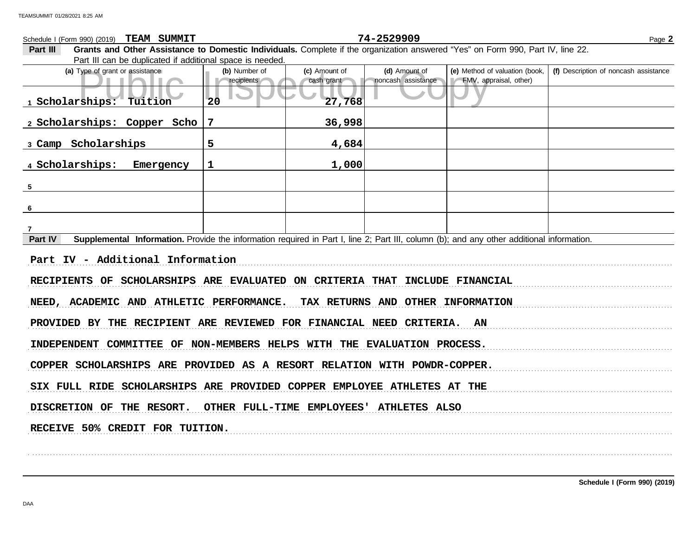Public Inspection CopyFype of grant or assistance<br>
Public Inspection CopyFMV, appraisal, other)<br>
Public CopyFMV, appraisal, other)<br>
Public CopyFMV, appraisal, other)<br>
Public CopyFMV, appraisal, other)<br>
Public CopyFMV, appr **(d)** Amount of **(e)** Method of valuation (book, cash grant **(a)** Type of grant or assistance **(b)** Number of **(c)** Amount of **Part III Grants and Other Assistance to Domestic Individuals.** Complete if the organization answered "Yes" on Form 990, Part IV, line 22. Part III can be duplicated if additional space is needed. Schedule I (Form 990) (2019) Page **2 TEAM SUMMIT 74-2529909 recipients** cash grant noncash assistance **(f)** Description of noncash assistance **Part IV** Supplemental Information. Provide the information required in Part I, line 2; Part III, column (b); and any other additional information. . . . . . . . . . . . . . . . . . . . . . . . . . . . . . . . . . . . . . . . . . . . . . . . . . . . . . . . . . . . . . . . . . . . . . . . . . . . . . . . . . . . . . . . . . . . . . . . . . . . . . . . . . . . . . . . . . . . . . . . . . . . . . . . . . . . . . . . . . . . . . . . . . . . . . . . . . . . . . . . . . . . . . . . . . . . . . . . . . . . . . . . . . . . . . . . . . . . . . . . . . . . . . . . . . . . . . . . . . . RECIPIENTS OF SCHOLARSHIPS ARE EVALUATED ON CRITERIA THAT INCLUDE FINANCIAL NEED, ACADEMIC AND ATHLETIC PERFORMANCE. TAX RETURNS AND OTHER INFORMATION PROVIDED BY THE RECIPIENT ARE REVIEWED FOR FINANCIAL NEED CRITERIA. AN INDEPENDENT COMMITTEE OF NON-MEMBERS HELPS WITH THE EVALUATION PROCESS. COPPER SCHOLARSHIPS ARE PROVIDED AS A RESORT RELATION WITH POWDR-COPPER. SIX FULL RIDE SCHOLARSHIPS ARE PROVIDED COPPER EMPLOYEE ATHLETES AT THE DISCRETION OF THE RESORT. OTHER FULL-TIME EMPLOYEES' ATHLETES ALSO **1 Scholarships: Tuition 20 27,768 2 Scholarships: Copper Scho 7 36,998 3 Camp Scholarships 5 4,684 4 Scholarships: Emergency 1 1,000 5 6 7 Part IV - Additional Information**

. . . . . . . . . . . . . . . . . . . . . . . . . . . . . . . . . . . . . . . . . . . . . . . . . . . . . . . . . . . . . . . . . . . . . . . . . . . . . . . . . . . . . . . . . . . . . . . . . . . . . . . . . . . . . . . . . . . . . . . . . . . . . . . . . . . . . . . . . . . . . . . . . . . . . . . . . . . . . . . . . . . . . . . . . . . . . . . . . . . . . . . . . . . . . . . . . . . . . . . . . . . . . . . . . . . . . . . . . .

RECEIVE 50% CREDIT FOR TUITION.

**Schedule I (Form 990) (2019)**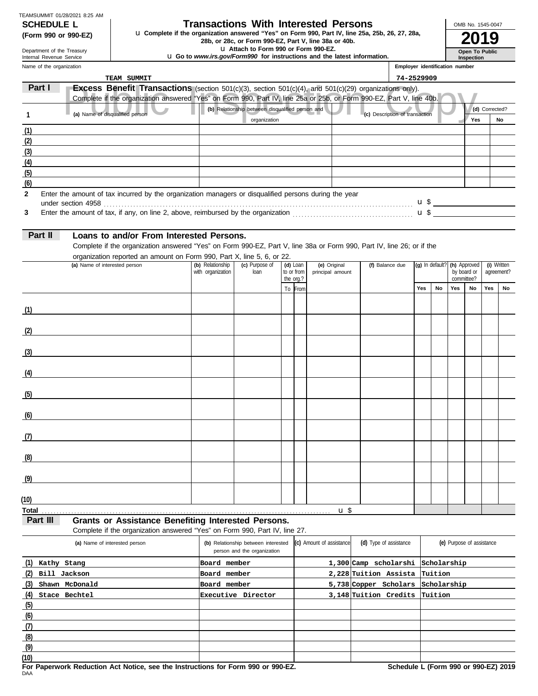| TEAMSUMMIT 01/28/2021 8:25 AM |  |  |
|-------------------------------|--|--|
| <b>SCHEDULE L</b>             |  |  |

# Department of the Treasury

### **Transactions With Interested Persons**

**(Form 990 or 990-EZ)** u Complete if the organization answered "Yes" on Form 990, Part IV, line 25a, 25b, 26, 27, 28a,<br>28b, or 28c, or Form 990-EZ, Part V, line 38a or 40b.<br>**2019** 

u **Attach to Form 990 or Form 990-EZ.**

u **Go to** *www.irs.gov/Form990* **for instructions and the latest information.**

Name of the organization Internal Revenue Service **Inspection**

**Open To Public**

OMB No. 1545-0047

| Name of the organization |                                                                                                                       |                   |                                                                    |                         |                          |                                | Employer identification number |                 |     |                           |                |             |
|--------------------------|-----------------------------------------------------------------------------------------------------------------------|-------------------|--------------------------------------------------------------------|-------------------------|--------------------------|--------------------------------|--------------------------------|-----------------|-----|---------------------------|----------------|-------------|
|                          | TEAM SUMMIT                                                                                                           |                   |                                                                    |                         |                          |                                | 74-2529909                     |                 |     |                           |                |             |
| Part I                   | <b>Excess Benefit Transactions</b> (section $501(c)(3)$ , section $501(c)(4)$ , and $501(c)(29)$ organizations only). |                   |                                                                    |                         |                          |                                |                                |                 |     |                           |                |             |
|                          | Complete if the organization answered "Yes" on Form 990, Part IV, line 25a or 25b, or Form 990-EZ, Part V, line 40b.  |                   |                                                                    |                         |                          |                                |                                |                 |     |                           |                |             |
|                          | (a) Name of disqualified person                                                                                       |                   | (b) Relationship between disqualified person and                   |                         |                          | (c) Description of transaction |                                |                 |     |                           | (d) Corrected? |             |
|                          |                                                                                                                       |                   | organization                                                       |                         |                          |                                |                                |                 |     | Yes                       |                | No          |
| (1)                      |                                                                                                                       |                   |                                                                    |                         |                          |                                |                                |                 |     |                           |                |             |
| (2)                      |                                                                                                                       |                   |                                                                    |                         |                          |                                |                                |                 |     |                           |                |             |
| (3)                      |                                                                                                                       |                   |                                                                    |                         |                          |                                |                                |                 |     |                           |                |             |
| (4)                      |                                                                                                                       |                   |                                                                    |                         |                          |                                |                                |                 |     |                           |                |             |
| (5)                      |                                                                                                                       |                   |                                                                    |                         |                          |                                |                                |                 |     |                           |                |             |
| (6)                      |                                                                                                                       |                   |                                                                    |                         |                          |                                |                                |                 |     |                           |                |             |
| $\mathbf{2}$<br>3        | Enter the amount of tax incurred by the organization managers or disqualified persons during the year                 |                   |                                                                    |                         |                          |                                |                                |                 |     |                           |                |             |
| Part II                  | Loans to and/or From Interested Persons.                                                                              |                   |                                                                    |                         |                          |                                |                                |                 |     |                           |                |             |
|                          | Complete if the organization answered "Yes" on Form 990-EZ, Part V, line 38a or Form 990, Part IV, line 26; or if the |                   |                                                                    |                         |                          |                                |                                |                 |     |                           |                |             |
|                          | organization reported an amount on Form 990, Part X, line 5, 6, or 22.                                                |                   |                                                                    |                         |                          |                                |                                |                 |     |                           |                |             |
|                          | (a) Name of interested person                                                                                         | (b) Relationship  | (c) Purpose of                                                     | $(d)$ Loan              | (e) Original             | (f) Balance due                |                                | (g) In default? |     | (h) Approved              |                | (i) Written |
|                          |                                                                                                                       | with organization | loan                                                               | to or from<br>the org.? | principal amount         |                                |                                |                 |     | by board or<br>committee? |                | agreement?  |
|                          |                                                                                                                       |                   |                                                                    | To From                 |                          |                                | Yes                            | No              | Yes | No                        | Yes            | No          |
|                          |                                                                                                                       |                   |                                                                    |                         |                          |                                |                                |                 |     |                           |                |             |
| (1)                      |                                                                                                                       |                   |                                                                    |                         |                          |                                |                                |                 |     |                           |                |             |
|                          |                                                                                                                       |                   |                                                                    |                         |                          |                                |                                |                 |     |                           |                |             |
| (2)                      |                                                                                                                       |                   |                                                                    |                         |                          |                                |                                |                 |     |                           |                |             |
|                          |                                                                                                                       |                   |                                                                    |                         |                          |                                |                                |                 |     |                           |                |             |
| (3)                      |                                                                                                                       |                   |                                                                    |                         |                          |                                |                                |                 |     |                           |                |             |
|                          |                                                                                                                       |                   |                                                                    |                         |                          |                                |                                |                 |     |                           |                |             |
| (4)                      |                                                                                                                       |                   |                                                                    |                         |                          |                                |                                |                 |     |                           |                |             |
|                          |                                                                                                                       |                   |                                                                    |                         |                          |                                |                                |                 |     |                           |                |             |
| (5)                      |                                                                                                                       |                   |                                                                    |                         |                          |                                |                                |                 |     |                           |                |             |
|                          |                                                                                                                       |                   |                                                                    |                         |                          |                                |                                |                 |     |                           |                |             |
| (6)                      |                                                                                                                       |                   |                                                                    |                         |                          |                                |                                |                 |     |                           |                |             |
|                          |                                                                                                                       |                   |                                                                    |                         |                          |                                |                                |                 |     |                           |                |             |
| (7)                      |                                                                                                                       |                   |                                                                    |                         |                          |                                |                                |                 |     |                           |                |             |
| (8)                      |                                                                                                                       |                   |                                                                    |                         |                          |                                |                                |                 |     |                           |                |             |
|                          |                                                                                                                       |                   |                                                                    |                         |                          |                                |                                |                 |     |                           |                |             |
| (9)                      |                                                                                                                       |                   |                                                                    |                         |                          |                                |                                |                 |     |                           |                |             |
|                          |                                                                                                                       |                   |                                                                    |                         |                          |                                |                                |                 |     |                           |                |             |
| (10)                     |                                                                                                                       |                   |                                                                    |                         |                          |                                |                                |                 |     |                           |                |             |
| <b>Total</b>             |                                                                                                                       |                   |                                                                    |                         | u <sup>3</sup>           |                                |                                |                 |     |                           |                |             |
| Part III                 | <b>Grants or Assistance Benefiting Interested Persons.</b>                                                            |                   |                                                                    |                         |                          |                                |                                |                 |     |                           |                |             |
|                          | Complete if the organization answered "Yes" on Form 990, Part IV, line 27.                                            |                   |                                                                    |                         |                          |                                |                                |                 |     |                           |                |             |
|                          | (a) Name of interested person                                                                                         |                   | (b) Relationship between interested<br>person and the organization |                         | (c) Amount of assistance | (d) Type of assistance         |                                |                 |     | (e) Purpose of assistance |                |             |

| (a) Name of interested person | (b) Relationship between interested (C) Amount of assistance<br>person and the organization | (d) Type of assistance            | (e) Purpose of assistance |
|-------------------------------|---------------------------------------------------------------------------------------------|-----------------------------------|---------------------------|
| (1)<br>Kathy Stang            | Board member                                                                                | 1,300 Camp scholarshi             | Scholarship               |
| $(2)$ Bill Jackson            | Board member                                                                                | 2,228 Tuition Assista Tuition     |                           |
| (3)<br>Shawn McDonald         | Board member                                                                                | 5,738 Copper Scholars Scholarship |                           |
| (4)<br>Stace Bechtel          | Executive Director                                                                          | 3,148 Tuition Credits Tuition     |                           |
| (5)                           |                                                                                             |                                   |                           |
| (6)                           |                                                                                             |                                   |                           |
| (7)                           |                                                                                             |                                   |                           |
| (8)                           |                                                                                             |                                   |                           |
| (9)                           |                                                                                             |                                   |                           |
| (10)                          |                                                                                             |                                   |                           |

DAA **For Paperwork Reduction Act Notice, see the Instructions for Form 990 or 990-EZ. Schedule L (Form 990 or 990-EZ) 2019**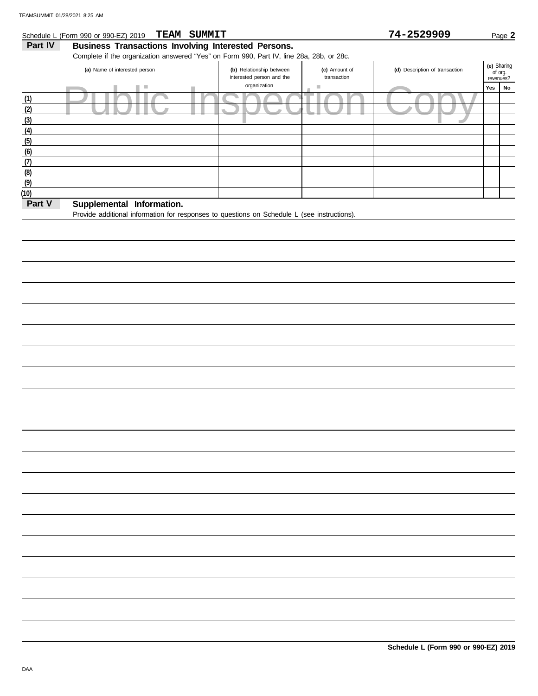**Part V** Supplemental Information.

**(6) (5)**

**(7) (8) (9) (10)**

### Public Inspection Copy Yes No revenues? **(e)** Sharing (d) Description of transaction interested person and the Part IV Business Transactions Involving Interested Persons. Complete if the organization answered "Yes" on Form 990, Part IV, line 28a, 28b, or 28c. **(a)** Name of interested person **(b)** Relationship between organization **(c)** Amount of transaction Schedule L (Form 990 or 990-EZ) 2019 Page **2 TEAM SUMMIT 74-2529909 (4) (3) (2) (1)**

Provide additional information for responses to questions on Schedule L (see instructions).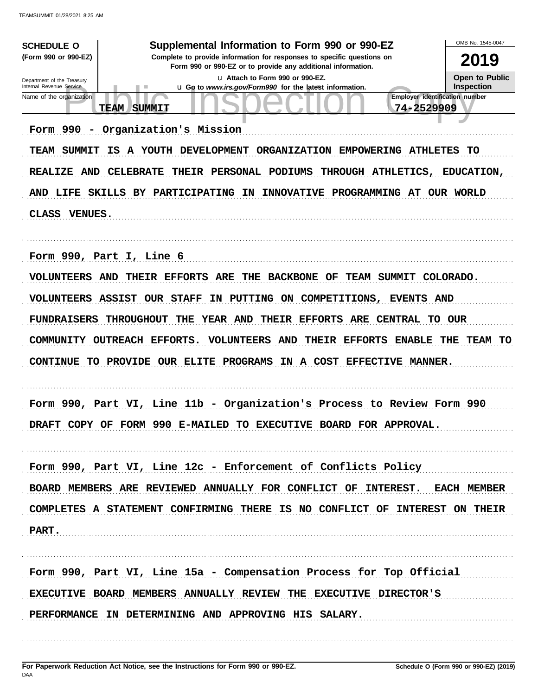| <b>SCHEDULE O</b>                                      | Supplemental Information to Form 990 or 990-EZ                                                                                         | OMB No. 1545-0047                          |
|--------------------------------------------------------|----------------------------------------------------------------------------------------------------------------------------------------|--------------------------------------------|
| (Form 990 or 990-EZ)                                   | Complete to provide information for responses to specific questions on<br>Form 990 or 990-EZ or to provide any additional information. | 2019                                       |
| Department of the Treasury<br>Internal Revenue Service | La Attach to Form 990 or 990-EZ.<br>u Go to www.irs.gov/Form990 for the latest information.                                            | <b>Open to Public</b><br><b>Inspection</b> |
| Name of the organization                               | Employer identification number<br>74-2529909<br><b>TEAM</b><br><b>SUMMIT</b>                                                           |                                            |
|                                                        |                                                                                                                                        |                                            |
| Form 990<br>$\overline{\phantom{a}}$                   | Organization's Mission                                                                                                                 |                                            |
| TEAM SUMMIT                                            | IS A YOUTH DEVELOPMENT ORGANIZATION EMPOWERING ATHLETES                                                                                | TO                                         |
| <b>REALIZE AND</b>                                     | CELEBRATE THEIR PERSONAL PODIUMS<br>THROUGH ATHLETICS,                                                                                 | <b>EDUCATION,</b>                          |
|                                                        | AND LIFE SKILLS BY PARTICIPATING IN<br>INNOVATIVE PROGRAMMING AT OUR WORLD                                                             |                                            |
| <b>CLASS</b><br><b>VENUES.</b>                         |                                                                                                                                        |                                            |
|                                                        |                                                                                                                                        |                                            |
|                                                        | Form 990, Part I, Line 6                                                                                                               |                                            |
| <b>VOLUNTEERS AND</b>                                  | THEIR EFFORTS<br><b>ARE THE</b><br><b>BACKBONE OF</b><br>TEAM SUMMIT COLORADO.                                                         |                                            |
|                                                        | <b>VOLUNTEERS ASSIST OUR STAFF</b><br>IN PUTTING ON COMPETITIONS, EVENTS AND                                                           |                                            |
| FUNDRAISERS                                            | THEIR EFFORTS ARE CENTRAL TO OUR<br><b>THROUGHOUT</b><br>THE<br><b>YEAR AND</b>                                                        |                                            |
|                                                        |                                                                                                                                        |                                            |
|                                                        | COMMUNITY OUTREACH EFFORTS.<br><b>VOLUNTEERS AND</b><br>THEIR EFFORTS<br><b>ENABLE</b>                                                 | THE<br>TEAM<br>TO                          |
|                                                        | CONTINUE TO PROVIDE OUR ELITE PROGRAMS IN A COST EFFECTIVE MANNER.                                                                     |                                            |
|                                                        |                                                                                                                                        |                                            |
|                                                        | Form 990, Part VI, Line 11b - Organization's Process to Review Form 990                                                                |                                            |
| <b>DRAFT</b>                                           | COPY OF FORM 990 E-MAILED TO EXECUTIVE BOARD FOR APPROVAL.                                                                             |                                            |
|                                                        |                                                                                                                                        |                                            |
|                                                        | Form 990, Part VI, Line 12c - Enforcement of Conflicts Policy                                                                          |                                            |
|                                                        | BOARD MEMBERS ARE REVIEWED ANNUALLY FOR CONFLICT OF INTEREST. EACH MEMBER                                                              |                                            |
|                                                        | COMPLETES A STATEMENT CONFIRMING THERE IS NO CONFLICT OF INTEREST ON THEIR                                                             |                                            |
|                                                        |                                                                                                                                        |                                            |
| PART.                                                  |                                                                                                                                        |                                            |
|                                                        |                                                                                                                                        |                                            |
|                                                        | Form 990, Part VI, Line 15a - Compensation Process for Top Official                                                                    |                                            |
|                                                        | EXECUTIVE BOARD MEMBERS ANNUALLY REVIEW THE EXECUTIVE DIRECTOR'S                                                                       |                                            |
|                                                        | PERFORMANCE IN DETERMINING AND APPROVING HIS SALARY.                                                                                   |                                            |
|                                                        |                                                                                                                                        |                                            |
|                                                        |                                                                                                                                        |                                            |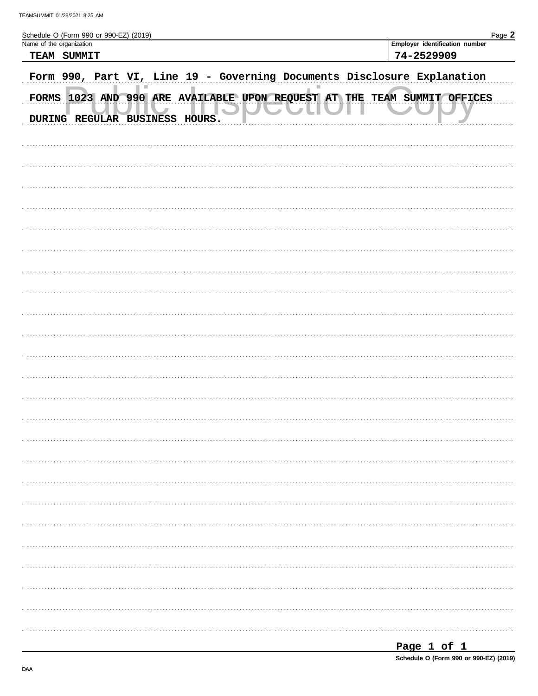| Schedule O (Form 990 or 990-EZ) (2019) |             |                         |  |               |  |  |  |            |                                                                          | Page 2 |
|----------------------------------------|-------------|-------------------------|--|---------------|--|--|--|------------|--------------------------------------------------------------------------|--------|
| Name of the organization               |             |                         |  |               |  |  |  |            | Employer identification number                                           |        |
|                                        | TEAM SUMMIT |                         |  |               |  |  |  | 74-2529909 |                                                                          |        |
|                                        |             |                         |  |               |  |  |  |            |                                                                          |        |
|                                        |             |                         |  |               |  |  |  |            | Form 990, Part VI, Line 19 - Governing Documents Disclosure Explanation  |        |
|                                        |             | DURING REGULAR BUSINESS |  | <b>HOURS.</b> |  |  |  |            | FORMS 1023 AND 990 ARE AVAILABLE UPON REQUEST AT THE TEAM SUMMIT OFFICES |        |
|                                        |             |                         |  |               |  |  |  |            |                                                                          |        |
|                                        |             |                         |  |               |  |  |  |            |                                                                          |        |
|                                        |             |                         |  |               |  |  |  |            |                                                                          |        |
|                                        |             |                         |  |               |  |  |  |            |                                                                          |        |
|                                        |             |                         |  |               |  |  |  |            |                                                                          |        |
|                                        |             |                         |  |               |  |  |  |            |                                                                          |        |
|                                        |             |                         |  |               |  |  |  |            |                                                                          |        |
|                                        |             |                         |  |               |  |  |  |            |                                                                          |        |
|                                        |             |                         |  |               |  |  |  |            |                                                                          |        |
|                                        |             |                         |  |               |  |  |  |            |                                                                          |        |
|                                        |             |                         |  |               |  |  |  |            |                                                                          |        |
|                                        |             |                         |  |               |  |  |  |            |                                                                          |        |
|                                        |             |                         |  |               |  |  |  |            |                                                                          |        |
|                                        |             |                         |  |               |  |  |  |            |                                                                          |        |
|                                        |             |                         |  |               |  |  |  |            |                                                                          |        |
|                                        |             |                         |  |               |  |  |  |            |                                                                          |        |
|                                        |             |                         |  |               |  |  |  |            |                                                                          |        |
|                                        |             |                         |  |               |  |  |  |            |                                                                          |        |
|                                        |             |                         |  |               |  |  |  |            |                                                                          |        |
|                                        |             |                         |  |               |  |  |  |            |                                                                          |        |
|                                        |             |                         |  |               |  |  |  |            |                                                                          |        |
|                                        |             |                         |  |               |  |  |  |            |                                                                          |        |
|                                        |             |                         |  |               |  |  |  |            |                                                                          |        |
|                                        |             |                         |  |               |  |  |  |            |                                                                          |        |
|                                        |             |                         |  |               |  |  |  |            |                                                                          |        |

Schedule O (Form 990 or 990-EZ) (2019)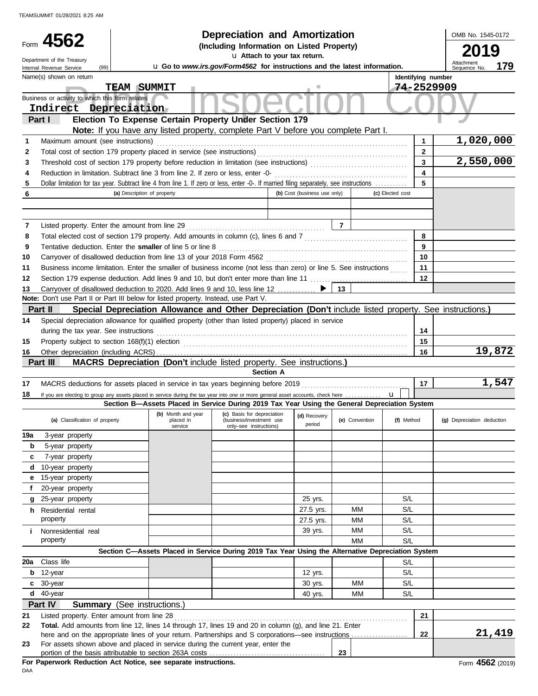|          | Form $4562$                                                                                                                                            |                                 | <b>Depreciation and Amortization</b>                                                                      |                              |                |                  |                         | OMB No. 1545-0172          |
|----------|--------------------------------------------------------------------------------------------------------------------------------------------------------|---------------------------------|-----------------------------------------------------------------------------------------------------------|------------------------------|----------------|------------------|-------------------------|----------------------------|
|          |                                                                                                                                                        |                                 | (Including Information on Listed Property)                                                                |                              |                |                  |                         |                            |
|          | Department of the Treasury                                                                                                                             |                                 | u Attach to your tax return.<br>u Go to www.irs.gov/Form4562 for instructions and the latest information. |                              |                |                  |                         | Attachment<br>179          |
|          | (99)<br>Internal Revenue Service<br>Name(s) shown on return                                                                                            |                                 |                                                                                                           |                              |                |                  | Identifying number      | Sequence No                |
|          |                                                                                                                                                        | <b>TEAM SUMMIT</b>              |                                                                                                           |                              |                |                  | 74-2529909              |                            |
|          | Business or activity to which this form relates                                                                                                        |                                 |                                                                                                           |                              |                |                  |                         |                            |
|          | Indirect Depreciation                                                                                                                                  |                                 |                                                                                                           |                              |                |                  |                         |                            |
|          | Part I                                                                                                                                                 |                                 | Election To Expense Certain Property Under Section 179                                                    |                              |                |                  |                         |                            |
|          |                                                                                                                                                        |                                 | Note: If you have any listed property, complete Part V before you complete Part I.                        |                              |                |                  |                         |                            |
| 1        | Maximum amount (see instructions)                                                                                                                      |                                 |                                                                                                           |                              |                |                  | 1                       | 1,020,000                  |
| 2        |                                                                                                                                                        |                                 |                                                                                                           |                              |                |                  | $\mathbf{2}$            |                            |
| 3        |                                                                                                                                                        |                                 |                                                                                                           |                              |                |                  | $\overline{\mathbf{3}}$ | 2,550,000                  |
| 4        |                                                                                                                                                        |                                 |                                                                                                           |                              |                |                  | $\overline{\mathbf{4}}$ |                            |
| 5        | Dollar limitation for tax year. Subtract line 4 from line 1. If zero or less, enter -0-. If married filing separately, see instructions                |                                 |                                                                                                           |                              |                |                  | 5                       |                            |
| 6        |                                                                                                                                                        | (a) Description of property     |                                                                                                           | (b) Cost (business use only) |                | (c) Elected cost |                         |                            |
|          |                                                                                                                                                        |                                 |                                                                                                           |                              |                |                  |                         |                            |
|          |                                                                                                                                                        |                                 |                                                                                                           |                              |                |                  |                         |                            |
| 7        |                                                                                                                                                        |                                 |                                                                                                           |                              | $\overline{7}$ |                  |                         |                            |
| 8        |                                                                                                                                                        |                                 |                                                                                                           |                              |                |                  | 8                       |                            |
| 9        | Tentative deduction. Enter the smaller of line 5 or line 8 [11] match contains the state of line 3 [11] match contains the smaller of line 5 or line 8 |                                 |                                                                                                           |                              |                |                  | 9                       |                            |
| 10       | Business income limitation. Enter the smaller of business income (not less than zero) or line 5. See instructions                                      |                                 |                                                                                                           |                              |                |                  | 10<br>11                |                            |
| 11<br>12 |                                                                                                                                                        |                                 |                                                                                                           |                              |                |                  | 12                      |                            |
| 13       | Carryover of disallowed deduction to 2020. Add lines 9 and 10, less line 12                                                                            |                                 |                                                                                                           |                              | 13             |                  |                         |                            |
|          | Note: Don't use Part II or Part III below for listed property. Instead, use Part V.                                                                    |                                 |                                                                                                           |                              |                |                  |                         |                            |
|          | Part II                                                                                                                                                |                                 | Special Depreciation Allowance and Other Depreciation (Don't include listed property. See instructions.)  |                              |                |                  |                         |                            |
| 14       | Special depreciation allowance for qualified property (other than listed property) placed in service                                                   |                                 |                                                                                                           |                              |                |                  |                         |                            |
|          | during the tax year. See instructions                                                                                                                  |                                 |                                                                                                           |                              |                |                  | 14                      |                            |
| 15       | Property subject to section 168(f)(1) election <i>manufacture content content and section</i> 168(f)(1) election                                       |                                 |                                                                                                           |                              |                |                  | 15                      |                            |
| 16       |                                                                                                                                                        |                                 |                                                                                                           |                              |                |                  | 16                      | 19,872                     |
|          | Part III                                                                                                                                               |                                 | MACRS Depreciation (Don't include listed property. See instructions.)                                     |                              |                |                  |                         |                            |
|          |                                                                                                                                                        |                                 | <b>Section A</b>                                                                                          |                              |                |                  |                         |                            |
| 17       | MACRS deductions for assets placed in service in tax years beginning before 2019                                                                       |                                 |                                                                                                           |                              |                |                  | 17                      | 1,547                      |
| 18       | If you are electing to group any assets placed in service during the tax year into one or more general asset accounts, check here                      |                                 |                                                                                                           |                              |                | u                |                         |                            |
|          |                                                                                                                                                        |                                 | Section B-Assets Placed in Service During 2019 Tax Year Using the General Depreciation System             |                              |                |                  |                         |                            |
|          | (a) Classification of property                                                                                                                         | (b) Month and year<br>placed in | (c) Basis for depreciation<br>(business/investment use                                                    | (d) Recovery                 | (e) Convention | (f) Method       |                         | (g) Depreciation deduction |
|          |                                                                                                                                                        | service                         | only-see instructions)                                                                                    | period                       |                |                  |                         |                            |
| 19a      | 3-year property                                                                                                                                        |                                 |                                                                                                           |                              |                |                  |                         |                            |
| b        | 5-year property                                                                                                                                        |                                 |                                                                                                           |                              |                |                  |                         |                            |
| c        | 7-year property                                                                                                                                        |                                 |                                                                                                           |                              |                |                  |                         |                            |
| d        | 10-year property                                                                                                                                       |                                 |                                                                                                           |                              |                |                  |                         |                            |
| е        | 15-year property                                                                                                                                       |                                 |                                                                                                           |                              |                |                  |                         |                            |
| f        | 20-year property                                                                                                                                       |                                 |                                                                                                           |                              |                |                  |                         |                            |
|          | 25-year property                                                                                                                                       |                                 |                                                                                                           | 25 yrs.                      |                | S/L              |                         |                            |
|          | <b>h</b> Residential rental                                                                                                                            |                                 |                                                                                                           | 27.5 yrs.                    | ΜМ             | S/L              |                         |                            |
|          | property                                                                                                                                               |                                 |                                                                                                           | 27.5 yrs.                    | MM             | S/L              |                         |                            |
|          | Nonresidential real                                                                                                                                    |                                 |                                                                                                           | 39 yrs.                      | MM             | S/L              |                         |                            |
|          | property                                                                                                                                               |                                 |                                                                                                           |                              | МM             | S/L              |                         |                            |
| 20a      |                                                                                                                                                        |                                 | Section C-Assets Placed in Service During 2019 Tax Year Using the Alternative Depreciation System         |                              |                |                  |                         |                            |
|          | Class life                                                                                                                                             |                                 |                                                                                                           |                              |                | S/L              |                         |                            |
|          |                                                                                                                                                        |                                 |                                                                                                           |                              |                |                  |                         |                            |
| b        | 12-year<br>c 30-year                                                                                                                                   |                                 |                                                                                                           | 12 yrs.<br>30 yrs.           | МM             | S/L<br>S/L       |                         |                            |

**Part IV Summary** (See instructions.)

**d** 40-year

| 21 | Listed property. Enter amount from line 28                                                              |    |        |  |  |
|----|---------------------------------------------------------------------------------------------------------|----|--------|--|--|
| 22 | Total. Add amounts from line 12, lines 14 through 17, lines 19 and 20 in column (g), and line 21. Enter |    |        |  |  |
|    | here and on the appropriate lines of your return. Partnerships and S corporations—see instructions      | 22 | 21,419 |  |  |
| 23 | For assets shown above and placed in service during the current year, enter the                         |    |        |  |  |
|    | portion of the basis attributable to section 263A costs                                                 | 23 |        |  |  |

40 yrs. MM

S/L